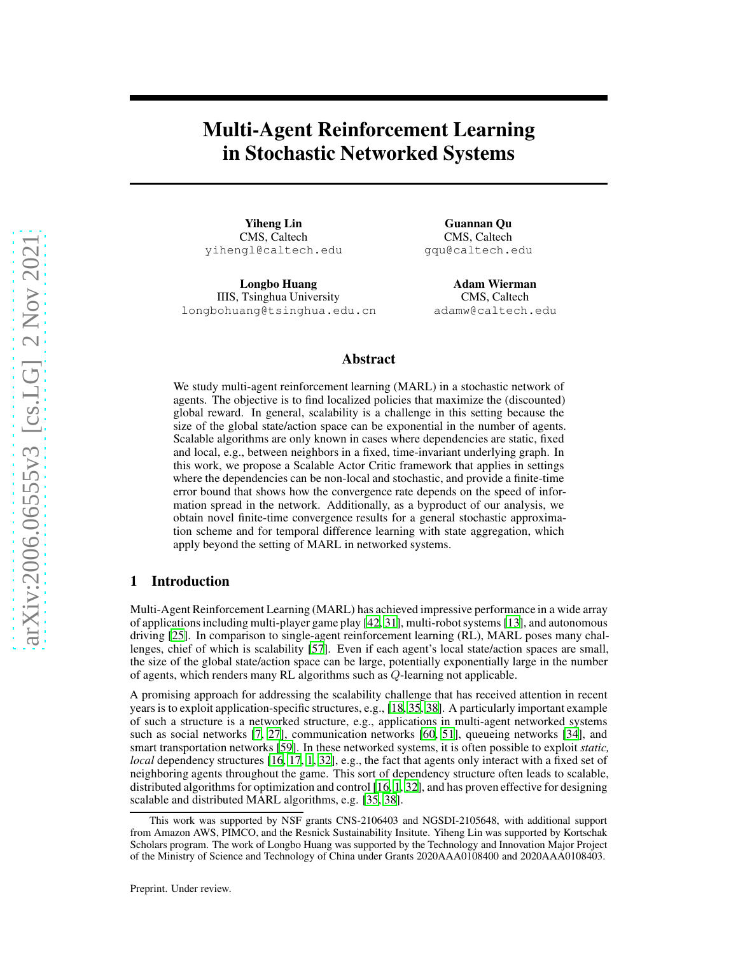# Multi-Agent Reinforcement Learning in Stochastic Networked Systems

Yiheng Lin CMS, Caltech yihengl@caltech.edu

Longbo Huang IIIS, Tsinghua University longbohuang@tsinghua.edu.cn

Guannan Qu CMS, Caltech gqu@caltech.edu

Adam Wierman CMS, Caltech adamw@caltech.edu

# Abstract

We study multi-agent reinforcement learning (MARL) in a stochastic network of agents. The objective is to find localized policies that maximize the (discounted) global reward. In general, scalability is a challenge in this setting because the size of the global state/action space can be exponential in the number of agents. Scalable algorithms are only known in cases where dependencies are static, fixed and local, e.g., between neighbors in a fixed, time-invariant underlying graph. In this work, we propose a Scalable Actor Critic framework that applies in settings where the dependencies can be non-local and stochastic, and provide a finite-time error bound that shows how the convergence rate depends on the speed of information spread in the network. Additionally, as a byproduct of our analysis, we obtain novel finite-time convergence results for a general stochastic approximation scheme and for temporal difference learning with state aggregation, which apply beyond the setting of MARL in networked systems.

# 1 Introduction

Multi-Agent Reinforcement Learning (MARL) has achieved impressive performance in a wide array of applications including multi-player game play [\[42,](#page-11-0) [31](#page-11-1)], multi-robot systems [\[13](#page-10-0)], and autonomous driving [\[25\]](#page-11-2). In comparison to single-agent reinforcement learning (RL), MARL poses many challenges, chief of which is scalability [\[57\]](#page-12-0). Even if each agent's local state/action spaces are small, the size of the global state/action space can be large, potentially exponentially large in the number of agents, which renders many RL algorithms such as Q-learning not applicable.

A promising approach for addressing the scalability challenge that has received attention in recent years is to exploit application-specific structures, e.g., [\[18,](#page-10-1) [35](#page-11-3), [38\]](#page-11-4). A particularly important example of such a structure is a networked structure, e.g., applications in multi-agent networked systems such as social networks [\[7,](#page-10-2) [27\]](#page-11-5), communication networks [\[60](#page-12-1), [51](#page-12-2)], queueing networks [\[34\]](#page-11-6), and smart transportation networks [\[59\]](#page-12-3). In these networked systems, it is often possible to exploit *static, local* dependency structures [\[16,](#page-10-3) [17,](#page-10-4) [1,](#page-9-0) [32\]](#page-11-7), e.g., the fact that agents only interact with a fixed set of neighboring agents throughout the game. This sort of dependency structure often leads to scalable, distributed algorithms for optimization and control [\[16,](#page-10-3) [1](#page-9-0), [32\]](#page-11-7), and has proven effective for designing scalable and distributed MARL algorithms, e.g. [\[35](#page-11-3), [38\]](#page-11-4).

This work was supported by NSF grants CNS-2106403 and NGSDI-2105648, with additional support from Amazon AWS, PIMCO, and the Resnick Sustainability Insitute. Yiheng Lin was supported by Kortschak Scholars program. The work of Longbo Huang was supported by the Technology and Innovation Major Project of the Ministry of Science and Technology of China under Grants 2020AAA0108400 and 2020AAA0108403.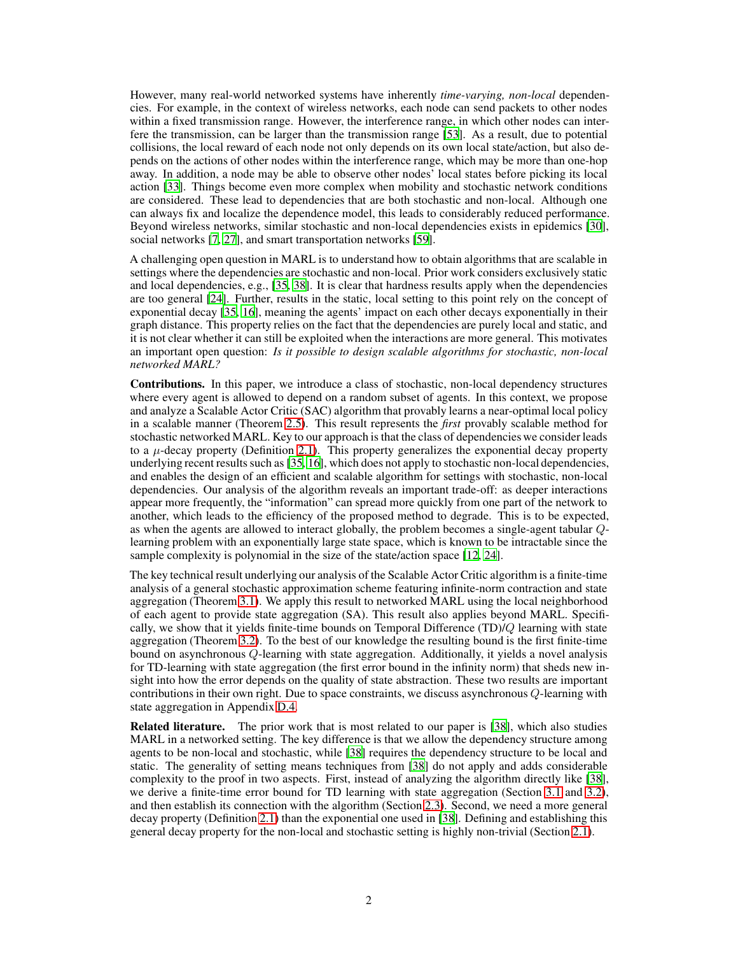However, many real-world networked systems have inherently *time-varying, non-local* dependencies. For example, in the context of wireless networks, each node can send packets to other nodes within a fixed transmission range. However, the interference range, in which other nodes can interfere the transmission, can be larger than the transmission range [\[53\]](#page-12-4). As a result, due to potential collisions, the local reward of each node not only depends on its own local state/action, but also depends on the actions of other nodes within the interference range, which may be more than one-hop away. In addition, a node may be able to observe other nodes' local states before picking its local action [\[33\]](#page-11-8). Things become even more complex when mobility and stochastic network conditions are considered. These lead to dependencies that are both stochastic and non-local. Although one can always fix and localize the dependence model, this leads to considerably reduced performance. Beyond wireless networks, similar stochastic and non-local dependencies exists in epidemics [\[30\]](#page-11-9), social networks [\[7,](#page-10-2) [27\]](#page-11-5), and smart transportation networks [\[59\]](#page-12-3).

A challenging open question in MARL is to understand how to obtain algorithms that are scalable in settings where the dependencies are stochastic and non-local. Prior work considers exclusively static and local dependencies, e.g., [\[35,](#page-11-3) [38\]](#page-11-4). It is clear that hardness results apply when the dependencies are too general [\[24\]](#page-10-5). Further, results in the static, local setting to this point rely on the concept of exponential decay [\[35](#page-11-3), [16](#page-10-3)], meaning the agents' impact on each other decays exponentially in their graph distance. This property relies on the fact that the dependencies are purely local and static, and it is not clear whether it can still be exploited when the interactions are more general. This motivates an important open question: *Is it possible to design scalable algorithms for stochastic, non-local networked MARL?*

Contributions. In this paper, we introduce a class of stochastic, non-local dependency structures where every agent is allowed to depend on a random subset of agents. In this context, we propose and analyze a Scalable Actor Critic (SAC) algorithm that provably learns a near-optimal local policy in a scalable manner (Theorem [2.5\)](#page-6-0). This result represents the *first* provably scalable method for stochastic networked MARL. Key to our approach is that the class of dependencies we consider leads to a  $\mu$ -decay property (Definition [2.1\)](#page-4-0). This property generalizes the exponential decay property underlying recent results such as [\[35](#page-11-3), [16\]](#page-10-3), which does not apply to stochastic non-local dependencies, and enables the design of an efficient and scalable algorithm for settings with stochastic, non-local dependencies. Our analysis of the algorithm reveals an important trade-off: as deeper interactions appear more frequently, the "information" can spread more quickly from one part of the network to another, which leads to the efficiency of the proposed method to degrade. This is to be expected, as when the agents are allowed to interact globally, the problem becomes a single-agent tabular Qlearning problem with an exponentially large state space, which is known to be intractable since the sample complexity is polynomial in the size of the state/action space [\[12,](#page-10-6) [24\]](#page-10-5).

The key technical result underlying our analysis of the Scalable Actor Critic algorithm is a finite-time analysis of a general stochastic approximation scheme featuring infinite-norm contraction and state aggregation (Theorem [3.1\)](#page-8-0). We apply this result to networked MARL using the local neighborhood of each agent to provide state aggregation (SA). This result also applies beyond MARL. Specifically, we show that it yields finite-time bounds on Temporal Difference (TD)/Q learning with state aggregation (Theorem [3.2\)](#page-9-1). To the best of our knowledge the resulting bound is the first finite-time bound on asynchronous Q-learning with state aggregation. Additionally, it yields a novel analysis for TD-learning with state aggregation (the first error bound in the infinity norm) that sheds new insight into how the error depends on the quality of state abstraction. These two results are important contributions in their own right. Due to space constraints, we discuss asynchronous  $Q$ -learning with state aggregation in Appendix [D.4.](#page-39-0)

Related literature. The prior work that is most related to our paper is [\[38](#page-11-4)], which also studies MARL in a networked setting. The key difference is that we allow the dependency structure among agents to be non-local and stochastic, while [\[38](#page-11-4)] requires the dependency structure to be local and static. The generality of setting means techniques from [\[38](#page-11-4)] do not apply and adds considerable complexity to the proof in two aspects. First, instead of analyzing the algorithm directly like [\[38\]](#page-11-4), we derive a finite-time error bound for TD learning with state aggregation (Section [3.1](#page-7-0) and [3.2\)](#page-8-1), and then establish its connection with the algorithm (Section [2.3\)](#page-5-0). Second, we need a more general decay property (Definition [2.1\)](#page-4-0) than the exponential one used in [\[38\]](#page-11-4). Defining and establishing this general decay property for the non-local and stochastic setting is highly non-trivial (Section [2.1\)](#page-3-0).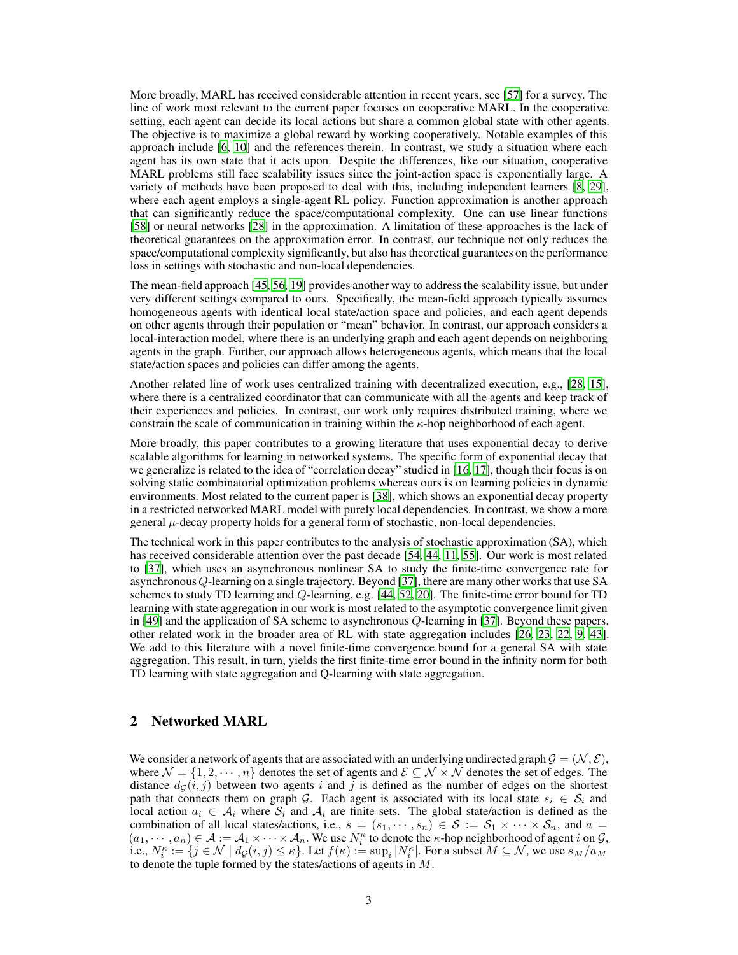More broadly, MARL has received considerable attention in recent years, see [\[57\]](#page-12-0) for a survey. The line of work most relevant to the current paper focuses on cooperative MARL. In the cooperative setting, each agent can decide its local actions but share a common global state with other agents. The objective is to maximize a global reward by working cooperatively. Notable examples of this approach include [\[6,](#page-10-7) [10\]](#page-10-8) and the references therein. In contrast, we study a situation where each agent has its own state that it acts upon. Despite the differences, like our situation, cooperative MARL problems still face scalability issues since the joint-action space is exponentially large. A variety of methods have been proposed to deal with this, including independent learners [\[8](#page-10-9), [29\]](#page-11-10), where each agent employs a single-agent RL policy. Function approximation is another approach that can significantly reduce the space/computational complexity. One can use linear functions [\[58](#page-12-5)] or neural networks [\[28\]](#page-11-11) in the approximation. A limitation of these approaches is the lack of theoretical guarantees on the approximation error. In contrast, our technique not only reduces the space/computational complexity significantly, but also has theoretical guarantees on the performance loss in settings with stochastic and non-local dependencies.

The mean-field approach [\[45,](#page-12-6) [56,](#page-12-7) [19\]](#page-10-10) provides another way to address the scalability issue, but under very different settings compared to ours. Specifically, the mean-field approach typically assumes homogeneous agents with identical local state/action space and policies, and each agent depends on other agents through their population or "mean" behavior. In contrast, our approach considers a local-interaction model, where there is an underlying graph and each agent depends on neighboring agents in the graph. Further, our approach allows heterogeneous agents, which means that the local state/action spaces and policies can differ among the agents.

Another related line of work uses centralized training with decentralized execution, e.g., [\[28,](#page-11-11) [15\]](#page-10-11), where there is a centralized coordinator that can communicate with all the agents and keep track of their experiences and policies. In contrast, our work only requires distributed training, where we constrain the scale of communication in training within the  $\kappa$ -hop neighborhood of each agent.

More broadly, this paper contributes to a growing literature that uses exponential decay to derive scalable algorithms for learning in networked systems. The specific form of exponential decay that we generalize is related to the idea of "correlation decay" studied in [\[16,](#page-10-3) [17\]](#page-10-4), though their focus is on solving static combinatorial optimization problems whereas ours is on learning policies in dynamic environments. Most related to the current paper is [\[38](#page-11-4)], which shows an exponential decay property in a restricted networked MARL model with purely local dependencies. In contrast, we show a more general  $\mu$ -decay property holds for a general form of stochastic, non-local dependencies.

The technical work in this paper contributes to the analysis of stochastic approximation (SA), which has received considerable attention over the past decade [\[54,](#page-12-8) [44,](#page-12-9) [11,](#page-10-12) [55](#page-12-10)]. Our work is most related to [\[37\]](#page-11-12), which uses an asynchronous nonlinear SA to study the finite-time convergence rate for asynchronousQ-learning on a single trajectory. Beyond [\[37\]](#page-11-12), there are many other works that use SA schemes to study TD learning and Q-learning, e.g. [\[44](#page-12-9), [52](#page-12-11), [20](#page-10-13)]. The finite-time error bound for TD learning with state aggregation in our work is most related to the asymptotic convergence limit given in [\[49\]](#page-12-12) and the application of SA scheme to asynchronous Q-learning in [\[37\]](#page-11-12). Beyond these papers, other related work in the broader area of RL with state aggregation includes [\[26,](#page-11-13) [23,](#page-10-14) [22,](#page-10-15) [9,](#page-10-16) [43\]](#page-12-13). We add to this literature with a novel finite-time convergence bound for a general SA with state aggregation. This result, in turn, yields the first finite-time error bound in the infinity norm for both TD learning with state aggregation and Q-learning with state aggregation.

# <span id="page-2-0"></span>2 Networked MARL

We consider a network of agents that are associated with an underlying undirected graph  $\mathcal{G} = (\mathcal{N}, \mathcal{E})$ , where  $\mathcal{N} = \{1, 2, \dots, n\}$  denotes the set of agents and  $\mathcal{E} \subseteq \mathcal{N} \times \mathcal{N}$  denotes the set of edges. The distance  $d_G(i, j)$  between two agents i and j is defined as the number of edges on the shortest path that connects them on graph G. Each agent is associated with its local state  $s_i \in S_i$  and local action  $a_i \in A_i$  where  $S_i$  and  $A_i$  are finite sets. The global state/action is defined as the combination of all local states/actions, i.e.,  $s = (s_1, \dots, s_n) \in S := S_1 \times \dots \times S_n$ , and  $a =$  $(a_1, \dots, a_n) \in \mathcal{A} := \mathcal{A}_1 \times \dots \times \mathcal{A}_n$ . We use  $N_i^{\kappa}$  to denote the  $\kappa$ -hop neighborhood of agent i on  $\mathcal{G}$ , i.e.,  $N_i^{\kappa} := \{j \in \mathcal{N} \mid d_{\mathcal{G}}(i,j) \leq \kappa\}$ . Let  $f(\kappa) := \sup_i |N_i^{\kappa}|$ . For a subset  $M \subseteq \mathcal{N}$ , we use  $s_M/a_M$ to denote the tuple formed by the states/actions of agents in M.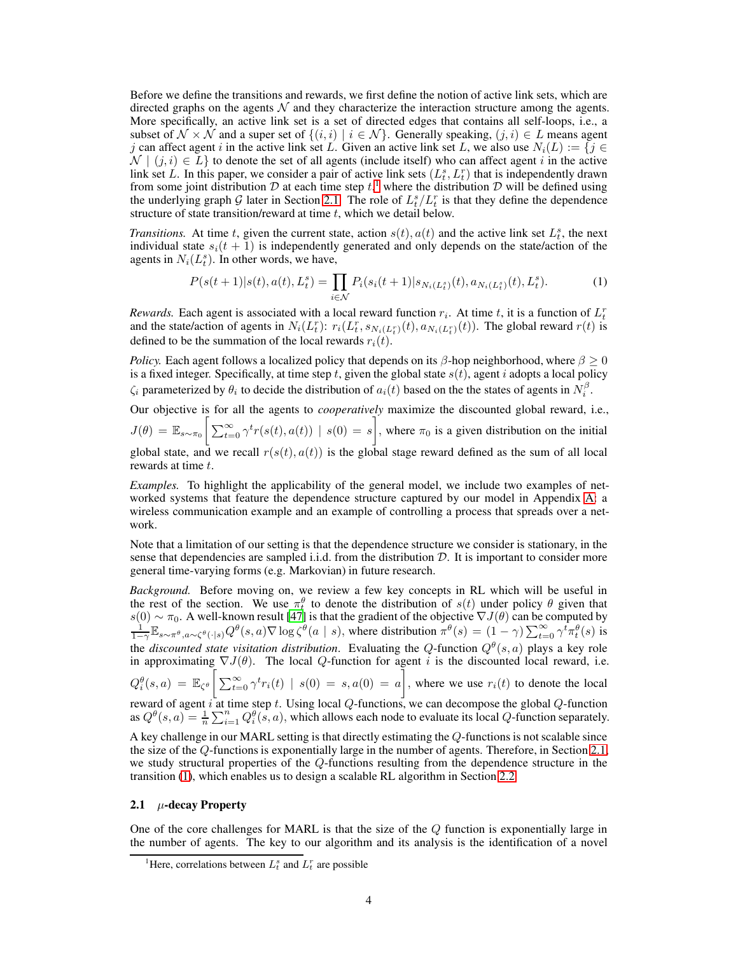Before we define the transitions and rewards, we first define the notion of active link sets, which are directed graphs on the agents  $\mathcal N$  and they characterize the interaction structure among the agents. More specifically, an active link set is a set of directed edges that contains all self-loops, i.e., a subset of  $\mathcal{N} \times \mathcal{N}$  and a super set of  $\{(i, i) | i \in \mathcal{N}\}\)$ . Generally speaking,  $(j, i) \in L$  means agent j can affect agent i in the active link set L. Given an active link set L, we also use  $N_i(L) := \{j \in$  $\mathcal{N} \mid (j, i) \in L$  to denote the set of all agents (include itself) who can affect agent i in the active link set L. In this paper, we consider a pair of active link sets  $(L_t^s, L_t^r)$  that is independently drawn from some joint distribution  $D$  at each time step  $t<sup>1</sup>$  $t<sup>1</sup>$  $t<sup>1</sup>$ , where the distribution  $D$  will be defined using the underlying graph G later in Section [2.1.](#page-3-0) The role of  $L_t^s/L_t^r$  is that they define the dependence structure of state transition/reward at time  $t$ , which we detail below.

*Transitions.* At time t, given the current state, action  $s(t)$ ,  $a(t)$  and the active link set  $L_t^s$ , the next individual state  $s_i(t + 1)$  is independently generated and only depends on the state/action of the agents in  $N_i(L_t^s)$ . In other words, we have,

<span id="page-3-2"></span>
$$
P(s(t+1)|s(t), a(t), L_t^s) = \prod_{i \in \mathcal{N}} P_i(s_i(t+1)|s_{N_i(L_t^s)}(t), a_{N_i(L_t^s)}(t), L_t^s).
$$
 (1)

*Rewards.* Each agent is associated with a local reward function  $r_i$ . At time t, it is a function of  $L_t^r$ and the state/action of agents in  $N_i(L_t^r)$ :  $r_i(L_t^r, s_{N_i(L_t^r)}(t), a_{N_i(L_t^r)}(t))$ . The global reward  $r(t)$  is defined to be the summation of the local rewards  $r_i(t)$ .

*Policy.* Each agent follows a localized policy that depends on its  $\beta$ -hop neighborhood, where  $\beta \ge 0$ is a fixed integer. Specifically, at time step t, given the global state  $s(t)$ , agent i adopts a local policy  $\zeta_i$  parameterized by  $\theta_i$  to decide the distribution of  $a_i(t)$  based on the the states of agents in  $N_i^{\beta}$ .

Our objective is for all the agents to *cooperatively* maximize the discounted global reward, i.e.,  $J(\theta) = \mathbb{E}_{s \sim \pi_0} \left[ \sum_{t=0}^{\infty} \gamma^t r(s(t), a(t)) \mid s(0) = s \right]$ , where  $\pi_0$  is a given distribution on the initial

global state, and we recall  $r(s(t), a(t))$  is the global stage reward defined as the sum of all local rewards at time t.

*Examples.* To highlight the applicability of the general model, we include two examples of networked systems that feature the dependence structure captured by our model in Appendix [A:](#page-13-0) a wireless communication example and an example of controlling a process that spreads over a network.

Note that a limitation of our setting is that the dependence structure we consider is stationary, in the sense that dependencies are sampled i.i.d. from the distribution  $D$ . It is important to consider more general time-varying forms (e.g. Markovian) in future research.

*Background.* Before moving on, we review a few key concepts in RL which will be useful in the rest of the section. We use  $\pi_t^{\theta}$  to denote the distribution of  $s(t)$  under policy  $\theta$  given that  $s(0) \sim \pi_0$ . A well-known result [\[47](#page-12-14)] is that the gradient of the objective  $\nabla J(\theta)$  can be computed by  $\frac{1}{1-\gamma} \mathbb{E}_{s \sim \pi^{\theta}, a \sim \zeta^{\theta}(\cdot | s)} Q^{\theta}(s, a) \nabla \log \zeta^{\theta}(a | s)$ , where distribution  $\pi^{\theta}(s) = (1 - \gamma) \sum_{t=0}^{\in$ the *discounted state visitation distribution*. Evaluating the Q-function  $Q^{\theta}(s, a)$  plays a key role in approximating  $\nabla J(\theta)$ . The local Q-function for agent i is the discounted local reward, i.e.  $Q_i^{\theta}(s, a) = \mathbb{E}_{\zeta^{\theta}} \left[ \sum_{t=0}^{\infty} \gamma^t r_i(t) \mid s(0) = s, a(0) = a \right],$  where we use  $r_i(t)$  to denote the local reward of agent i at time step t. Using local  $Q$ -functions, we can decompose the global  $Q$ -function as  $Q^{\theta}(s, a) = \frac{1}{n} \sum_{i=1}^{n} Q_i^{\theta}(s, a)$ , which allows each node to evaluate its local Q-function separately.

A key challenge in our MARL setting is that directly estimating the Q-functions is not scalable since the size of the Q-functions is exponentially large in the number of agents. Therefore, in Section [2.1,](#page-3-0) we study structural properties of the Q-functions resulting from the dependence structure in the transition [\(1\)](#page-3-2), which enables us to design a scalable RL algorithm in Section [2.2.](#page-5-1)

## <span id="page-3-0"></span>2.1  $\mu$ -decay Property

One of the core challenges for MARL is that the size of the  $Q$  function is exponentially large in the number of agents. The key to our algorithm and its analysis is the identification of a novel

<span id="page-3-1"></span><sup>&</sup>lt;sup>1</sup>Here, correlations between  $L_t^s$  and  $L_t^r$  are possible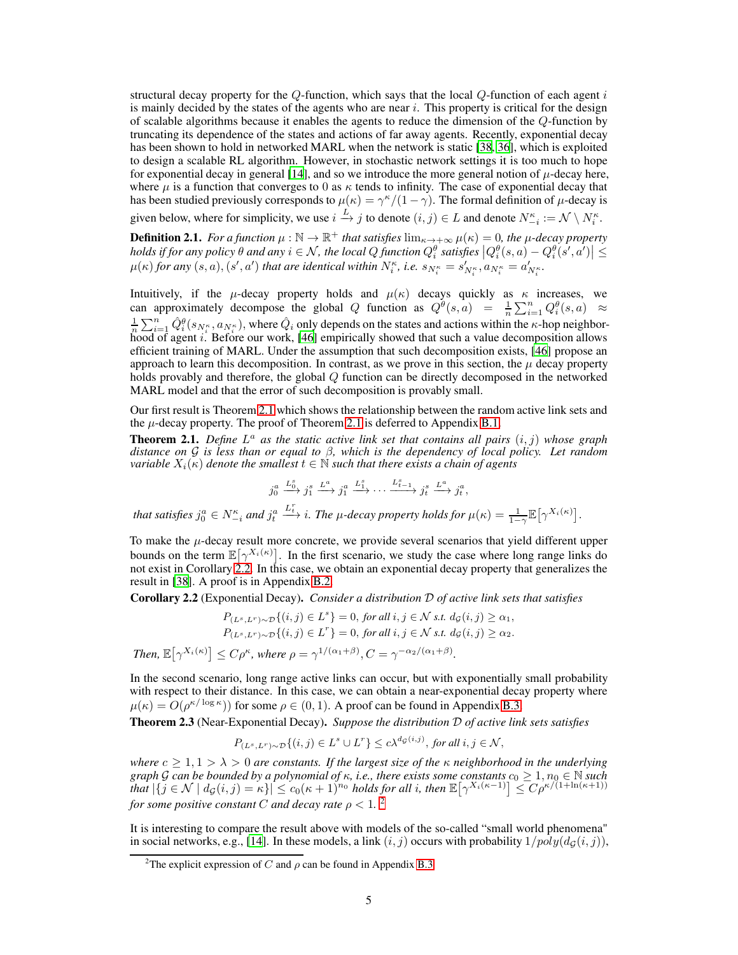structural decay property for the  $Q$ -function, which says that the local  $Q$ -function of each agent i is mainly decided by the states of the agents who are near  $i$ . This property is critical for the design of scalable algorithms because it enables the agents to reduce the dimension of the Q-function by truncating its dependence of the states and actions of far away agents. Recently, exponential decay has been shown to hold in networked MARL when the network is static [\[38](#page-11-4), [36](#page-11-14)], which is exploited to design a scalable RL algorithm. However, in stochastic network settings it is too much to hope for exponential decay in general [\[14\]](#page-10-17), and so we introduce the more general notion of  $\mu$ -decay here, where  $\mu$  is a function that converges to 0 as  $\kappa$  tends to infinity. The case of exponential decay that has been studied previously corresponds to  $\mu(\kappa) = \gamma^{\kappa}/(1-\gamma)$ . The formal definition of  $\mu$ -decay is given below, where for simplicity, we use  $i \xrightarrow{L} j$  to denote  $(i, j) \in L$  and denote  $N_{-i}^{\kappa} := \mathcal{N} \setminus N_i^{\kappa}$ .

<span id="page-4-0"></span>**Definition 2.1.** *For a function*  $\mu : \mathbb{N} \to \mathbb{R}^+$  *that satisfies*  $\lim_{\kappa \to +\infty} \mu(\kappa) = 0$ *, the*  $\mu$ *-decay property*  $\left| \begin{array}{c} \textit{holds} \textit{if for any policy } \theta \textit{ and any } i \in \mathcal{N}, \textit{the local Q function } Q_i^{\theta} \textit{ satisfies } \left| Q_i^{\theta}(s,a) - Q_i^{\theta}(s',a') \right| \leq \theta_i^{\theta} \end{array} \right|$  $\mu(\kappa)$  *for any*  $(s, a)$ ,  $(s', a')$  *that are identical within*  $N_i^{\kappa}$ *, i.e.*  $s_{N_i^{\kappa}} = s'_{N_i^{\kappa}}$ *,*  $a_{N_i^{\kappa}} = a'_{N_i^{\kappa}}$ *.* 

Intuitively, if the  $\mu$ -decay property holds and  $\mu(\kappa)$  decays quickly as  $\kappa$  increases, we can approximately decompose the global Q function as  $Q^{\theta}(s, a) = \frac{1}{n} \sum_{i=1}^{n} Q_i^{\theta}(s, a) \approx$  $\frac{1}{n}\sum_{i=1}^n \hat{Q}_i^{\theta}(s_{N_i^{\kappa}}, a_{N_i^{\kappa}})$ , where  $\hat{Q}_i$  only depends on the states and actions within the  $\kappa$ -hop neighbor-hood of agent i. Before our work, [\[46](#page-12-15)] empirically showed that such a value decomposition allows efficient training of MARL. Under the assumption that such decomposition exists, [\[46](#page-12-15)] propose an approach to learn this decomposition. In contrast, as we prove in this section, the  $\mu$  decay property holds provably and therefore, the global Q function can be directly decomposed in the networked MARL model and that the error of such decomposition is provably small.

Our first result is Theorem [2.1](#page-4-1) which shows the relationship between the random active link sets and the  $\mu$ -decay property. The proof of Theorem [2.1](#page-4-1) is deferred to Appendix [B.1.](#page-16-0)

<span id="page-4-1"></span>**Theorem 2.1.** Define  $L^a$  as the static active link set that contains all pairs  $(i, j)$  whose graph *distance on* G *is less than or equal to* β*, which is the dependency of local policy. Let random variable*  $X_i(\kappa)$  *denote the smallest*  $t \in \mathbb{N}$  *such that there exists a chain of agents* 

 $j_0^a \xrightarrow{L_0^a} j_1^s \xrightarrow{L^a} j_1^a \xrightarrow{L_1^s} \cdots \xrightarrow{L_{t-1}^s} j_t^s \xrightarrow{L^a} j_t^a$ *that satisfies*  $j_0^a \in N_{-i}^{\kappa}$  *and*  $j_t^a$  $L_t^r$ , *i. The µ-decay property holds for*  $\mu(\kappa) = \frac{1}{1-\gamma} \mathbb{E}[\gamma^{X_i(\kappa)}].$ 

To make the  $\mu$ -decay result more concrete, we provide several scenarios that yield different upper bounds on the term  $\mathbb{E}[\gamma^{X_i(\kappa)}]$ . In the first scenario, we study the case where long range links do not exist in Corollary  $\frac{1}{2}$ . In this case, we obtain an exponential decay property that generalizes the result in [\[38](#page-11-4)]. A proof is in Appendix [B.2.](#page-17-0)

<span id="page-4-2"></span>Corollary 2.2 (Exponential Decay). *Consider a distribution* D *of active link sets that satisfies*

$$
P_{(L^s, L^r) \sim \mathcal{D}}\{(i, j) \in L^s\} = 0, \text{ for all } i, j \in \mathcal{N} \text{ s.t. } d_{\mathcal{G}}(i, j) \ge \alpha_1,
$$
  
\n
$$
P_{(L^s, L^r) \sim \mathcal{D}}\{(i, j) \in L^r\} = 0, \text{ for all } i, j \in \mathcal{N} \text{ s.t. } d_{\mathcal{G}}(i, j) \ge \alpha_2.
$$
  
\nThen,  $\mathbb{E}[\gamma^{X_i(\kappa)}] \le C\rho^{\kappa}$ , where  $\rho = \gamma^{1/(\alpha_1 + \beta)}$ ,  $C = \gamma^{-\alpha_2/(\alpha_1 + \beta)}$ .

In the second scenario, long range active links can occur, but with exponentially small probability with respect to their distance. In this case, we can obtain a near-exponential decay property where  $\mu(\kappa) = O(\rho^{\kappa/\log \kappa})$  for some  $\rho \in (0, 1)$ . A proof can be found in Appendix [B.3.](#page-17-1)

<span id="page-4-4"></span>Theorem 2.3 (Near-Exponential Decay). *Suppose the distribution* D *of active link sets satisfies*

$$
P_{(L^s, L^r) \sim \mathcal{D}} \{(i, j) \in L^s \cup L^r\} \le c \lambda^{d_{\mathcal{G}}(i, j)}, \text{ for all } i, j \in \mathcal{N},
$$

*where*  $c \geq 1, 1 > \lambda > 0$  *are constants. If the largest size of the*  $\kappa$  *neighborhood in the underlying graph* G can be bounded by a polynomial of  $\kappa$ , i.e., there exists some constants  $c_0 \geq 1$ ,  $n_0 \in \mathbb{N}$  such *that* |{<sup>j</sup> ∈ N | <sup>d</sup>G(i, j) = <sup>κ</sup>}| ≤ <sup>c</sup>0(<sup>κ</sup> + 1)n<sup>0</sup> *holds for all* <sup>i</sup>*, then* <sup>E</sup> - γ <sup>X</sup>i(κ−1) <sup>≤</sup> Cρκ/(1+ln(κ+1)) *for some positive constant* C *and decay rate*  $\rho < 1$ . <sup>[2](#page-4-3)</sup>

It is interesting to compare the result above with models of the so-called "small world phenomena" in social networks, e.g., [\[14\]](#page-10-17). In these models, a link  $(i, j)$  occurs with probability  $1/poly(d_G(i, j))$ ,

<span id="page-4-3"></span><sup>&</sup>lt;sup>2</sup>The explicit expression of C and  $\rho$  can be found in Appendix [B.3.](#page-17-1)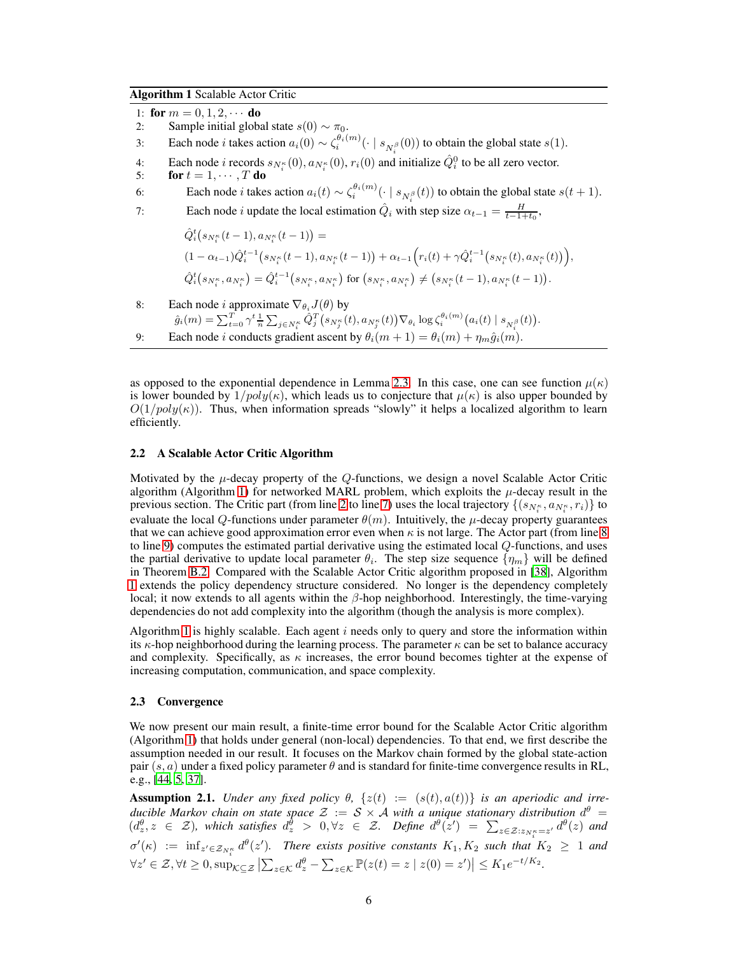<span id="page-5-2"></span>Algorithm 1 Scalable Actor Critic

1: for  $m = 0, 1, 2, \cdots$  do<br>2: Sample initial globs

- Sample initial global state  $s(0) \sim \pi_0$ .
- 3: Each node *i* takes action  $a_i(0) \sim \zeta_i^{\theta_i(m)}(\cdot \mid s_{N_i^{\beta}}(0))$  to obtain the global state  $s(1)$ .
- 4: Each node *i* records  $s_{N_i^{\kappa}}(0), a_{N_i^{\kappa}}(0), r_i(0)$  and initialize  $\hat{Q}_i^0$  to be all zero vector.
- 5: **for**  $t = 1, \dots, T$  **do**<br>6: **Each node** *i* **takes**
- 6: Each node *i* takes action  $a_i(t) \sim \zeta_i^{\theta_i(m)}(\cdot \mid s_{N_i^{\beta}}(t))$  to obtain the global state  $s(t+1)$ .
- 7: Each node *i* update the local estimation  $\hat{Q}_i$  with step size  $\alpha_{t-1} = \frac{H}{t-1+t_0}$ ,

$$
\begin{aligned}\n\hat{Q}_i^t(s_{N_i^{\kappa}}(t-1), a_{N_i^{\kappa}}(t-1)) &= \\
(1 - \alpha_{t-1})\hat{Q}_i^{t-1}(s_{N_i^{\kappa}}(t-1), a_{N_i^{\kappa}}(t-1)) + \alpha_{t-1}\Big(r_i(t) + \gamma \hat{Q}_i^{t-1}(s_{N_i^{\kappa}}(t), a_{N_i^{\kappa}}(t))\Big), \\
\hat{Q}_i^t(s_{N_i^{\kappa}}, a_{N_i^{\kappa}}) &= \hat{Q}_i^{t-1}(s_{N_i^{\kappa}}, a_{N_i^{\kappa}}) \text{ for } (s_{N_i^{\kappa}}, a_{N_i^{\kappa}}) \neq (s_{N_i^{\kappa}}(t-1), a_{N_i^{\kappa}}(t-1)).\n\end{aligned}
$$

- 8: Each node *i* approximate  $\nabla_{\theta_i} J(\theta)$  by
	- $\hat{g}_i(m) = \sum_{t=0}^T \gamma^t \frac{1}{n} \sum_{j \in N_i^{\kappa}} \hat{Q}_j^T \big(s_{N_j^{\kappa}}(t), a_{N_j^{\kappa}}(t)\big) \nabla_{\theta_i} \log \zeta_i^{\theta_i(m)} \big(a_i(t) \mid s_{N_i^{\beta}}(t)\big).$
- 9: Each node *i* conducts gradient ascent by  $\theta_i(m+1) = \theta_i(m) + \eta_m \hat{g}_i(m)$ .

as opposed to the exponential dependence in Lemma [2.3.](#page-4-4) In this case, one can see function  $\mu(\kappa)$ is lower bounded by  $1/poly(\kappa)$ , which leads us to conjecture that  $\mu(\kappa)$  is also upper bounded by  $O(1/poly(\kappa))$ . Thus, when information spreads "slowly" it helps a localized algorithm to learn efficiently.

#### <span id="page-5-1"></span>2.2 A Scalable Actor Critic Algorithm

Motivated by the  $\mu$ -decay property of the  $Q$ -functions, we design a novel Scalable Actor Critic algorithm (Algorithm [1\)](#page-5-2) for networked MARL problem, which exploits the  $\mu$ -decay result in the previous section. The Critic part (from line [2](#page-5-2) to line [7\)](#page-5-2) uses the local trajectory  $\{(s_{N_i^k}, a_{N_i^k}, r_i)\}$  to evaluate the local Q-functions under parameter  $\theta(m)$ . Intuitively, the  $\mu$ -decay property guarantees that we can achieve good approximation error even when  $\kappa$  is not large. The Actor part (from line [8](#page-5-2)) to line [9\)](#page-5-2) computes the estimated partial derivative using the estimated local  $Q$ -functions, and uses the partial derivative to update local parameter  $\theta_i$ . The step size sequence  $\{\eta_m\}$  will be defined in Theorem [B.2.](#page-21-0) Compared with the Scalable Actor Critic algorithm proposed in [\[38\]](#page-11-4), Algorithm [1](#page-5-2) extends the policy dependency structure considered. No longer is the dependency completely local; it now extends to all agents within the  $\beta$ -hop neighborhood. Interestingly, the time-varying dependencies do not add complexity into the algorithm (though the analysis is more complex).

Algorithm [1](#page-5-2) is highly scalable. Each agent  $i$  needs only to query and store the information within its  $\kappa$ -hop neighborhood during the learning process. The parameter  $\kappa$  can be set to balance accuracy and complexity. Specifically, as  $\kappa$  increases, the error bound becomes tighter at the expense of increasing computation, communication, and space complexity.

#### <span id="page-5-0"></span>2.3 Convergence

We now present our main result, a finite-time error bound for the Scalable Actor Critic algorithm (Algorithm [1\)](#page-5-2) that holds under general (non-local) dependencies. To that end, we first describe the assumption needed in our result. It focuses on the Markov chain formed by the global state-action pair  $(s, a)$  under a fixed policy parameter  $\theta$  and is standard for finite-time convergence results in RL, e.g., [\[44,](#page-12-9) [5,](#page-9-2) [37\]](#page-11-12).

<span id="page-5-3"></span>**Assumption 2.1.** *Under any fixed policy*  $\theta$ ,  $\{z(t) := (s(t), a(t))\}$  *is an aperiodic and irreducible Markov chain on state space*  $\mathcal{Z} := \mathcal{S} \times \mathcal{A}$  *with a unique stationary distribution*  $d^{\theta} =$  $(d_z^{\theta}, z \in \mathcal{Z})$ , which satisfies  $d_z^{\hat{\theta}} > 0$ ,  $\forall z \in \mathcal{Z}$ . Define  $d^{\theta}(z') = \sum_{z \in \mathcal{Z}: z_{N_i^{\kappa}} = z'} d^{\theta}(z)$  and  $\sigma'(\kappa) := \inf_{z' \in \mathcal{Z}_{N_1^{\kappa}}} d^{\theta}(z')$ . There exists positive constants  $K_1, K_2$  such that  $K_2 \geq 1$  and  $\forall z' \in \mathcal{Z}, \forall t \geq 0, \sup_{\mathcal{K} \subseteq \mathcal{Z}} \left| \sum_{z \in \mathcal{K}} d_z^{\theta} - \sum_{z \in \mathcal{K}} \mathbb{P}(z(t) = z \mid z(0) = z') \right| \leq K_1 e^{-t/K_2}.$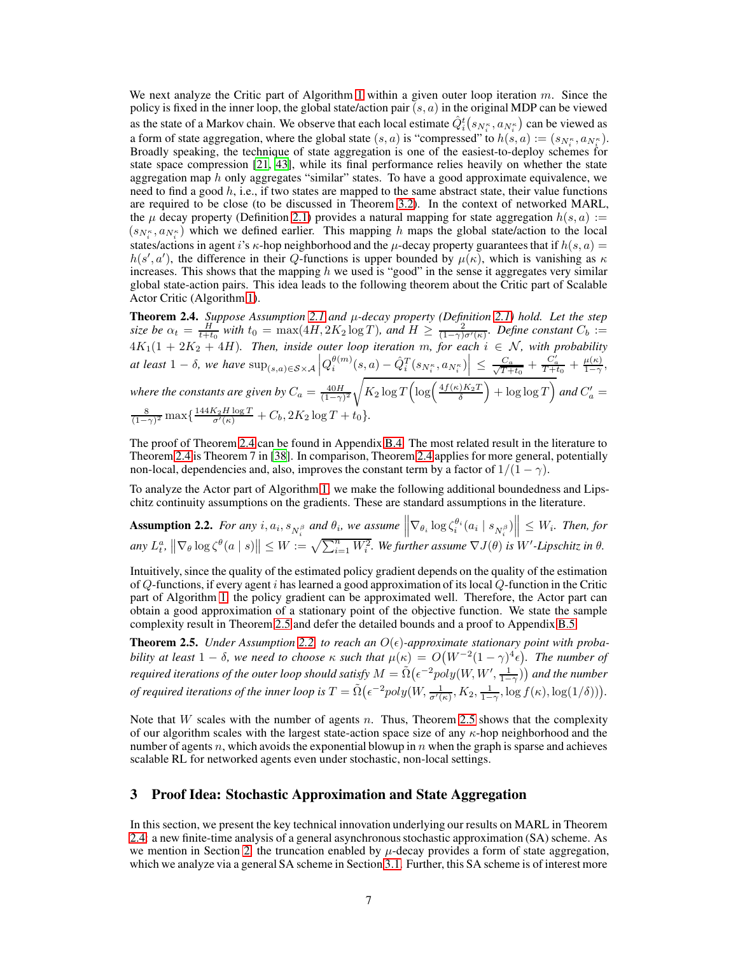We next analyze the Critic part of Algorithm [1](#page-5-2) within a given outer loop iteration  $m$ . Since the policy is fixed in the inner loop, the global state/action pair  $(s, a)$  in the original MDP can be viewed as the state of a Markov chain. We observe that each local estimate  $\hat{Q}_i^t(s_{N_i^k},a_{N_i^k})$  can be viewed as a form of state aggregation, where the global state  $(s, a)$  is "compressed" to  $h(s, a) := (s_{N_s^*}, a_{N_s^*}).$  $\sum_{i=1}^{n}$  is the set of  $\sum_{i=1}^{n}$  in the set of  $\sum_{i=1}^{n}$  is  $\sum_{i=1}^{n}$  in the set of  $\sum_{i=1}^{n}$  is  $\sum_{i=1}^{n}$  if  $\sum_{i=1}^{n}$  if  $\sum_{i=1}^{n}$  if  $\sum_{i=1}^{n}$  if  $\sum_{i=1}^{n}$  if  $\sum_{i=1}^{n}$  if  $\sum_{i=1}^{n}$ state space compression [\[21,](#page-10-18) [43\]](#page-12-13), while its final performance relies heavily on whether the state aggregation map  $h$  only aggregates "similar" states. To have a good approximate equivalence, we need to find a good  $h$ , i.e., if two states are mapped to the same abstract state, their value functions are required to be close (to be discussed in Theorem [3.2\)](#page-9-1). In the context of networked MARL, the  $\mu$  decay property (Definition [2.1\)](#page-4-0) provides a natural mapping for state aggregation  $h(s, a) :=$  $(s_{N_i^{\kappa}}, a_{N_i^{\kappa}})$  which we defined earlier. This mapping h maps the global state/action to the local states/actions in agent i's  $\kappa$ -hop neighborhood and the  $\mu$ -decay property guarantees that if  $h(s, a)$  =  $h(s', a')$ , the difference in their Q-functions is upper bounded by  $\mu(\kappa)$ , which is vanishing as  $\kappa$ increases. This shows that the mapping  $h$  we used is "good" in the sense it aggregates very similar global state-action pairs. This idea leads to the following theorem about the Critic part of Scalable Actor Critic (Algorithm [1\)](#page-5-2).

<span id="page-6-1"></span>Theorem 2.4. *Suppose Assumption [2.1](#page-5-3) and* µ*-decay property (Definition [2.1\)](#page-4-0) hold. Let the step size be*  $\alpha_t = \frac{H}{t+t_0}$  with  $t_0 = \max(4H, 2K_2 \log T)$ , and  $H \ge \frac{2}{(1-\gamma)\sigma'(\kappa)}$ . Define constant  $C_b :=$  $4K_1(1 + 2K_2 + 4H)$ . Then, inside outer loop iteration m, for each  $i \in \mathcal{N}$ , with probability  $\left| \int_{\alpha}^{R} ds dt \, 1 - \delta$ , we have  $\sup_{(s,a) \in S \times A} \left| Q_i^{\theta(m)}(s,a) - \hat{Q}_i^T(s_{N_i^{\kappa}}, a_{N_i^{\kappa}}) \right| \leq \frac{C_a}{\sqrt{T+1}}$  $\frac{C_a}{T+t_0}+\frac{C_a'}{T+t_0}+\frac{\mu(\kappa)}{1-\gamma}$  $rac{\mu(\kappa)}{1-\gamma}$ , where the constants are given by  $C_a = \frac{40H}{(1-\gamma)^2} \sqrt{K_2 \log T \left( \log \left( \frac{4f(\kappa)K_2T}{\delta} \right) + \log \log T \right)}$  and  $C'_a =$  $\frac{8}{(1-\gamma)^2} \max\left\{\frac{144K_2H\log T}{\sigma'(\kappa)} + C_b, 2K_2\log T + t_0\right\}.$ 

The proof of Theorem [2.4](#page-6-1) can be found in Appendix [B.4.](#page-21-1) The most related result in the literature to Theorem [2.4](#page-6-1) is Theorem 7 in [\[38\]](#page-11-4). In comparison, Theorem [2.4](#page-6-1) applies for more general, potentially non-local, dependencies and, also, improves the constant term by a factor of  $1/(1 - \gamma)$ .

<span id="page-6-2"></span>To analyze the Actor part of Algorithm [1,](#page-5-2) we make the following additional boundedness and Lipschitz continuity assumptions on the gradients. These are standard assumptions in the literature.

**Assumption 2.2.** *For any i*,  $a_i$ ,  $s_{N_i^{\beta}}$  *and*  $\theta_i$ , *we assume*  $\left\| \nabla_{\theta_i} \log \zeta_i^{\theta_i}(a_i \mid s_{N_i^{\beta}}) \right\| \leq W_i$ . *Then, for*  $\|u\|_{L^q}$ ,  $\|\nabla_\theta \log \zeta^\theta(a \mid s)\| \leq W := \sqrt{\sum_{i=1}^n W_i^2}$ . We further assume  $\nabla J(\theta)$  is  $W'$ -Lipschitz in  $\theta$ .

Intuitively, since the quality of the estimated policy gradient depends on the quality of the estimation of  $Q$ -functions, if every agent i has learned a good approximation of its local  $Q$ -function in the Critic part of Algorithm [1,](#page-5-2) the policy gradient can be approximated well. Therefore, the Actor part can obtain a good approximation of a stationary point of the objective function. We state the sample complexity result in Theorem [2.5](#page-6-0) and defer the detailed bounds and a proof to Appendix [B.5.](#page-21-2)

<span id="page-6-0"></span>**Theorem 2.5.** *Under Assumption [2.2,](#page-6-2) to reach an*  $O(\epsilon)$ -approximate stationary point with proba*bility at least*  $1 - \delta$ , we need to choose  $\kappa$  such that  $\mu(\kappa) = O(W^{-2}(1 - \gamma)^4 \epsilon)$ . The number of *required iterations of the outer loop should satisfy*  $M = \tilde{\Omega}(\epsilon^{-2} poly(W, W', \frac{1}{1-\gamma}))$  and the number *of required iterations of the inner loop is*  $T = \tilde{\Omega}(\epsilon^{-2} poly(W, \frac{1}{\sigma'(\kappa)}, K_2, \frac{1}{1-\gamma}, \log f(\kappa), \log(1/\delta)))$ .

Note that  $W$  scales with the number of agents n. Thus, Theorem [2.5](#page-6-0) shows that the complexity of our algorithm scales with the largest state-action space size of any  $\kappa$ -hop neighborhood and the number of agents n, which avoids the exponential blowup in  $n$  when the graph is sparse and achieves scalable RL for networked agents even under stochastic, non-local settings.

# 3 Proof Idea: Stochastic Approximation and State Aggregation

In this section, we present the key technical innovation underlying our results on MARL in Theorem [2.4:](#page-6-1) a new finite-time analysis of a general asynchronous stochastic approximation (SA) scheme. As we mention in Section [2,](#page-2-0) the truncation enabled by  $\mu$ -decay provides a form of state aggregation, which we analyze via a general SA scheme in Section [3.1.](#page-7-0) Further, this SA scheme is of interest more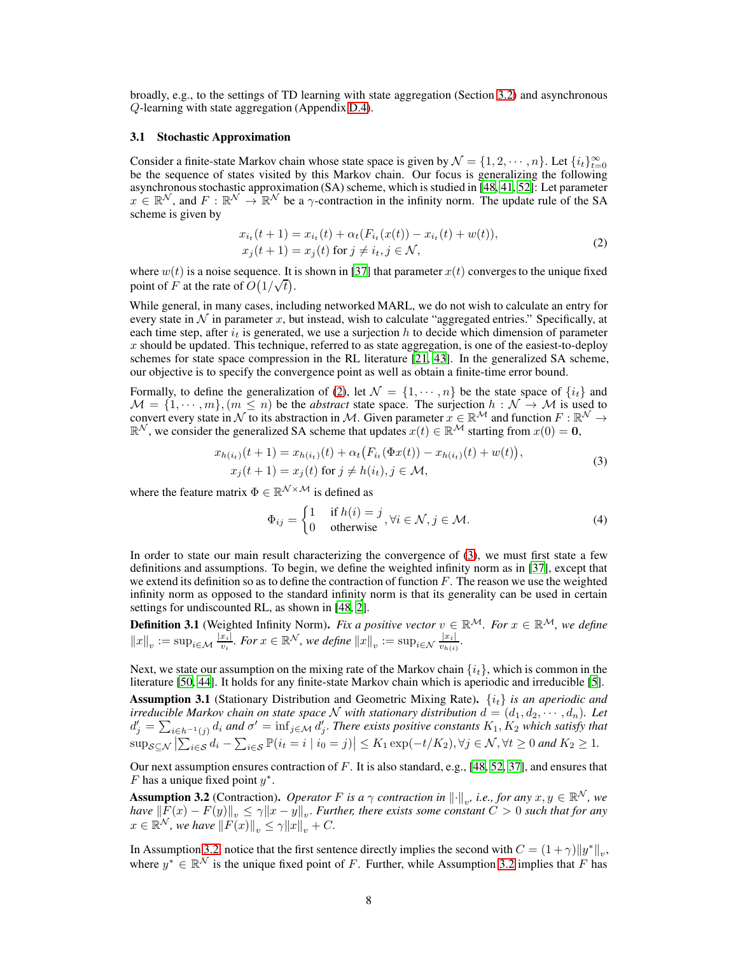broadly, e.g., to the settings of TD learning with state aggregation (Section [3.2\)](#page-8-1) and asynchronous Q-learning with state aggregation (Appendix [D.4\)](#page-39-0).

# <span id="page-7-0"></span>3.1 Stochastic Approximation

Consider a finite-state Markov chain whose state space is given by  $\mathcal{N} = \{1, 2, \dots, n\}$ . Let  $\{i_t\}_{t=0}^{\infty}$ be the sequence of states visited by this Markov chain. Our focus is generalizing the following asynchronous stochastic approximation (SA) scheme, which is studied in [\[48](#page-12-16), [41,](#page-11-15) [52](#page-12-11)]: Let parameter  $x \in \mathbb{R}^N$ , and  $F : \mathbb{R}^N \to \mathbb{R}^N$  be a  $\gamma$ -contraction in the infinity norm. The update rule of the SA scheme is given by

<span id="page-7-1"></span>
$$
x_{i_t}(t+1) = x_{i_t}(t) + \alpha_t (F_{i_t}(x(t)) - x_{i_t}(t) + w(t)),
$$
  
\n
$$
x_j(t+1) = x_j(t) \text{ for } j \neq i_t, j \in \mathcal{N},
$$
\n(2)

where  $w(t)$  is a noise sequence. It is shown in [\[37\]](#page-11-12) that parameter  $x(t)$  converges to the unique fixed point of F at the rate of  $O(1/\sqrt{t})$ .

While general, in many cases, including networked MARL, we do not wish to calculate an entry for every state in  $\mathcal N$  in parameter x, but instead, wish to calculate "aggregated entries." Specifically, at each time step, after  $i_t$  is generated, we use a surjection h to decide which dimension of parameter  $x$  should be updated. This technique, referred to as state aggregation, is one of the easiest-to-deploy schemes for state space compression in the RL literature [\[21,](#page-10-18) [43](#page-12-13)]. In the generalized SA scheme, our objective is to specify the convergence point as well as obtain a finite-time error bound.

Formally, to define the generalization of [\(2\)](#page-7-1), let  $\mathcal{N} = \{1, \dots, n\}$  be the state space of  $\{i_t\}$  and  $M = \{1, \dots, m\}, (m \leq n)$  be the *abstract* state space. The surjection  $h : \mathcal{N} \to \mathcal{M}$  is used to convert every state in  $N$  to its abstraction in M. Given parameter  $x \in \mathbb{R}^M$  and function  $F : \mathbb{R}^N \to \mathbb{R}^N$ , we consider the generalized SA scheme that updates  $x(t) \in \mathbb{R}^M$  starting from  $x(0) = \mathbf{0}$ ,

$$
x_{h(i_t)}(t+1) = x_{h(i_t)}(t) + \alpha_t (F_{i_t}(\Phi x(t)) - x_{h(i_t)}(t) + w(t)),
$$
  
\n
$$
x_j(t+1) = x_j(t) \text{ for } j \neq h(i_t), j \in \mathcal{M},
$$
\n(3)

where the feature matrix  $\Phi \in \mathbb{R}^{\mathcal{N} \times \mathcal{M}}$  is defined as

<span id="page-7-5"></span><span id="page-7-2"></span>
$$
\Phi_{ij} = \begin{cases} 1 & \text{if } h(i) = j \\ 0 & \text{otherwise} \end{cases}, \forall i \in \mathcal{N}, j \in \mathcal{M}.
$$
 (4)

In order to state our main result characterizing the convergence of [\(3\)](#page-7-2), we must first state a few definitions and assumptions. To begin, we define the weighted infinity norm as in [\[37\]](#page-11-12), except that we extend its definition so as to define the contraction of function  $F$ . The reason we use the weighted infinity norm as opposed to the standard infinity norm is that its generality can be used in certain settings for undiscounted RL, as shown in [\[48](#page-12-16), [2\]](#page-9-3).

**Definition 3.1** (Weighted Infinity Norm). *Fix a positive vector*  $v \in \mathbb{R}^{\mathcal{M}}$ *. For*  $x \in \mathbb{R}^{\mathcal{M}}$ *, we define*  $||x||_v := \sup_{i \in \mathcal{M}} \frac{|x_i|}{v_i}$ . For  $x \in \mathbb{R}^{\mathcal{N}}$ , we define  $||x||_v := \sup_{i \in \mathcal{N}} \frac{|x_i|}{v_{h(i)}}$ .

Next, we state our assumption on the mixing rate of the Markov chain  $\{i_t\}$ , which is common in the literature [\[50,](#page-12-17) [44\]](#page-12-9). It holds for any finite-state Markov chain which is aperiodic and irreducible [\[5\]](#page-9-2).

<span id="page-7-4"></span>Assumption 3.1 (Stationary Distribution and Geometric Mixing Rate). {it} *is an aperiodic and* irreducible Markov chain on state space  $N$  with stationary distribution  $d = (d_1, d_2, \dots, d_n)$ . Let  $d'_j = \sum_{i \in h^{-1}(j)} d_i$  and  $\sigma' = \inf_{j \in \mathcal{M}} d'_j$ . There exists positive constants  $K_1, K_2$  which satisfy that  $\sup_{\mathcal{S}\subseteq\mathcal{N}}\left|\sum_{i\in\mathcal{S}}d_i-\sum_{i\in\mathcal{S}}\mathbb{P}(i_t=i\mid i_0=j)\right|\leq K_1\exp(-t/K_2), \forall j\in\mathcal{N}, \forall t\geq 0 \text{ and } K_2\geq 1.$ 

Our next assumption ensures contraction of F. It is also standard, e.g., [\[48,](#page-12-16) [52](#page-12-11), [37](#page-11-12)], and ensures that F has a unique fixed point  $y^*$ .

<span id="page-7-3"></span>**Assumption 3.2** (Contraction). *Operator* F *is a*  $\gamma$  *contraction in*  $\|\cdot\|_v$ *, i.e., for any*  $x, y \in \mathbb{R}^N$ *, we have*  $||F(x) - F(y)||_v \le \gamma ||x - y||_v$ . *Further, there exists some constant*  $C > 0$  *such that for any*  $x \in \mathbb{R}^N$ , we have  $\|F(x)\|_v \leq \gamma \|x\|_v + C$ .

In Assumption [3.2,](#page-7-3) notice that the first sentence directly implies the second with  $C = (1 + \gamma) \|y^*\|_v$ , where  $y^* \in \mathbb{R}^{\mathcal{N}}$  is the unique fixed point of F. Further, while Assumption [3.2](#page-7-3) implies that F has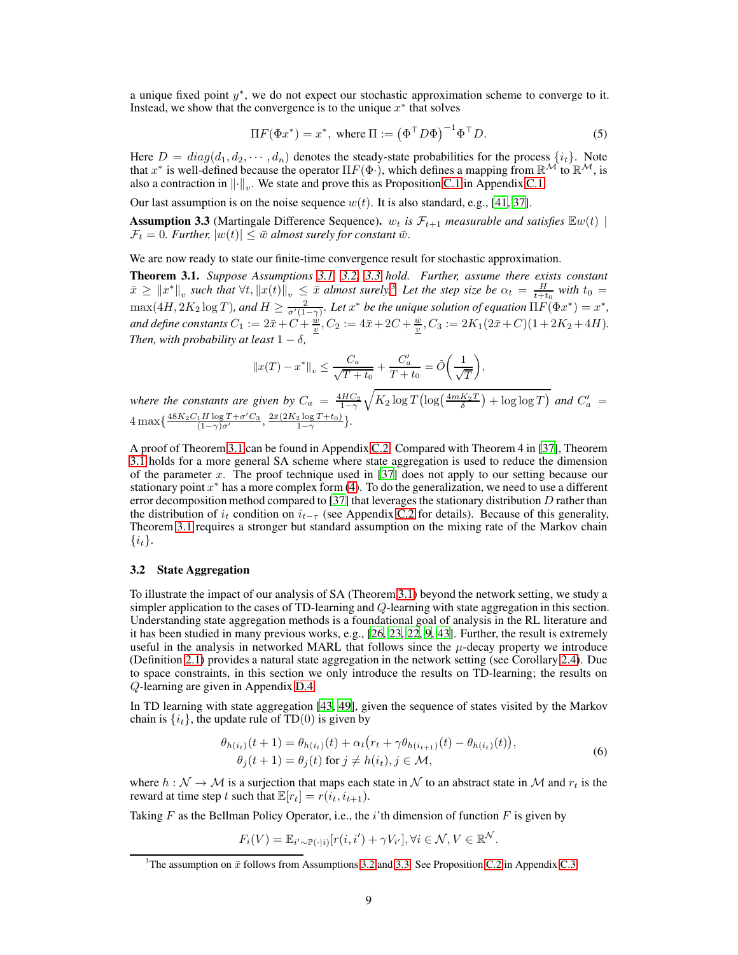a unique fixed point  $y^*$ , we do not expect our stochastic approximation scheme to converge to it. Instead, we show that the convergence is to the unique  $x^*$  that solves

<span id="page-8-5"></span>
$$
\Pi F(\Phi x^*) = x^*, \text{ where } \Pi := (\Phi^\top D \Phi)^{-1} \Phi^\top D. \tag{5}
$$

Here  $D = diag(d_1, d_2, \dots, d_n)$  denotes the steady-state probabilities for the process  $\{i_t\}$ . Note that  $x^*$  is well-defined because the operator  $\Pi F(\Phi)$ , which defines a mapping from  $\mathbb{R}^{\mathcal{M}}$  to  $\mathbb{R}^{\mathcal{M}}$ , is also a contraction in  $\left\| \cdot \right\|_v$ . We state and prove this as Proposition [C.1](#page-24-0) in Appendix [C.1.](#page-24-1)

<span id="page-8-2"></span>Our last assumption is on the noise sequence  $w(t)$ . It is also standard, e.g., [\[41,](#page-11-15) [37\]](#page-11-12).

**Assumption 3.3** (Martingale Difference Sequence).  $w_t$  *is*  $\mathcal{F}_{t+1}$  *measurable and satisfies*  $\mathbb{E}w(t)$  $\mathcal{F}_t = 0$ . Further,  $|w(t)| \leq \bar{w}$  almost surely for constant  $\bar{w}$ .

<span id="page-8-0"></span>We are now ready to state our finite-time convergence result for stochastic approximation.

Theorem 3.1. *Suppose Assumptions [3.1,](#page-7-4) [3.2,](#page-7-3) [3.3](#page-8-2) hold. Further, assume there exists constant*  $\bar{x} \geq ||x^*||_v$  such that  $\forall t, ||x(t)||_v \leq \bar{x}$  almost surely.<sup>[3](#page-8-3)</sup> Let the step size be  $\alpha_t = \frac{H}{t+t_0}$  with  $t_0 =$  $\max(4H, 2K_2 \log T)$ , and  $H \ge \frac{2}{\sigma'(1-\gamma)}$ . Let  $x^*$  be the unique solution of equation  $\Pi F(\Phi x^*) = x^*$ , and define constants  $C_1 := 2\bar{x} + C + \frac{\bar{w}}{2}$ ,  $C_2 := 4\bar{x} + 2C + \frac{\bar{w}}{2}$ ,  $C_3 := 2K_1(2\bar{x} + C)(1 + 2K_2 + 4H)$ . *Then, with probability at least*  $1 - \delta$ *,* 

$$
||x(T) - x^*||_v \le \frac{C_a}{\sqrt{T + t_0}} + \frac{C'_a}{T + t_0} = \tilde{O}\left(\frac{1}{\sqrt{T}}\right),
$$

*where the constants are given by*  $C_a = \frac{4HC_2}{1-\gamma}$  $\sqrt{K_2 \log T \left( \log \left( \frac{4 m K_2 T}{\delta} \right) + \log \log T \right)}$  and  $C'_a$  =  $4 \max\{\frac{48K_2C_1H\log T + \sigma'C_3}{(1-\gamma)\sigma'}\}$  $\frac{\sqrt{1H \log T + \sigma' C_3}}{(1-\gamma)\sigma'}$ ,  $\frac{2\bar{x}(2K_2 \log T + t_0)}{1-\gamma}$  $\frac{2 \log I + t_0}{1-\gamma}$ .

A proof of Theorem [3.1](#page-8-0) can be found in Appendix [C.2.](#page-25-0) Compared with Theorem 4 in [\[37\]](#page-11-12), Theorem [3.1](#page-8-0) holds for a more general SA scheme where state aggregation is used to reduce the dimension of the parameter x. The proof technique used in  $[37]$  does not apply to our setting because our stationary point  $x^*$  has a more complex form [\(4\)](#page-7-5). To do the generalization, we need to use a different error decomposition method compared to [\[37](#page-11-12)] that leverages the stationary distribution  $D$  rather than the distribution of  $i_t$  condition on  $i_{t-\tau}$  (see Appendix [C.2](#page-25-0) for details). Because of this generality, Theorem [3.1](#page-8-0) requires a stronger but standard assumption on the mixing rate of the Markov chain  $\{i_t\}.$ 

## <span id="page-8-1"></span>3.2 State Aggregation

To illustrate the impact of our analysis of SA (Theorem [3.1\)](#page-8-0) beyond the network setting, we study a simpler application to the cases of TD-learning and Q-learning with state aggregation in this section. Understanding state aggregation methods is a foundational goal of analysis in the RL literature and it has been studied in many previous works, e.g., [\[26,](#page-11-13) [23,](#page-10-14) [22,](#page-10-15) [9](#page-10-16), [43](#page-12-13)]. Further, the result is extremely useful in the analysis in networked MARL that follows since the  $\mu$ -decay property we introduce (Definition [2.1\)](#page-4-0) provides a natural state aggregation in the network setting (see Corollary [2.4\)](#page-6-1). Due to space constraints, in this section we only introduce the results on TD-learning; the results on Q-learning are given in Appendix [D.4.](#page-39-0)

In TD learning with state aggregation [\[43,](#page-12-13) [49](#page-12-12)], given the sequence of states visited by the Markov chain is  $\{i_t\}$ , the update rule of TD(0) is given by

<span id="page-8-4"></span>
$$
\theta_{h(i_t)}(t+1) = \theta_{h(i_t)}(t) + \alpha_t \left(r_t + \gamma \theta_{h(i_{t+1})}(t) - \theta_{h(i_t)}(t)\right),
$$
  
\n
$$
\theta_j(t+1) = \theta_j(t) \text{ for } j \neq h(i_t), j \in \mathcal{M},
$$
\n(6)

where  $h : \mathcal{N} \to \mathcal{M}$  is a surjection that maps each state in  $\mathcal{N}$  to an abstract state in  $\mathcal{M}$  and  $r_t$  is the reward at time step t such that  $\mathbb{E}[r_t] = r(i_t, i_{t+1})$ .

Taking  $F$  as the Bellman Policy Operator, i.e., the i'th dimension of function  $F$  is given by

$$
F_i(V) = \mathbb{E}_{i' \sim \mathbb{P}(\cdot|i)}[r(i, i') + \gamma V_{i'}], \forall i \in \mathcal{N}, V \in \mathbb{R}^{\mathcal{N}}.
$$

<span id="page-8-3"></span><sup>&</sup>lt;sup>3</sup>The assumption on  $\bar{x}$  follows from Assumptions [3.2](#page-7-3) and [3.3.](#page-8-2) See Proposition [C.2](#page-34-0) in Appendix [C.3.](#page-34-1)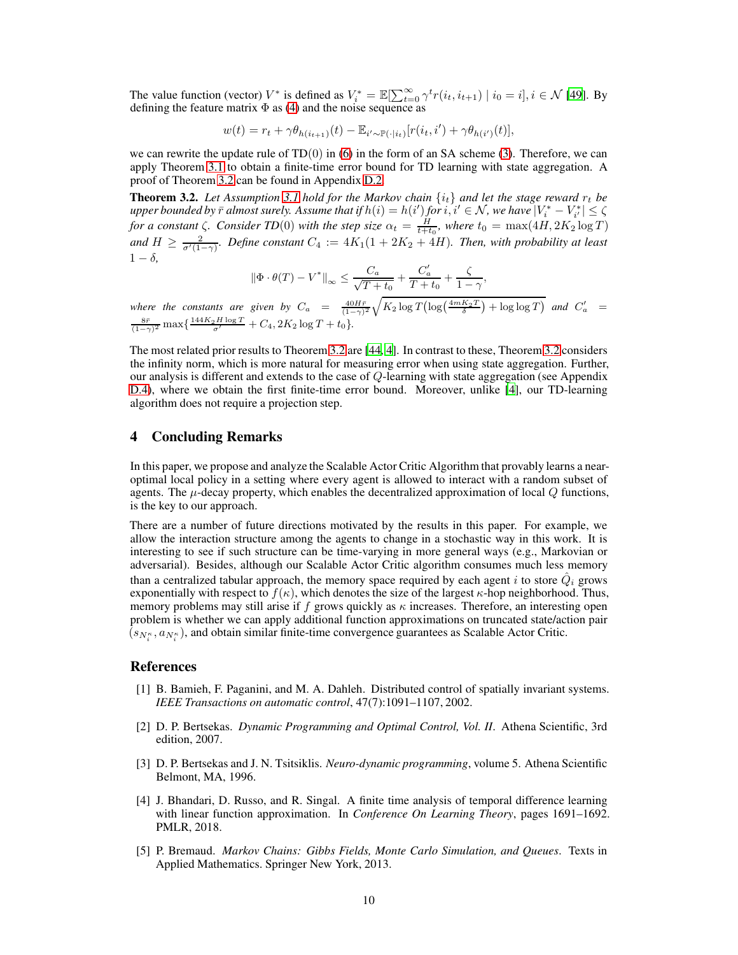The value function (vector)  $V^*$  is defined as  $V_i^* = \mathbb{E}[\sum_{t=0}^{\infty} \gamma^t r(i_t, i_{t+1}) | i_0 = i], i \in \mathcal{N}$  [\[49](#page-12-12)]. By defining the feature matrix  $\Phi$  as [\(4\)](#page-7-5) and the noise sequence as

$$
w(t) = r_t + \gamma \theta_{h(i_{t+1})}(t) - \mathbb{E}_{i' \sim \mathbb{P}(\cdot|i_t)}[r(i_t, i') + \gamma \theta_{h(i')}(t)],
$$

we can rewrite the update rule of  $TD(0)$  in [\(6\)](#page-8-4) in the form of an SA scheme [\(3\)](#page-7-2). Therefore, we can apply Theorem [3.1](#page-8-0) to obtain a finite-time error bound for TD learning with state aggregation. A proof of Theorem [3.2](#page-9-1) can be found in Appendix [D.2.](#page-37-0)

<span id="page-9-1"></span>**Theorem 3.2.** Let Assumption [3.1](#page-7-4) hold for the Markov chain  $\{i_t\}$  and let the stage reward  $r_t$  be  $p$  *apper bounded by*  $\bar{r}$  *almost surely. Assume that if*  $h(i) = h(i')$  *for*  $i, i' \in \mathcal{N}$  *, we have*  $|V_i^* - V_{i'}^*| \leq \zeta$ *for a constant*  $\zeta$ *. Consider TD*(0) *with the step size*  $\alpha_t = \frac{H}{t+t_0}$ *, where*  $t_0 = \max(4H, 2K_2 \log T)$ and  $H \ge \frac{2}{\sigma'(1-\gamma)}$ *. Define constant*  $C_4 := 4K_1(1+2K_2+4H)$ *. Then, with probability at least*  $1 - \delta$ 

$$
\|\Phi \cdot \theta(T) - V^*\|_{\infty} \le \frac{C_a}{\sqrt{T+t_0}} + \frac{C'_a}{T+t_0} + \frac{\zeta}{1-\gamma},
$$

*where the constants are given by*  $C_a = \frac{40H\bar{r}}{(1-\gamma)^2} \sqrt{K_2 \log T (\log(\frac{4mK_2T}{\delta}) + \log \log T)}$  and  $C'_a$  $\frac{8\bar{r}}{(1-\gamma)^2}$  max { $\frac{144K_2H\log T}{\sigma'} + C_4$ ,  $2K_2\log T + t_0$  }.

The most related prior results to Theorem [3.2](#page-9-1) are [\[44,](#page-12-9) [4\]](#page-9-4). In contrast to these, Theorem [3.2](#page-9-1) considers the infinity norm, which is more natural for measuring error when using state aggregation. Further, our analysis is different and extends to the case of  $Q$ -learning with state aggregation (see Appendix [D.4\)](#page-39-0), where we obtain the first finite-time error bound. Moreover, unlike [\[4](#page-9-4)], our TD-learning algorithm does not require a projection step.

# 4 Concluding Remarks

In this paper, we propose and analyze the Scalable Actor Critic Algorithm that provably learns a nearoptimal local policy in a setting where every agent is allowed to interact with a random subset of agents. The  $\mu$ -decay property, which enables the decentralized approximation of local  $Q$  functions, is the key to our approach.

There are a number of future directions motivated by the results in this paper. For example, we allow the interaction structure among the agents to change in a stochastic way in this work. It is interesting to see if such structure can be time-varying in more general ways (e.g., Markovian or adversarial). Besides, although our Scalable Actor Critic algorithm consumes much less memory than a centralized tabular approach, the memory space required by each agent i to store  $\hat{Q}_{i}$  grows exponentially with respect to  $f(\kappa)$ , which denotes the size of the largest  $\kappa$ -hop neighborhood. Thus, memory problems may still arise if f grows quickly as  $\kappa$  increases. Therefore, an interesting open problem is whether we can apply additional function approximations on truncated state/action pair  $(s_{N_i^{\kappa}}, a_{N_i^{\kappa}})$ , and obtain similar finite-time convergence guarantees as Scalable Actor Critic.

## References

- <span id="page-9-0"></span>[1] B. Bamieh, F. Paganini, and M. A. Dahleh. Distributed control of spatially invariant systems. *IEEE Transactions on automatic control*, 47(7):1091–1107, 2002.
- <span id="page-9-3"></span>[2] D. P. Bertsekas. *Dynamic Programming and Optimal Control, Vol. II*. Athena Scientific, 3rd edition, 2007.
- <span id="page-9-5"></span>[3] D. P. Bertsekas and J. N. Tsitsiklis. *Neuro-dynamic programming*, volume 5. Athena Scientific Belmont, MA, 1996.
- <span id="page-9-4"></span>[4] J. Bhandari, D. Russo, and R. Singal. A finite time analysis of temporal difference learning with linear function approximation. In *Conference On Learning Theory*, pages 1691–1692. PMLR, 2018.
- <span id="page-9-2"></span>[5] P. Bremaud. *Markov Chains: Gibbs Fields, Monte Carlo Simulation, and Queues*. Texts in Applied Mathematics. Springer New York, 2013.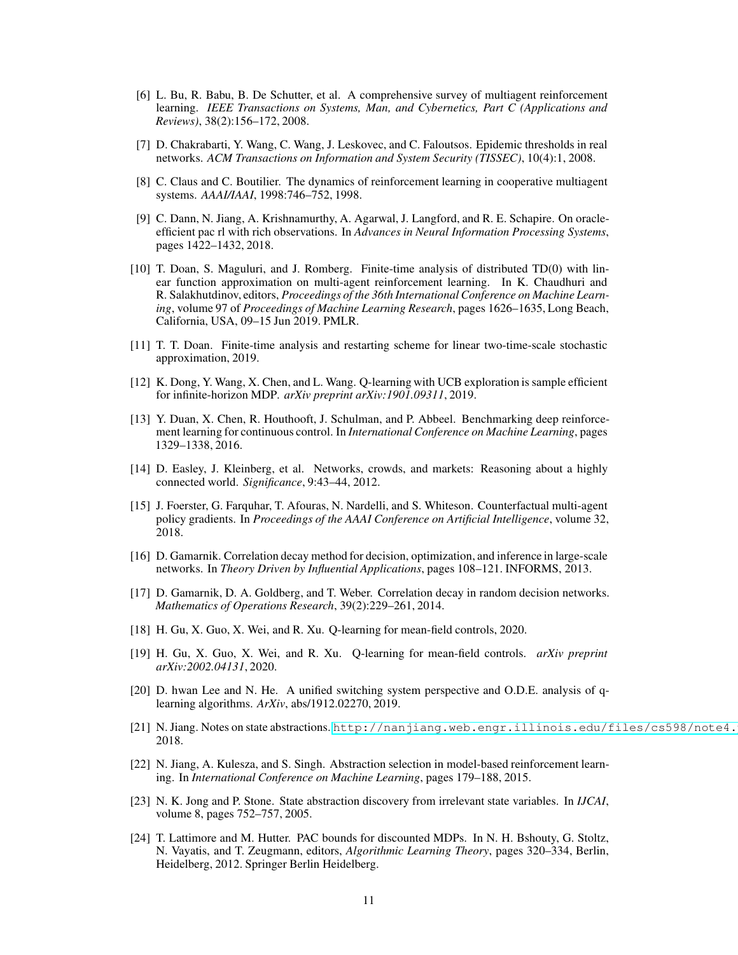- <span id="page-10-7"></span>[6] L. Bu, R. Babu, B. De Schutter, et al. A comprehensive survey of multiagent reinforcement learning. *IEEE Transactions on Systems, Man, and Cybernetics, Part C (Applications and Reviews)*, 38(2):156–172, 2008.
- <span id="page-10-2"></span>[7] D. Chakrabarti, Y. Wang, C. Wang, J. Leskovec, and C. Faloutsos. Epidemic thresholds in real networks. *ACM Transactions on Information and System Security (TISSEC)*, 10(4):1, 2008.
- <span id="page-10-9"></span>[8] C. Claus and C. Boutilier. The dynamics of reinforcement learning in cooperative multiagent systems. *AAAI/IAAI*, 1998:746–752, 1998.
- <span id="page-10-16"></span>[9] C. Dann, N. Jiang, A. Krishnamurthy, A. Agarwal, J. Langford, and R. E. Schapire. On oracleefficient pac rl with rich observations. In *Advances in Neural Information Processing Systems*, pages 1422–1432, 2018.
- <span id="page-10-8"></span>[10] T. Doan, S. Maguluri, and J. Romberg. Finite-time analysis of distributed TD(0) with linear function approximation on multi-agent reinforcement learning. In K. Chaudhuri and R. Salakhutdinov, editors, *Proceedings of the 36th International Conference on Machine Learning*, volume 97 of *Proceedings of Machine Learning Research*, pages 1626–1635, Long Beach, California, USA, 09–15 Jun 2019. PMLR.
- <span id="page-10-12"></span>[11] T. T. Doan. Finite-time analysis and restarting scheme for linear two-time-scale stochastic approximation, 2019.
- <span id="page-10-6"></span>[12] K. Dong, Y. Wang, X. Chen, and L. Wang. Q-learning with UCB exploration is sample efficient for infinite-horizon MDP. *arXiv preprint arXiv:1901.09311*, 2019.
- <span id="page-10-0"></span>[13] Y. Duan, X. Chen, R. Houthooft, J. Schulman, and P. Abbeel. Benchmarking deep reinforcement learning for continuous control. In *International Conference on Machine Learning*, pages 1329–1338, 2016.
- <span id="page-10-17"></span>[14] D. Easley, J. Kleinberg, et al. Networks, crowds, and markets: Reasoning about a highly connected world. *Significance*, 9:43–44, 2012.
- <span id="page-10-11"></span>[15] J. Foerster, G. Farquhar, T. Afouras, N. Nardelli, and S. Whiteson. Counterfactual multi-agent policy gradients. In *Proceedings of the AAAI Conference on Artificial Intelligence*, volume 32, 2018.
- <span id="page-10-3"></span>[16] D. Gamarnik. Correlation decay method for decision, optimization, and inference in large-scale networks. In *Theory Driven by Influential Applications*, pages 108–121. INFORMS, 2013.
- <span id="page-10-4"></span>[17] D. Gamarnik, D. A. Goldberg, and T. Weber. Correlation decay in random decision networks. *Mathematics of Operations Research*, 39(2):229–261, 2014.
- <span id="page-10-1"></span>[18] H. Gu, X. Guo, X. Wei, and R. Xu. Q-learning for mean-field controls, 2020.
- <span id="page-10-10"></span>[19] H. Gu, X. Guo, X. Wei, and R. Xu. Q-learning for mean-field controls. *arXiv preprint arXiv:2002.04131*, 2020.
- <span id="page-10-13"></span>[20] D. hwan Lee and N. He. A unified switching system perspective and O.D.E. analysis of qlearning algorithms. *ArXiv*, abs/1912.02270, 2019.
- <span id="page-10-18"></span>[21] N. Jiang. Notes on state abstractions. http://nanjiang.web.engr.illinois.edu/files/cs598/note4. 2018.
- <span id="page-10-15"></span>[22] N. Jiang, A. Kulesza, and S. Singh. Abstraction selection in model-based reinforcement learning. In *International Conference on Machine Learning*, pages 179–188, 2015.
- <span id="page-10-14"></span>[23] N. K. Jong and P. Stone. State abstraction discovery from irrelevant state variables. In *IJCAI*, volume 8, pages 752–757, 2005.
- <span id="page-10-5"></span>[24] T. Lattimore and M. Hutter. PAC bounds for discounted MDPs. In N. H. Bshouty, G. Stoltz, N. Vayatis, and T. Zeugmann, editors, *Algorithmic Learning Theory*, pages 320–334, Berlin, Heidelberg, 2012. Springer Berlin Heidelberg.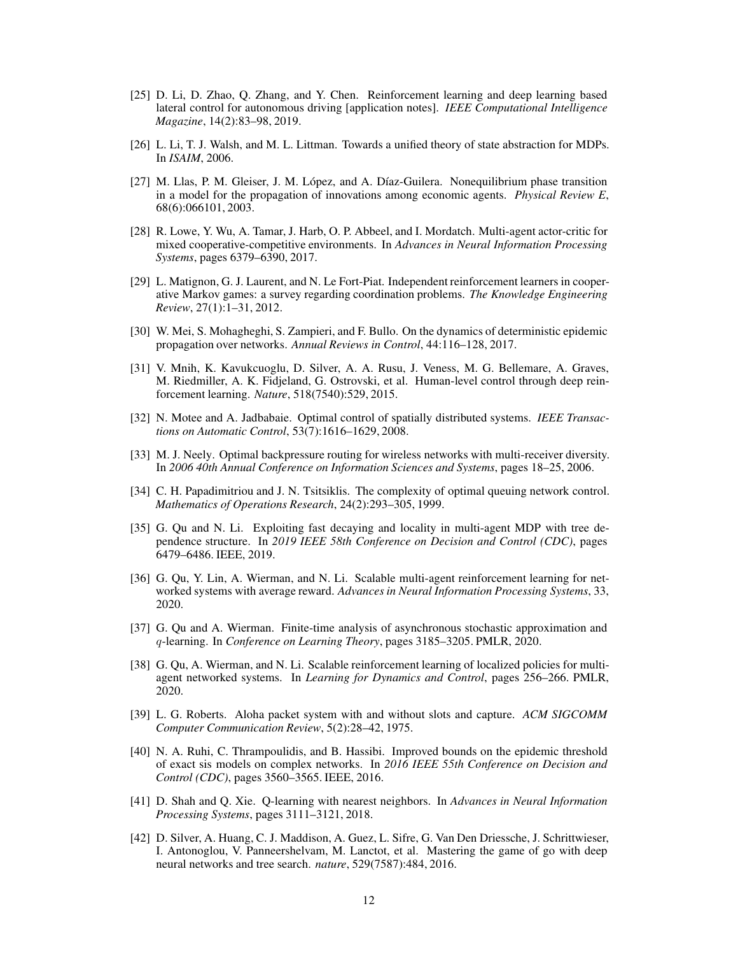- <span id="page-11-2"></span>[25] D. Li, D. Zhao, Q. Zhang, and Y. Chen. Reinforcement learning and deep learning based lateral control for autonomous driving [application notes]. *IEEE Computational Intelligence Magazine*, 14(2):83–98, 2019.
- <span id="page-11-13"></span>[26] L. Li, T. J. Walsh, and M. L. Littman. Towards a unified theory of state abstraction for MDPs. In *ISAIM*, 2006.
- <span id="page-11-5"></span>[27] M. Llas, P. M. Gleiser, J. M. López, and A. Díaz-Guilera. Nonequilibrium phase transition in a model for the propagation of innovations among economic agents. *Physical Review E*, 68(6):066101, 2003.
- <span id="page-11-11"></span>[28] R. Lowe, Y. Wu, A. Tamar, J. Harb, O. P. Abbeel, and I. Mordatch. Multi-agent actor-critic for mixed cooperative-competitive environments. In *Advances in Neural Information Processing Systems*, pages 6379–6390, 2017.
- <span id="page-11-10"></span>[29] L. Matignon, G. J. Laurent, and N. Le Fort-Piat. Independent reinforcement learners in cooperative Markov games: a survey regarding coordination problems. *The Knowledge Engineering Review*, 27(1):1–31, 2012.
- <span id="page-11-9"></span>[30] W. Mei, S. Mohagheghi, S. Zampieri, and F. Bullo. On the dynamics of deterministic epidemic propagation over networks. *Annual Reviews in Control*, 44:116–128, 2017.
- <span id="page-11-1"></span>[31] V. Mnih, K. Kavukcuoglu, D. Silver, A. A. Rusu, J. Veness, M. G. Bellemare, A. Graves, M. Riedmiller, A. K. Fidjeland, G. Ostrovski, et al. Human-level control through deep reinforcement learning. *Nature*, 518(7540):529, 2015.
- <span id="page-11-7"></span>[32] N. Motee and A. Jadbabaie. Optimal control of spatially distributed systems. *IEEE Transactions on Automatic Control*, 53(7):1616–1629, 2008.
- <span id="page-11-8"></span>[33] M. J. Neely. Optimal backpressure routing for wireless networks with multi-receiver diversity. In *2006 40th Annual Conference on Information Sciences and Systems*, pages 18–25, 2006.
- <span id="page-11-6"></span>[34] C. H. Papadimitriou and J. N. Tsitsiklis. The complexity of optimal queuing network control. *Mathematics of Operations Research*, 24(2):293–305, 1999.
- <span id="page-11-3"></span>[35] G. Qu and N. Li. Exploiting fast decaying and locality in multi-agent MDP with tree dependence structure. In *2019 IEEE 58th Conference on Decision and Control (CDC)*, pages 6479–6486. IEEE, 2019.
- <span id="page-11-14"></span>[36] G. Qu, Y. Lin, A. Wierman, and N. Li. Scalable multi-agent reinforcement learning for networked systems with average reward. *Advances in Neural Information Processing Systems*, 33, 2020.
- <span id="page-11-12"></span>[37] G. Qu and A. Wierman. Finite-time analysis of asynchronous stochastic approximation and q-learning. In *Conference on Learning Theory*, pages 3185–3205. PMLR, 2020.
- <span id="page-11-4"></span>[38] G. Qu, A. Wierman, and N. Li. Scalable reinforcement learning of localized policies for multiagent networked systems. In *Learning for Dynamics and Control*, pages 256–266. PMLR, 2020.
- <span id="page-11-16"></span>[39] L. G. Roberts. Aloha packet system with and without slots and capture. *ACM SIGCOMM Computer Communication Review*, 5(2):28–42, 1975.
- <span id="page-11-17"></span>[40] N. A. Ruhi, C. Thrampoulidis, and B. Hassibi. Improved bounds on the epidemic threshold of exact sis models on complex networks. In *2016 IEEE 55th Conference on Decision and Control (CDC)*, pages 3560–3565. IEEE, 2016.
- <span id="page-11-15"></span>[41] D. Shah and Q. Xie. Q-learning with nearest neighbors. In *Advances in Neural Information Processing Systems*, pages 3111–3121, 2018.
- <span id="page-11-0"></span>[42] D. Silver, A. Huang, C. J. Maddison, A. Guez, L. Sifre, G. Van Den Driessche, J. Schrittwieser, I. Antonoglou, V. Panneershelvam, M. Lanctot, et al. Mastering the game of go with deep neural networks and tree search. *nature*, 529(7587):484, 2016.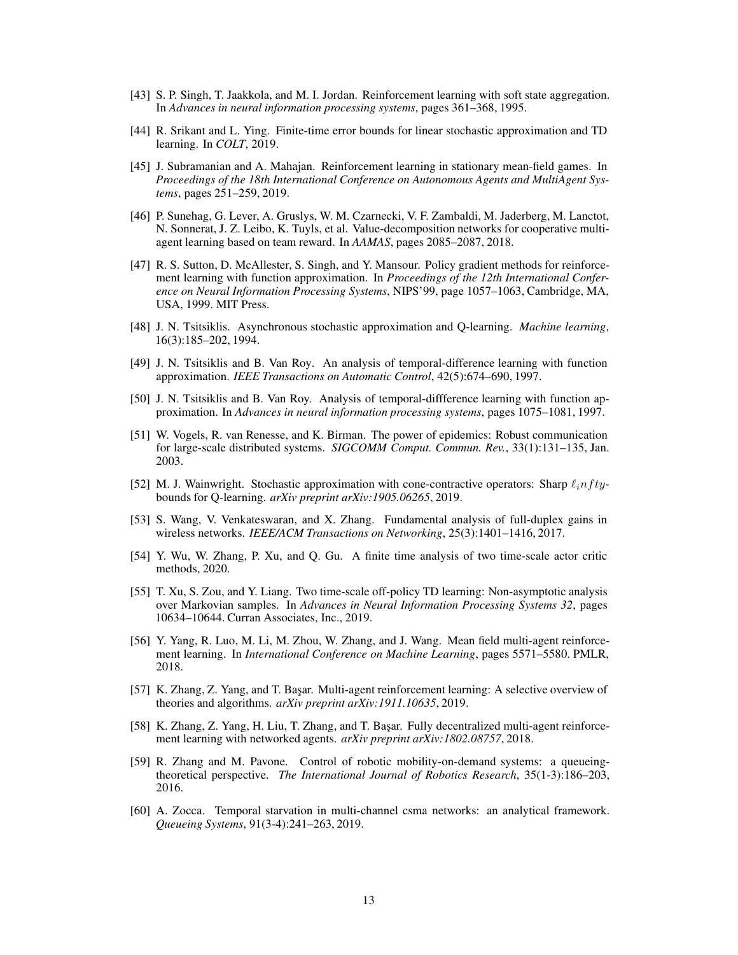- <span id="page-12-13"></span>[43] S. P. Singh, T. Jaakkola, and M. I. Jordan. Reinforcement learning with soft state aggregation. In *Advances in neural information processing systems*, pages 361–368, 1995.
- <span id="page-12-9"></span>[44] R. Srikant and L. Ying. Finite-time error bounds for linear stochastic approximation and TD learning. In *COLT*, 2019.
- <span id="page-12-6"></span>[45] J. Subramanian and A. Mahajan. Reinforcement learning in stationary mean-field games. In *Proceedings of the 18th International Conference on Autonomous Agents and MultiAgent Systems*, pages 251–259, 2019.
- <span id="page-12-15"></span>[46] P. Sunehag, G. Lever, A. Gruslys, W. M. Czarnecki, V. F. Zambaldi, M. Jaderberg, M. Lanctot, N. Sonnerat, J. Z. Leibo, K. Tuyls, et al. Value-decomposition networks for cooperative multiagent learning based on team reward. In *AAMAS*, pages 2085–2087, 2018.
- <span id="page-12-14"></span>[47] R. S. Sutton, D. McAllester, S. Singh, and Y. Mansour. Policy gradient methods for reinforcement learning with function approximation. In *Proceedings of the 12th International Conference on Neural Information Processing Systems*, NIPS'99, page 1057–1063, Cambridge, MA, USA, 1999. MIT Press.
- <span id="page-12-16"></span>[48] J. N. Tsitsiklis. Asynchronous stochastic approximation and Q-learning. *Machine learning*, 16(3):185–202, 1994.
- <span id="page-12-12"></span>[49] J. N. Tsitsiklis and B. Van Roy. An analysis of temporal-difference learning with function approximation. *IEEE Transactions on Automatic Control*, 42(5):674–690, 1997.
- <span id="page-12-17"></span>[50] J. N. Tsitsiklis and B. Van Roy. Analysis of temporal-diffference learning with function approximation. In *Advances in neural information processing systems*, pages 1075–1081, 1997.
- <span id="page-12-2"></span>[51] W. Vogels, R. van Renesse, and K. Birman. The power of epidemics: Robust communication for large-scale distributed systems. *SIGCOMM Comput. Commun. Rev.*, 33(1):131–135, Jan. 2003.
- <span id="page-12-11"></span>[52] M. J. Wainwright. Stochastic approximation with cone-contractive operators: Sharp  $\ell_i n f t y$ bounds for Q-learning. *arXiv preprint arXiv:1905.06265*, 2019.
- <span id="page-12-4"></span>[53] S. Wang, V. Venkateswaran, and X. Zhang. Fundamental analysis of full-duplex gains in wireless networks. *IEEE/ACM Transactions on Networking*, 25(3):1401–1416, 2017.
- <span id="page-12-8"></span>[54] Y. Wu, W. Zhang, P. Xu, and Q. Gu. A finite time analysis of two time-scale actor critic methods, 2020.
- <span id="page-12-10"></span>[55] T. Xu, S. Zou, and Y. Liang. Two time-scale off-policy TD learning: Non-asymptotic analysis over Markovian samples. In *Advances in Neural Information Processing Systems 32*, pages 10634–10644. Curran Associates, Inc., 2019.
- <span id="page-12-7"></span>[56] Y. Yang, R. Luo, M. Li, M. Zhou, W. Zhang, and J. Wang. Mean field multi-agent reinforcement learning. In *International Conference on Machine Learning*, pages 5571–5580. PMLR, 2018.
- <span id="page-12-0"></span>[57] K. Zhang, Z. Yang, and T. Başar. Multi-agent reinforcement learning: A selective overview of theories and algorithms. *arXiv preprint arXiv:1911.10635*, 2019.
- <span id="page-12-5"></span>[58] K. Zhang, Z. Yang, H. Liu, T. Zhang, and T. Başar. Fully decentralized multi-agent reinforcement learning with networked agents. *arXiv preprint arXiv:1802.08757*, 2018.
- <span id="page-12-3"></span>[59] R. Zhang and M. Pavone. Control of robotic mobility-on-demand systems: a queueingtheoretical perspective. *The International Journal of Robotics Research*, 35(1-3):186–203, 2016.
- <span id="page-12-1"></span>[60] A. Zocca. Temporal starvation in multi-channel csma networks: an analytical framework. *Queueing Systems*, 91(3-4):241–263, 2019.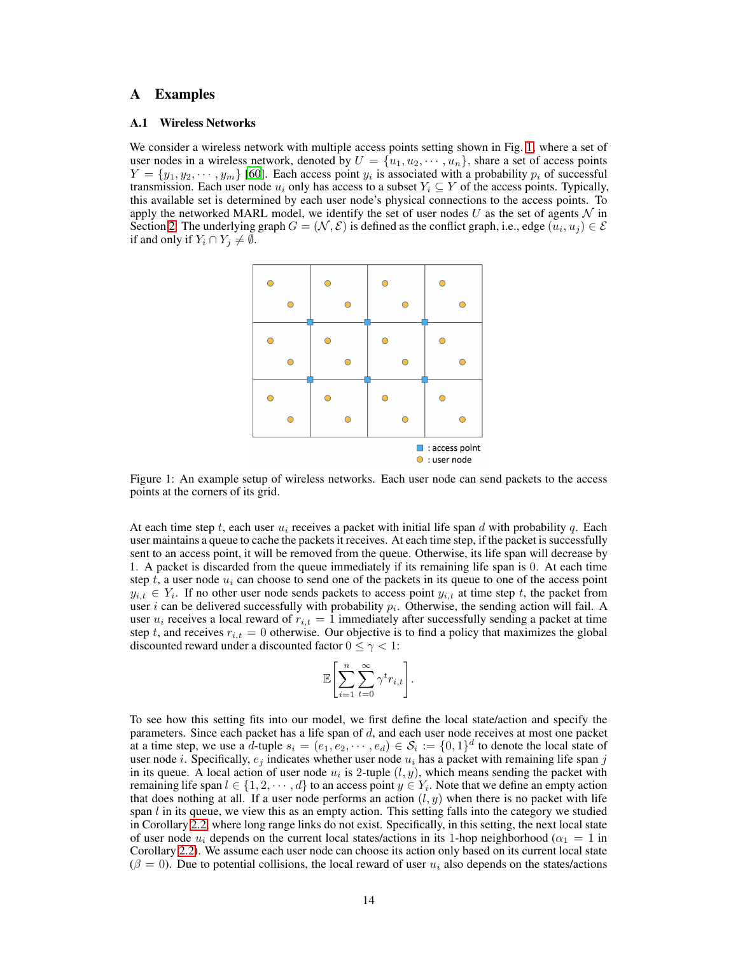## <span id="page-13-0"></span>A Examples

#### A.1 Wireless Networks

<span id="page-13-1"></span>We consider a wireless network with multiple access points setting shown in Fig. [1,](#page-13-1) where a set of user nodes in a wireless network, denoted by  $U = \{u_1, u_2, \dots, u_n\}$ , share a set of access points  $Y = \{y_1, y_2, \dots, y_m\}$  [\[60\]](#page-12-1). Each access point  $y_i$  is associated with a probability  $p_i$  of successful transmission. Each user node  $u_i$  only has access to a subset  $Y_i \subseteq Y$  of the access points. Typically, this available set is determined by each user node's physical connections to the access points. To apply the networked MARL model, we identify the set of user nodes U as the set of agents  $\mathcal N$  in Section [2.](#page-2-0) The underlying graph  $G = (\mathcal{N}, \mathcal{E})$  is defined as the conflict graph, i.e., edge  $(u_i, u_j) \in \mathcal{E}$ if and only if  $Y_i \cap Y_j \neq \emptyset$ .



Figure 1: An example setup of wireless networks. Each user node can send packets to the access points at the corners of its grid.

At each time step t, each user  $u_i$  receives a packet with initial life span d with probability q. Each user maintains a queue to cache the packets it receives. At each time step, if the packet is successfully sent to an access point, it will be removed from the queue. Otherwise, its life span will decrease by 1. A packet is discarded from the queue immediately if its remaining life span is 0. At each time step t, a user node  $u_i$  can choose to send one of the packets in its queue to one of the access point  $y_{i,t} \in Y_i$ . If no other user node sends packets to access point  $y_{i,t}$  at time step t, the packet from user *i* can be delivered successfully with probability  $p_i$ . Otherwise, the sending action will fail. A user  $u_i$  receives a local reward of  $r_{i,t} = 1$  immediately after successfully sending a packet at time step t, and receives  $r_{i,t} = 0$  otherwise. Our objective is to find a policy that maximizes the global discounted reward under a discounted factor  $0 \leq \gamma < 1$ :

$$
\mathbb{E}\left[\sum_{i=1}^n\sum_{t=0}^\infty\gamma^tr_{i,t}\right].
$$

To see how this setting fits into our model, we first define the local state/action and specify the parameters. Since each packet has a life span of d, and each user node receives at most one packet at a time step, we use a d-tuple  $s_i = (e_1, e_2, \dots, e_d) \in S_i := \{0, 1\}^d$  to denote the local state of user node i. Specifically,  $e_i$  indicates whether user node  $u_i$  has a packet with remaining life span j in its queue. A local action of user node  $u_i$  is 2-tuple  $(l, y)$ , which means sending the packet with remaining life span  $l \in \{1, 2, \dots, d\}$  to an access point  $y \in Y_i$ . Note that we define an empty action that does nothing at all. If a user node performs an action  $(l, y)$  when there is no packet with life span  $l$  in its queue, we view this as an empty action. This setting falls into the category we studied in Corollary [2.2,](#page-4-2) where long range links do not exist. Specifically, in this setting, the next local state of user node  $u_i$  depends on the current local states/actions in its 1-hop neighborhood ( $\alpha_1 = 1$  in Corollary [2.2\)](#page-4-2). We assume each user node can choose its action only based on its current local state  $(\beta = 0)$ . Due to potential collisions, the local reward of user  $u_i$  also depends on the states/actions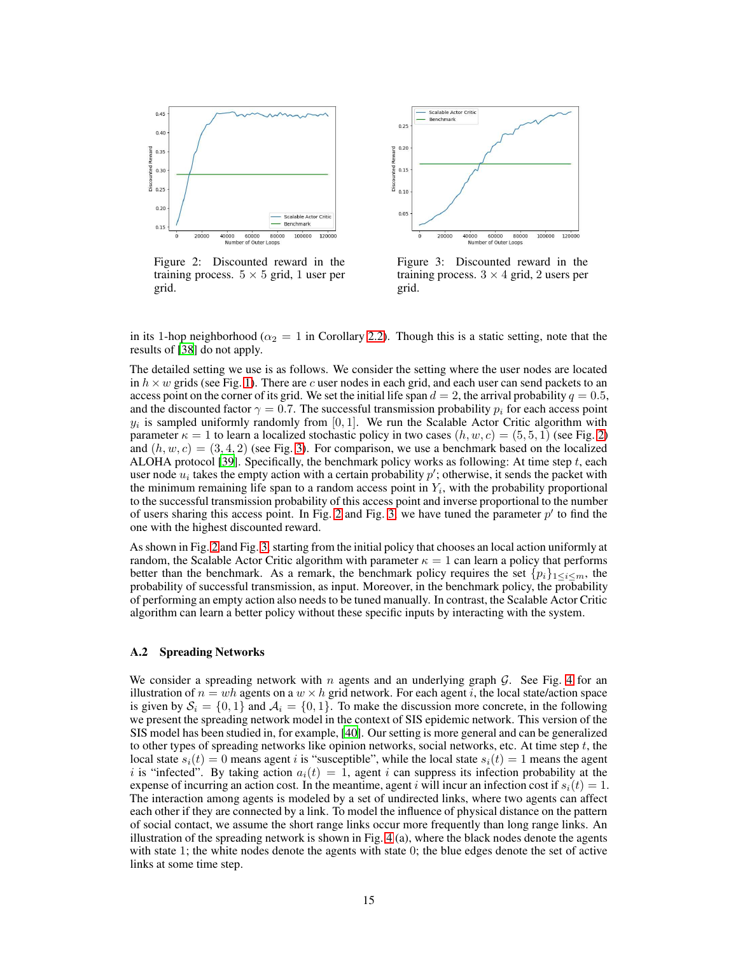<span id="page-14-0"></span>

Figure 2: Discounted reward in the training process.  $5 \times 5$  grid, 1 user per grid.



Figure 3: Discounted reward in the training process.  $3 \times 4$  grid, 2 users per grid.

in its 1-hop neighborhood ( $\alpha_2 = 1$  in Corollary [2.2\)](#page-4-2). Though this is a static setting, note that the results of [\[38\]](#page-11-4) do not apply.

The detailed setting we use is as follows. We consider the setting where the user nodes are located in  $h \times w$  grids (see Fig. [1\)](#page-13-1). There are c user nodes in each grid, and each user can send packets to an access point on the corner of its grid. We set the initial life span  $d = 2$ , the arrival probability  $q = 0.5$ , and the discounted factor  $\gamma = 0.7$ . The successful transmission probability  $p_i$  for each access point  $y_i$  is sampled uniformly randomly from [0, 1]. We run the Scalable Actor Critic algorithm with parameter  $\kappa = 1$  to learn a localized stochastic policy in two cases  $(h, w, c) = (5, 5, 1)$  (see Fig. [2\)](#page-14-0) and  $(h, w, c) = (3, 4, 2)$  (see Fig. [3\)](#page-14-0). For comparison, we use a benchmark based on the localized ALOHA protocol [\[39](#page-11-16)]. Specifically, the benchmark policy works as following: At time step  $t$ , each user node  $u_i$  takes the empty action with a certain probability  $p'$ ; otherwise, it sends the packet with the minimum remaining life span to a random access point in  $Y_i$ , with the probability proportional to the successful transmission probability of this access point and inverse proportional to the number of users sharing this access point. In Fig. [2](#page-14-0) and Fig. [3,](#page-14-0) we have tuned the parameter  $p'$  to find the one with the highest discounted reward.

As shown in Fig. [2](#page-14-0) and Fig. [3,](#page-14-0) starting from the initial policy that chooses an local action uniformly at random, the Scalable Actor Critic algorithm with parameter  $\kappa = 1$  can learn a policy that performs better than the benchmark. As a remark, the benchmark policy requires the set  $\{p_i\}_{1\leq i\leq m}$ , the probability of successful transmission, as input. Moreover, in the benchmark policy, the probability of performing an empty action also needs to be tuned manually. In contrast, the Scalable Actor Critic algorithm can learn a better policy without these specific inputs by interacting with the system.

#### A.2 Spreading Networks

We consider a spreading network with n agents and an underlying graph  $G$ . See Fig. [4](#page-15-0) for an illustration of  $n = wh$  agents on a  $w \times h$  grid network. For each agent i, the local state/action space is given by  $S_i = \{0, 1\}$  and  $A_i = \{0, 1\}$ . To make the discussion more concrete, in the following we present the spreading network model in the context of SIS epidemic network. This version of the SIS model has been studied in, for example, [\[40\]](#page-11-17). Our setting is more general and can be generalized to other types of spreading networks like opinion networks, social networks, etc. At time step  $t$ , the local state  $s_i(t) = 0$  means agent i is "susceptible", while the local state  $s_i(t) = 1$  means the agent i is "infected". By taking action  $a_i(t) = 1$ , agent i can suppress its infection probability at the expense of incurring an action cost. In the meantime, agent i will incur an infection cost if  $s_i(t) = 1$ . The interaction among agents is modeled by a set of undirected links, where two agents can affect each other if they are connected by a link. To model the influence of physical distance on the pattern of social contact, we assume the short range links occur more frequently than long range links. An illustration of the spreading network is shown in Fig. [4](#page-15-0) (a), where the black nodes denote the agents with state 1; the white nodes denote the agents with state 0; the blue edges denote the set of active links at some time step.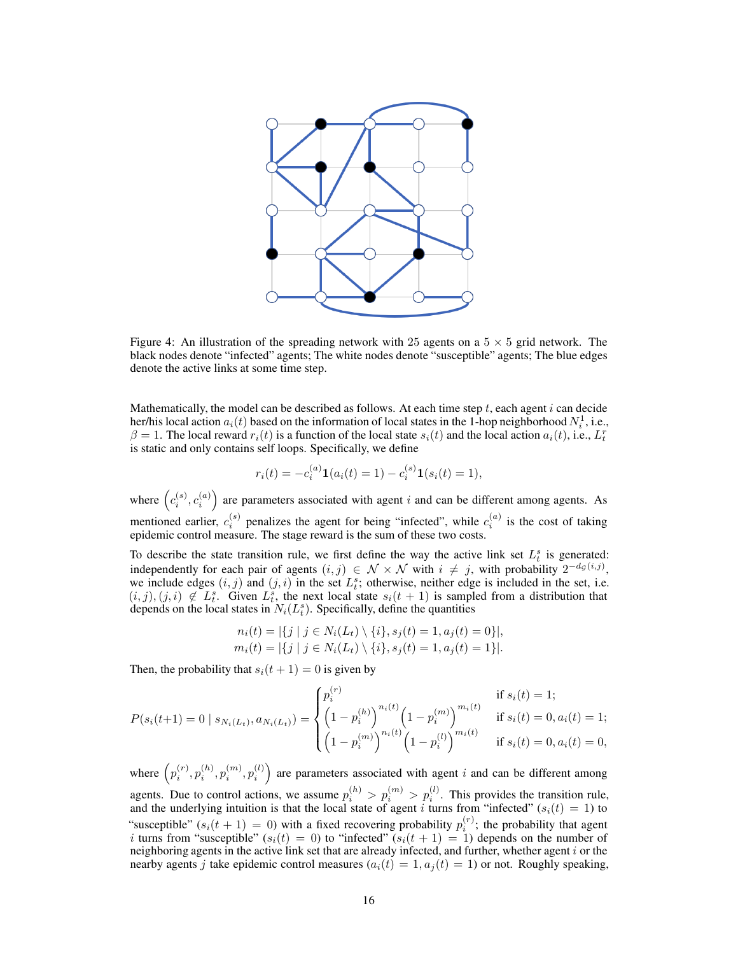<span id="page-15-0"></span>

Figure 4: An illustration of the spreading network with 25 agents on a  $5 \times 5$  grid network. The black nodes denote "infected" agents; The white nodes denote "susceptible" agents; The blue edges denote the active links at some time step.

Mathematically, the model can be described as follows. At each time step  $t$ , each agent  $i$  can decide her/his local action  $a_i(t)$  based on the information of local states in the 1-hop neighborhood  $N_i^1$ , i.e.,  $\beta = 1$ . The local reward  $r_i(t)$  is a function of the local state  $s_i(t)$  and the local action  $a_i(t)$ , i.e.,  $L_t^r$ is static and only contains self loops. Specifically, we define

$$
r_i(t) = -c_i^{(a)} \mathbf{1}(a_i(t) = 1) - c_i^{(s)} \mathbf{1}(s_i(t) = 1),
$$

where  $(c_i^{(s)}, c_i^{(a)})$  are parameters associated with agent i and can be different among agents. As mentioned earlier,  $c_i^{(s)}$  penalizes the agent for being "infected", while  $c_i^{(a)}$  is the cost of taking epidemic control measure. The stage reward is the sum of these two costs.

To describe the state transition rule, we first define the way the active link set  $L_t^s$  is generated: independently for each pair of agents  $(i, j) \in \mathcal{N} \times \mathcal{N}$  with  $i \neq j$ , with probability  $2^{-d_{\mathcal{G}}(i,j)}$ , we include edges  $(i, j)$  and  $(j, i)$  in the set  $L_i^s$ ; otherwise, neither edge is included in the set, i.e.  $(i, j), (j, i) \notin L_t^s$ . Given  $L_t^s$ , the next local state  $s_i(t + 1)$  is sampled from a distribution that depends on the local states in  $N_i(L_i^s)$ . Specifically, define the quantities

$$
n_i(t) = |\{j \mid j \in N_i(L_t) \setminus \{i\}, s_j(t) = 1, a_j(t) = 0\}|,
$$
  
\n
$$
m_i(t) = |\{j \mid j \in N_i(L_t) \setminus \{i\}, s_j(t) = 1, a_j(t) = 1\}|.
$$

Then, the probability that  $s_i(t + 1) = 0$  is given by

$$
P(s_i(t+1) = 0 \mid s_{N_i(L_t)}, a_{N_i(L_t)}) = \begin{cases} p_i^{(r)} & \text{if } s_i(t) = 1; \\ \left(1 - p_i^{(h)}\right)^{n_i(t)} \left(1 - p_i^{(m)}\right)^{m_i(t)} & \text{if } s_i(t) = 0, a_i(t) = 1; \\ \left(1 - p_i^{(m)}\right)^{n_i(t)} \left(1 - p_i^{(l)}\right)^{m_i(t)} & \text{if } s_i(t) = 0, a_i(t) = 0, \end{cases}
$$

where  $\left(p_i^{(r)}\right)$  $\binom(r)}{i},p_i^{(h)}$  $\binom{(h)}{i},p_i^{(m)}$  $\binom{m}{i},p_i^{(l)}$  $\binom{l}{i}$  are parameters associated with agent i and can be different among agents. Due to control actions, we assume  $p_i^{(h)} > p_i^{(m)} > p_i^{(l)}$ . This provides the transition rule, and the underlying intuition is that the local state of agent i turns from "infected" ( $s_i(t) = 1$ ) to "susceptible"  $(s_i(t + 1) = 0)$  with a fixed recovering probability  $p_i^{(r)}$ ; the probability that agent i turns from "susceptible"  $(s_i(t) = 0)$  to "infected"  $(s_i(t + 1) = 1)$  depends on the number of neighboring agents in the active link set that are already infected, and further, whether agent  $i$  or the nearby agents j take epidemic control measures  $(a_i(t) = 1, a_j(t) = 1)$  or not. Roughly speaking,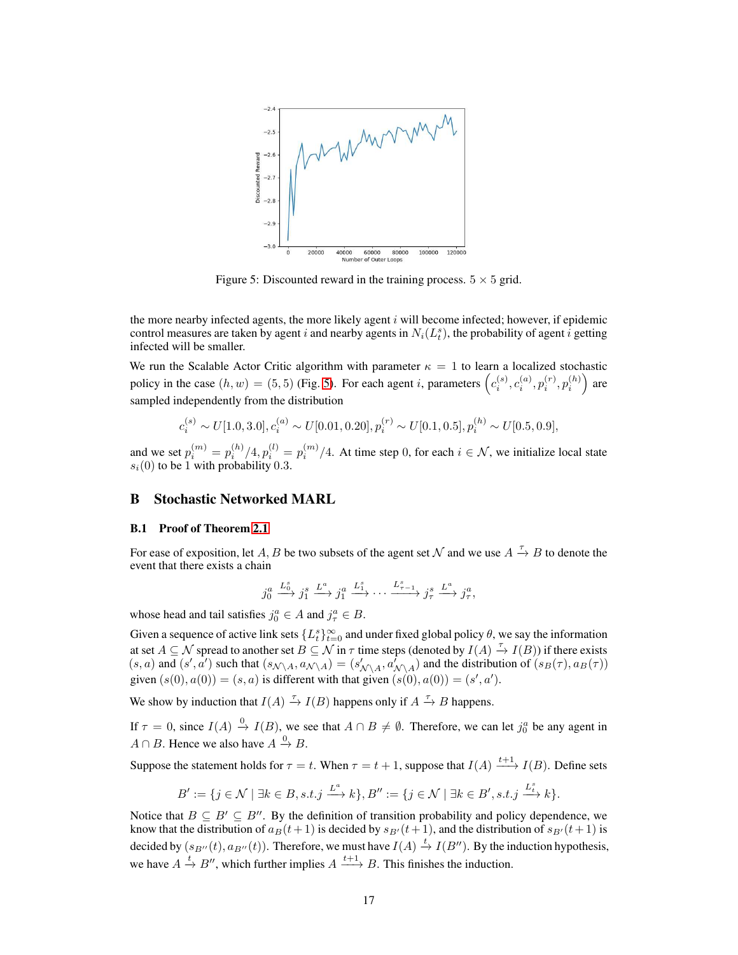<span id="page-16-1"></span>

Figure 5: Discounted reward in the training process.  $5 \times 5$  grid.

the more nearby infected agents, the more likely agent  $i$  will become infected; however, if epidemic control measures are taken by agent i and nearby agents in  $N_i(L_i^s)$ , the probability of agent i getting infected will be smaller.

We run the Scalable Actor Critic algorithm with parameter  $\kappa = 1$  to learn a localized stochastic policy in the case  $(h, w) = (5, 5)$  $(h, w) = (5, 5)$  (Fig. 5). For each agent i, parameters  $(c_i^{(s)}, c_i^{(a)}, p_i^{(r)}, p_i^{(h)})$  are sampled independently from the distribution

$$
c_i^{(s)} \sim U[1.0, 3.0], c_i^{(a)} \sim U[0.01, 0.20], p_i^{(r)} \sim U[0.1, 0.5], p_i^{(h)} \sim U[0.5, 0.9],
$$

and we set  $p_i^{(m)} = p_i^{(h)}/4$ ,  $p_i^{(l)} = p_i^{(m)}/4$ . At time step 0, for each  $i \in \mathcal{N}$ , we initialize local state  $s_i(0)$  to be 1 with probability 0.3.

## <span id="page-16-0"></span>B Stochastic Networked MARL

## B.1 Proof of Theorem [2.1](#page-4-1)

For ease of exposition, let A, B be two subsets of the agent set N and we use  $A \stackrel{\tau}{\to} B$  to denote the event that there exists a chain

$$
j_0^a \xrightarrow{L_0^s} j_1^s \xrightarrow{L^a} j_1^a \xrightarrow{L_1^s} \cdots \xrightarrow{L_{\tau-1}^s} j_\tau^s \xrightarrow{L^a} j_\tau^a,
$$

whose head and tail satisfies  $j_0^a \in A$  and  $j_\tau^a \in B$ .

Given a sequence of active link sets  $\{L_t^s\}_{t=0}^\infty$  and under fixed global policy  $\theta$ , we say the information at set  $A \subseteq N$  spread to another set  $B \subseteq N$  in  $\tau$  time steps (denoted by  $I(A) \stackrel{\tau}{\to} I(B)$ ) if there exists  $(s, a)$  and  $(s', a')$  such that  $(s_{\mathcal{N} \setminus A}, a_{\mathcal{N} \setminus A}) = (s'_{\mathcal{N} \setminus A}, a'_{\mathcal{N} \setminus A})$  and the distribution of  $(s_B(\tau), a_B(\tau))$ given  $(s(0), a(0)) = (s, a)$  is different with that given  $(s(0), a(0)) = (s', a')$ .

We show by induction that  $I(A) \stackrel{\tau}{\rightarrow} I(B)$  happens only if  $A \stackrel{\tau}{\rightarrow} B$  happens.

If  $\tau = 0$ , since  $I(A) \stackrel{0}{\rightarrow} I(B)$ , we see that  $A \cap B \neq \emptyset$ . Therefore, we can let  $j_0^a$  be any agent in  $A \cap B$ . Hence we also have  $A \xrightarrow{0} B$ .

Suppose the statement holds for  $\tau = t$ . When  $\tau = t + 1$ , suppose that  $I(A) \xrightarrow{t+1} I(B)$ . Define sets

$$
B' := \{ j \in \mathcal{N} \mid \exists k \in B, s.t. j \xrightarrow{L^a} k \}, B'':= \{ j \in \mathcal{N} \mid \exists k \in B', s.t. j \xrightarrow{L^s} k \}.
$$

Notice that  $B \subseteq B' \subseteq B''$ . By the definition of transition probability and policy dependence, we know that the distribution of  $a_B(t+1)$  is decided by  $s_{B'}(t+1)$ , and the distribution of  $s_{B'}(t+1)$  is decided by  $(s_{B''}(t), a_{B''}(t))$ . Therefore, we must have  $I(A) \stackrel{t}{\to} I(B'')$ . By the induction hypothesis, we have  $A \xrightarrow{t} B''$ , which further implies  $A \xrightarrow{t+1} B$ . This finishes the induction.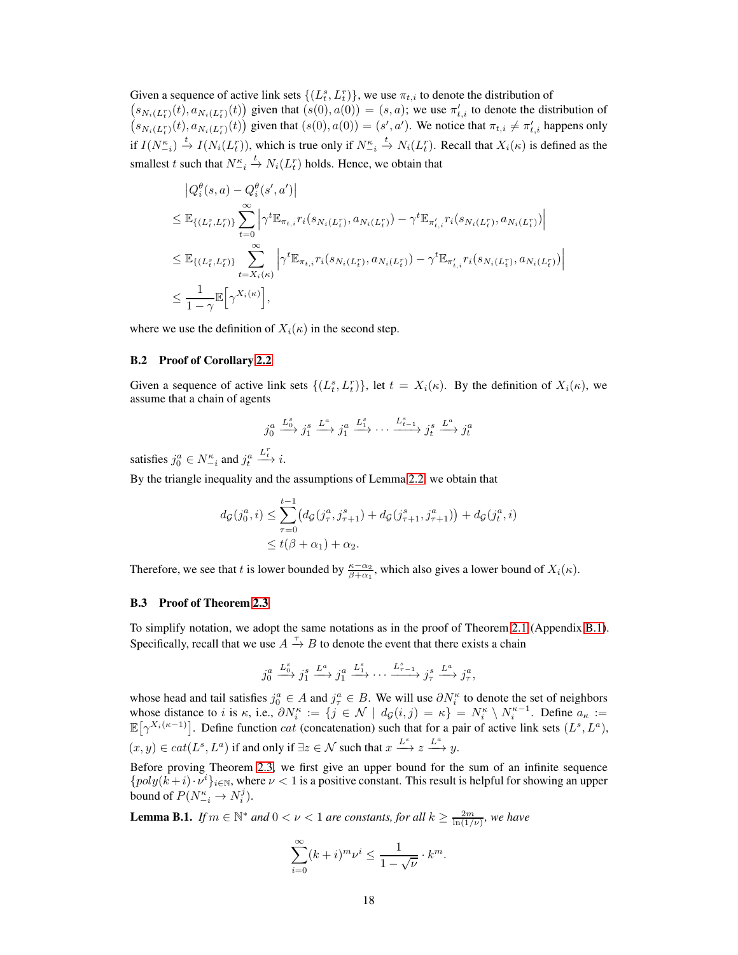Given a sequence of active link sets  $\{(L_t^s, L_t^r)\}\)$ , we use  $\pi_{t,i}$  to denote the distribution of

 $(s_{N_i(L_i^r)}(t), a_{N_i(L_i^r)}(t))$  given that  $(s(0), a(0)) = (s, a)$ ; we use  $\pi'_{t,i}$  to denote the distribution of  $(s_{N_i(L_i^r)}(t), a_{N_i(L_i^r)}(t))$  given that  $(s(0), a(0)) = (s', a')$ . We notice that  $\pi_{t,i} \neq \pi'_{t,i}$  happens only if  $I(N_{-i}^{\kappa}) \stackrel{t}{\to} I(N_i(L_i^r))$ , which is true only if  $N_{-i}^{\kappa} \stackrel{t}{\to} N_i(L_i^r)$ . Recall that  $X_i(\kappa)$  is defined as the smallest t such that  $N_{-i}^{\kappa} \stackrel{t}{\rightarrow} N_i(L_i^r)$  holds. Hence, we obtain that

$$
|Q_i^{\theta}(s, a) - Q_i^{\theta}(s', a')|
$$
  
\n
$$
\leq \mathbb{E}_{\{(L_i^s, L_i^r)\}} \sum_{t=0}^{\infty} \left| \gamma^t \mathbb{E}_{\pi_{t,i}} r_i(s_{N_i(L_i^r)}, a_{N_i(L_i^r)}) - \gamma^t \mathbb{E}_{\pi'_{t,i}} r_i(s_{N_i(L_i^r)}, a_{N_i(L_i^r)}) \right|
$$
  
\n
$$
\leq \mathbb{E}_{\{(L_i^s, L_i^r)\}} \sum_{t=X_i(\kappa)}^{\infty} \left| \gamma^t \mathbb{E}_{\pi_{t,i}} r_i(s_{N_i(L_i^r)}, a_{N_i(L_i^r)}) - \gamma^t \mathbb{E}_{\pi'_{t,i}} r_i(s_{N_i(L_i^r)}, a_{N_i(L_i^r)}) \right|
$$
  
\n
$$
\leq \frac{1}{1-\gamma} \mathbb{E}_{\{\gamma^{X_i(\kappa)}\}},
$$

<span id="page-17-0"></span>where we use the definition of  $X_i(\kappa)$  in the second step.

## B.2 Proof of Corollary [2.2](#page-4-2)

Given a sequence of active link sets  $\{(L_t^s, L_t^r)\}\$ , let  $t = X_i(\kappa)$ . By the definition of  $X_i(\kappa)$ , we assume that a chain of agents

$$
j_0^a \xrightarrow{L_0^s} j_1^s \xrightarrow{L^a} j_1^a \xrightarrow{L_1^s} \cdots \xrightarrow{L_{t-1}^s} j_t^s \xrightarrow{L^a} j_t^a
$$

satisfies  $j_0^a \in N_{-i}^{\kappa}$  and  $j_t^a$  $\stackrel{L_t^r}{\longrightarrow} i.$ 

By the triangle inequality and the assumptions of Lemma [2.2,](#page-4-2) we obtain that

$$
d_{\mathcal{G}}(j_0^a, i) \leq \sum_{\tau=0}^{t-1} (d_{\mathcal{G}}(j_\tau^a, j_{\tau+1}^s) + d_{\mathcal{G}}(j_{\tau+1}^s, j_{\tau+1}^a)) + d_{\mathcal{G}}(j_t^a, i)
$$
  
\$\leq t(\beta + \alpha\_1) + \alpha\_2\$.

Therefore, we see that t is lower bounded by  $\frac{\kappa - \alpha_2}{\beta + \alpha_1}$ , which also gives a lower bound of  $X_i(\kappa)$ .

## <span id="page-17-1"></span>B.3 Proof of Theorem [2.3](#page-4-4)

To simplify notation, we adopt the same notations as in the proof of Theorem [2.1](#page-4-1) (Appendix [B.1\)](#page-16-0). Specifically, recall that we use  $A \stackrel{\tau}{\rightarrow} B$  to denote the event that there exists a chain

$$
j_0^a \xrightarrow{L_0^s} j_1^s \xrightarrow{L^a} j_1^a \xrightarrow{L_1^s} \cdots \xrightarrow{L_{\tau-1}^s} j_\tau^s \xrightarrow{L^a} j_\tau^a,
$$

whose head and tail satisfies  $j_0^a \in A$  and  $j_\tau^a \in B$ . We will use  $\partial N_i^{\kappa}$  to denote the set of neighbors whose distance to i is  $\kappa$ , i.e.,  $\partial N_i^{\kappa} := \{j \in \mathcal{N} \mid d_{\mathcal{G}}(i,j) = \kappa\} = N_i^{\kappa} \setminus N_i^{\kappa-1}$ . Define  $a_{\kappa} :=$  $\mathbb{E}[\gamma^{X_i(\kappa-1)}]$ . Define function *cat* (concatenation) such that for a pair of active link sets  $(L^s, L^a)$ ,  $(x, y) \in cat(L^s, L^a)$  if and only if  $\exists z \in \mathcal{N}$  such that  $x \xrightarrow{L^s} z \xrightarrow{L^a} y$ .

Before proving Theorem [2.3,](#page-4-4) we first give an upper bound for the sum of an infinite sequence  $\{poly(k+i)\cdot \nu^i\}_{i\in\mathbb{N}}$ , where  $\nu < 1$  is a positive constant. This result is helpful for showing an upper bound of  $P(N_{-i}^{\kappa} \rightarrow N_i^j)$ .

<span id="page-17-2"></span>**Lemma B.1.** *If*  $m \in \mathbb{N}^*$  *and*  $0 < \nu < 1$  *are constants, for all*  $k \ge \frac{2m}{\ln(1/\nu)}$ *, we have* 

$$
\sum_{i=0}^{\infty} (k+i)^m \nu^i \le \frac{1}{1-\sqrt{\nu}} \cdot k^m.
$$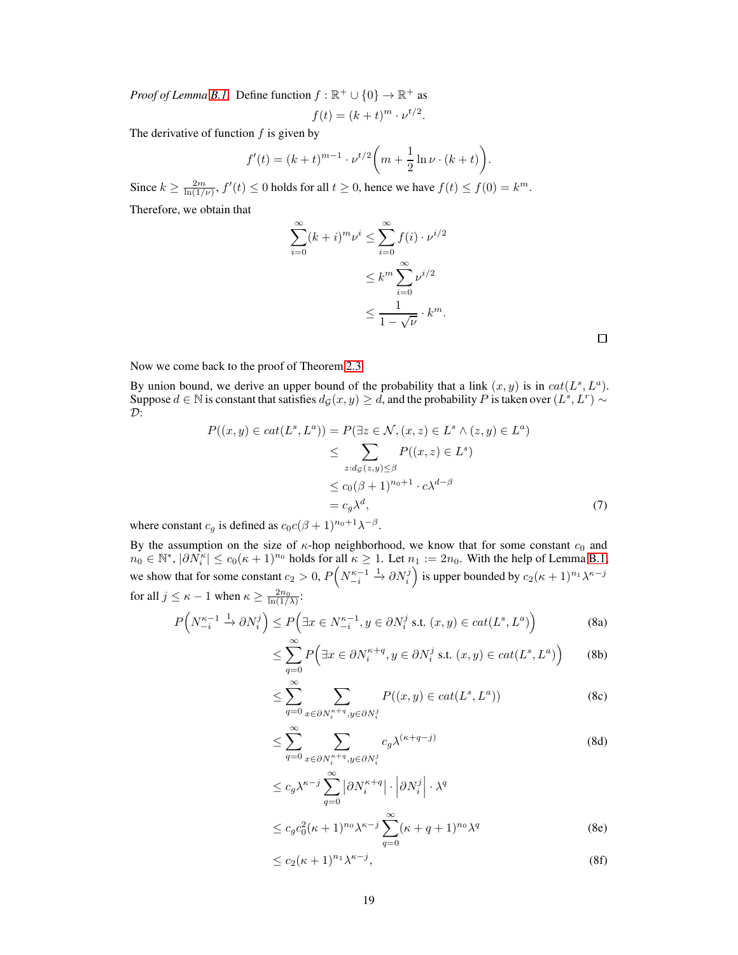*Proof of Lemma [B.1.](#page-17-2)* Define function  $f : \mathbb{R}^+ \cup \{0\} \to \mathbb{R}^+$  as

$$
f(t) = (k+t)^m \cdot \nu^{t/2}.
$$

The derivative of function  $f$  is given by

$$
f'(t) = (k+t)^{m-1} \cdot \nu^{t/2} \left( m + \frac{1}{2} \ln \nu \cdot (k+t) \right).
$$

Since  $k \ge \frac{2m}{\ln(1/\nu)}, f'(t) \le 0$  holds for all  $t \ge 0$ , hence we have  $f(t) \le f(0) = k^m$ . Therefore, we obtain that

$$
\sum_{i=0}^{\infty} (k+i)^m \nu^i \le \sum_{i=0}^{\infty} f(i) \cdot \nu^{i/2}
$$

$$
\le k^m \sum_{i=0}^{\infty} \nu^{i/2}
$$

$$
\le \frac{1}{1-\sqrt{\nu}} \cdot k^m.
$$

<span id="page-18-0"></span> $\Box$ 

Now we come back to the proof of Theorem [2.3.](#page-4-4)

By union bound, we derive an upper bound of the probability that a link  $(x, y)$  is in  $cat(L<sup>s</sup>, L<sup>a</sup>)$ . Suppose  $d \in \mathbb{N}$  is constant that satisfies  $d_{\mathcal{G}}(x, y) \geq d$ , and the probability P is taken over  $(L^s, L^r) \sim$  $\mathcal{D}$ :

$$
P((x,y) \in cat(L^s, L^a)) = P(\exists z \in \mathcal{N}, (x,z) \in L^s \land (z,y) \in L^a)
$$
  
\n
$$
\leq \sum_{z:d_{\mathcal{G}}(z,y) \leq \beta} P((x,z) \in L^s)
$$
  
\n
$$
\leq c_0(\beta + 1)^{n_0+1} \cdot c\lambda^{d-\beta}
$$
  
\n
$$
= c_g \lambda^d, \tag{7}
$$

where constant  $c_g$  is defined as  $c_0 c(\beta + 1)^{n_0+1} \lambda^{-\beta}$ .

By the assumption on the size of  $\kappa$ -hop neighborhood, we know that for some constant  $c_0$  and  $n_0 \in \mathbb{N}^*, |\partial \dot{N}_i^{\kappa}| \le c_0 (\kappa + 1)^{n_0}$  holds for all  $\kappa \ge 1$ . Let  $n_1 := 2n_0$ . With the help of Lemma [B.1,](#page-17-2) we show that for some constant  $c_2 > 0$ ,  $P\left(N_{-i}^{\kappa-1}\right)$  $\stackrel{1}{\rightarrow} \partial N_i^j$  is upper bounded by  $c_2(\kappa+1)^{n_1}\lambda^{\kappa-j}$ for all  $j \leq \kappa - 1$  when  $\kappa \geq \frac{2n_0}{\ln(1/\lambda)}$ :

$$
P\left(N_{-i}^{\kappa-1}\xrightarrow{1} \partial N_i^j\right) \le P\left(\exists x \in N_{-i}^{\kappa-1}, y \in \partial N_i^j \text{ s.t. } (x, y) \in cat(L^s, L^a)\right) \tag{8a}
$$

$$
\leq \sum_{q=0}^{\infty} P\Big(\exists x \in \partial N_i^{\kappa+q}, y \in \partial N_i^j \text{ s.t. } (x, y) \in cat(L^s, L^a)\Big) \qquad (8b)
$$

$$
\leq \sum_{q=0}^{\infty} \sum_{x \in \partial N_i^{\kappa+q}, y \in \partial N_i^j} P((x, y) \in cat(L^s, L^a))
$$
 (8c)

<span id="page-18-1"></span>
$$
\leq \sum_{q=0}^{\infty} \sum_{x \in \partial N_i^{\kappa+q}, y \in \partial N_i^j} c_g \lambda^{(\kappa+q-j)} \tag{8d}
$$

$$
\leq c_g \lambda^{\kappa-j} \sum_{q=0}^{\infty} \left| \partial N_i^{\kappa+q} \right| \cdot \left| \partial N_i^j \right| \cdot \lambda^q
$$
  

$$
\leq c_a c_a^2 (\kappa+1)^{n_0} \lambda^{\kappa-j} \sum_{k=0}^{\infty} (\kappa+q+1)^{n_0} \lambda^q
$$
 (8e)

<span id="page-18-2"></span>
$$
\leq c_g c_0^2 (\kappa+1)^{n_0} \lambda^{\kappa-j} \sum_{q=0} (\kappa+q+1)^{n_0} \lambda^q
$$
 (8e)

<span id="page-18-3"></span>
$$
\leq c_2(\kappa+1)^{n_1}\lambda^{\kappa-j},\tag{8f}
$$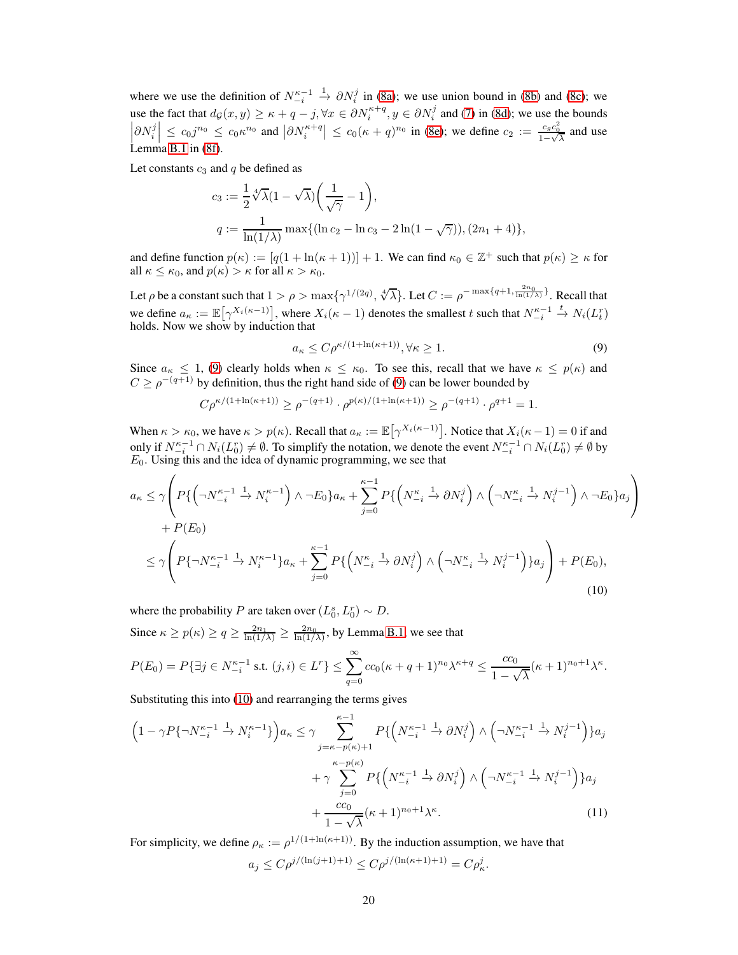where we use the definition of  $N_{-i}^{\kappa-1}$  $\rightarrow \partial N_i^j$  in [\(8a\)](#page-20-0); we use union bound in [\(8b\)](#page-20-1) and [\(8c\)](#page-20-2); we use the fact that  $d_{\mathcal{G}}(x, y) \ge \kappa + q - j$ ,  $\forall x \in \partial N_i^{\kappa+q}$ ,  $y \in \partial N_i^j$  and [\(7\)](#page-18-0) in [\(8d\)](#page-18-1); we use the bounds  $\left|\partial N_i^j\right| \leq c_0 j^{n_0} \leq c_0 \kappa^{n_0}$  and  $\left|\partial N_i^{\kappa+q}\right| \leq c_0 (\kappa+q)^{n_0}$  in [\(8e\)](#page-18-2); we define  $c_2 := \frac{c_g c_0^2}{1-\sqrt{\lambda}}$  and use Lemma [B.1](#page-17-2) in [\(8f\)](#page-18-3).

Let constants  $c_3$  and  $q$  be defined as

$$
c_3 := \frac{1}{2} \sqrt[4]{\lambda} (1 - \sqrt{\lambda}) \left( \frac{1}{\sqrt{\gamma}} - 1 \right),
$$
  

$$
q := \frac{1}{\ln(1/\lambda)} \max \{ (\ln c_2 - \ln c_3 - 2 \ln(1 - \sqrt{\gamma})), (2n_1 + 4) \},\
$$

and define function  $p(\kappa) := [q(1 + \ln(\kappa + 1))] + 1$ . We can find  $\kappa_0 \in \mathbb{Z}^+$  such that  $p(\kappa) \ge \kappa$  for all  $\kappa \leq \kappa_0$ , and  $p(\kappa) > \kappa$  for all  $\kappa > \kappa_0$ .

Let  $\rho$  be a constant such that  $1 > \rho > \max\{\gamma^{1/(2q)}, \sqrt[4]{\lambda}\}\$ . Let  $C := \rho^{-\max\{q+1, \frac{2n_0}{\ln(1/\lambda)}\}}$ . Recall that we define  $a_{\kappa} := \mathbb{E}[\gamma^{X_i(\kappa-1)}],$  where  $X_i(\kappa-1)$  denotes the smallest t such that  $N_{-i}^{\kappa-1} \stackrel{t}{\to} N_i(L_i^r)$ holds. Now we show by induction that

<span id="page-19-1"></span><span id="page-19-0"></span>
$$
a_{\kappa} \le C \rho^{\kappa/(1 + \ln(\kappa + 1))}, \forall \kappa \ge 1.
$$
 (9)

Since  $a_{\kappa} \leq 1$ , [\(9\)](#page-19-0) clearly holds when  $\kappa \leq \kappa_0$ . To see this, recall that we have  $\kappa \leq p(\kappa)$  and  $C \ge \rho^{-(q+1)}$  by definition, thus the right hand side of [\(9\)](#page-19-0) can be lower bounded by

$$
C \rho^{\kappa/(1+\ln(\kappa+1))} \ge \rho^{-(q+1)} \cdot \rho^{p(\kappa)/(1+\ln(\kappa+1))} \ge \rho^{-(q+1)} \cdot \rho^{q+1} = 1.
$$

When  $\kappa > \kappa_0$ , we have  $\kappa > p(\kappa)$ . Recall that  $a_{\kappa} := \mathbb{E}[\gamma^{X_i(\kappa-1)}]$ . Notice that  $X_i(\kappa-1) = 0$  if and only if  $N_{-i}^{\kappa-1} \cap N_i(L_0^r) \neq \emptyset$ . To simplify the notation, we denote the event  $N_{-i}^{\kappa-1} \cap N_i(L_0^r) \neq \emptyset$  by  $E_0$ . Using this and the idea of dynamic programming, we see that

$$
a_{\kappa} \leq \gamma \left( P\{ \left( \neg N_{-i}^{\kappa-1} \stackrel{1}{\to} N_i^{\kappa-1} \right) \land \neg E_0 \} a_{\kappa} + \sum_{j=0}^{\kappa-1} P\{ \left( N_{-i}^{\kappa} \stackrel{1}{\to} \partial N_i^j \right) \land \left( \neg N_{-i}^{\kappa} \stackrel{1}{\to} N_i^{j-1} \right) \land \neg E_0 \} a_j \right) + P(E_0)
$$
  

$$
\leq \gamma \left( P\{ \neg N_{-i}^{\kappa-1} \stackrel{1}{\to} N_i^{\kappa-1} \} a_{\kappa} + \sum_{j=0}^{\kappa-1} P\{ \left( N_{-i}^{\kappa} \stackrel{1}{\to} \partial N_i^j \right) \land \left( \neg N_{-i}^{\kappa} \stackrel{1}{\to} N_i^{j-1} \right) \} a_j \right) + P(E_0),
$$
  
(10)

where the probability P are taken over  $(L_0^s, L_0^r) \sim D$ .

Since  $\kappa \ge p(\kappa) \ge q \ge \frac{2n_1}{\ln(1/\lambda)} \ge \frac{2n_0}{\ln(1/\lambda)}$ , by Lemma [B.1,](#page-17-2) we see that

$$
P(E_0) = P\{\exists j \in N_{-i}^{\kappa-1} \text{ s.t. } (j,i) \in L^r\} \le \sum_{q=0}^{\infty} cc_0(\kappa + q + 1)^{n_0} \lambda^{\kappa+q} \le \frac{cc_0}{1 - \sqrt{\lambda}} (\kappa + 1)^{n_0 + 1} \lambda^{\kappa}.
$$

Substituting this into [\(10\)](#page-19-1) and rearranging the terms gives

$$
\left(1 - \gamma P\{\neg N_{-i}^{\kappa-1} \xrightarrow{1} N_i^{\kappa-1}\}\right) a_{\kappa} \leq \gamma \sum_{j=\kappa-p(\kappa)+1}^{\kappa-1} P\{\left(N_{-i}^{\kappa-1} \xrightarrow{1} \partial N_i^j\right) \wedge \left(\neg N_{-i}^{\kappa-1} \xrightarrow{1} N_i^{j-1}\right)\} a_j
$$

$$
+ \gamma \sum_{j=0}^{\kappa-p(\kappa)} P\{\left(N_{-i}^{\kappa-1} \xrightarrow{1} \partial N_i^j\right) \wedge \left(\neg N_{-i}^{\kappa-1} \xrightarrow{1} N_i^{j-1}\right)\} a_j
$$

$$
+ \frac{cc_0}{1 - \sqrt{\lambda}} (\kappa+1)^{n_0+1} \lambda^{\kappa}.
$$
(11)

For simplicity, we define  $\rho_{\kappa} := \rho^{1/(1 + \ln(\kappa + 1))}$ . By the induction assumption, we have that

<span id="page-19-2"></span>
$$
a_j \leq C \rho^{j/(\ln(j+1)+1)} \leq C \rho^{j/(\ln(\kappa+1)+1)} = C \rho_\kappa^j.
$$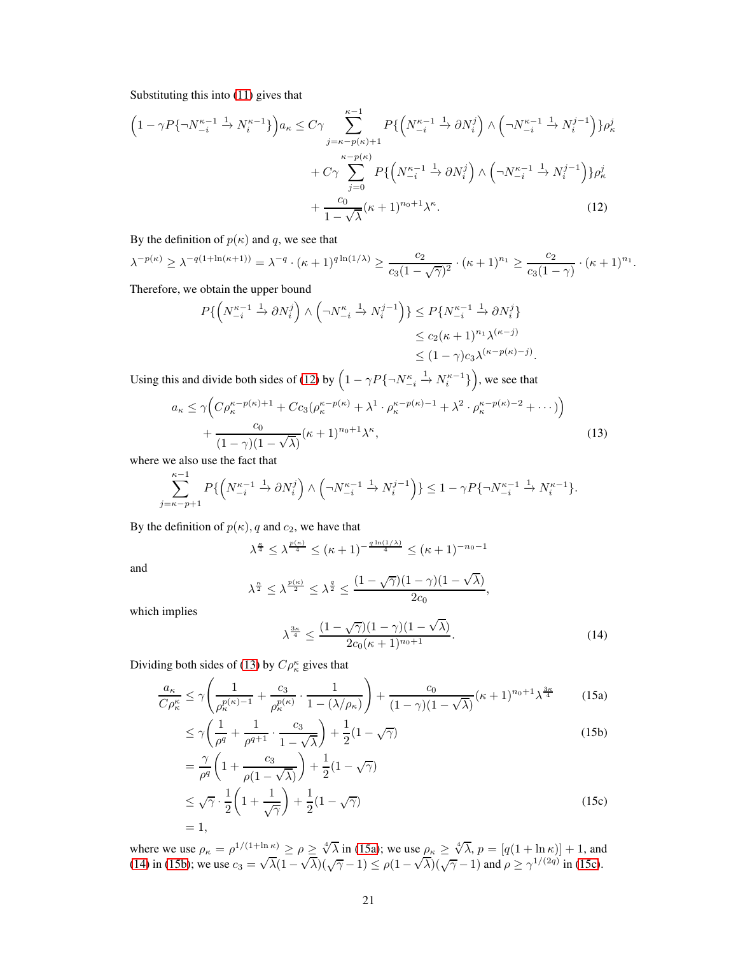Substituting this into [\(11\)](#page-19-2) gives that

$$
\left(1 - \gamma P\{\neg N_{-i}^{\kappa-1}\stackrel{1}{\to} N_i^{\kappa-1}\}\right) a_{\kappa} \leq C\gamma \sum_{j=\kappa-p(\kappa)+1}^{\kappa-1} P\{\left(N_{-i}^{\kappa-1}\stackrel{1}{\to}\partial N_i^j\right) \wedge \left(\neg N_{-i}^{\kappa-1}\stackrel{1}{\to} N_i^{j-1}\right)\} \rho_{\kappa}^j
$$

$$
+ C\gamma \sum_{j=0}^{\kappa-p(\kappa)} P\{\left(N_{-i}^{\kappa-1}\stackrel{1}{\to}\partial N_i^j\right) \wedge \left(\neg N_{-i}^{\kappa-1}\stackrel{1}{\to} N_i^{j-1}\right)\} \rho_{\kappa}^j
$$

$$
+ \frac{c_0}{1-\sqrt{\lambda}} (\kappa+1)^{n_0+1} \lambda^{\kappa}.
$$
(12)

<span id="page-20-3"></span>By the definition of  $p(\kappa)$  and q, we see that

$$
\lambda^{-p(\kappa)} \geq \lambda^{-q(1+\ln(\kappa+1))} = \lambda^{-q} \cdot (\kappa+1)^{q\ln(1/\lambda)} \geq \frac{c_2}{c_3(1-\sqrt{\gamma})^2} \cdot (\kappa+1)^{n_1} \geq \frac{c_2}{c_3(1-\gamma)} \cdot (\kappa+1)^{n_1}.
$$

Therefore, we obtain the upper bound

$$
P\{\left(N_{-i}^{\kappa-1}\xrightarrow{1} \partial N_i^j\right) \wedge \left(\neg N_{-i}^{\kappa}\xrightarrow{1} N_i^{j-1}\right)\} \le P\{N_{-i}^{\kappa-1}\xrightarrow{1} \partial N_i^j\}
$$
  
\n
$$
\le c_2(\kappa+1)^{n_1}\lambda^{(\kappa-j)}
$$
  
\n
$$
\le (1-\gamma)c_3\lambda^{(\kappa-p(\kappa)-j)}.
$$
  
\nUsing this and divide both sides of (12) by  $\left(1-\gamma P\{\neg N_{-i}^{\kappa}\xrightarrow{1} N_i^{\kappa-1}\}\right)$ , we see that  
\n
$$
a_{\kappa} \le \gamma \left(C\rho_{\kappa}^{\kappa-p(\kappa)+1}+Cc_3(\rho_{\kappa}^{\kappa-p(\kappa)}+\lambda^1\cdot\rho_{\kappa}^{\kappa-p(\kappa)-1}+\lambda^2\cdot\rho_{\kappa}^{\kappa-p(\kappa)-2}+\cdots\right)
$$
  
\n
$$
+\frac{c_0}{(1-\gamma)(1-\sqrt{\lambda})}(\kappa+1)^{n_0+1}\lambda^{\kappa},
$$
  
\n(13)  
\nwhere we also use the fact that

where

$$
\sum_{j=\kappa-p+1}^{\kappa-1} P\{\left(N_{-i}^{\kappa-1} \xrightarrow{1} \partial N_i^j\right) \wedge \left(\neg N_{-i}^{\kappa-1} \xrightarrow{1} N_i^{j-1}\right)\} \le 1 - \gamma P\{\neg N_{-i}^{\kappa-1} \xrightarrow{1} N_i^{\kappa-1}\}.
$$

By the definition of  $p(\kappa)$ , q and  $c_2$ , we have that

<span id="page-20-4"></span>
$$
\lambda^{\frac{\kappa}{4}} \leq \lambda^{\frac{p(\kappa)}{4}} \leq (\kappa+1)^{-\frac{q\ln(1/\lambda)}{4}} \leq (\kappa+1)^{-n_0-1}
$$

and

<span id="page-20-5"></span>
$$
\lambda^{\frac{\kappa}{2}} \leq \lambda^{\frac{p(\kappa)}{2}} \leq \lambda^{\frac{q}{2}} \leq \frac{(1-\sqrt{\gamma})(1-\gamma)(1-\sqrt{\lambda})}{2c_0},
$$

which implies

<span id="page-20-2"></span><span id="page-20-1"></span><span id="page-20-0"></span>
$$
\lambda^{\frac{3\kappa}{4}} \le \frac{(1 - \sqrt{\gamma})(1 - \gamma)(1 - \sqrt{\lambda})}{2c_0(\kappa + 1)^{n_0 + 1}}.
$$
\n(14)

Dividing both sides of [\(13\)](#page-20-4) by  $C\rho_{\kappa}^{\kappa}$  gives that

$$
\frac{a_{\kappa}}{C\rho_{\kappa}^{\kappa}} \leq \gamma \left( \frac{1}{\rho_{\kappa}^{p(\kappa)-1}} + \frac{c_3}{\rho_{\kappa}^{p(\kappa)}} \cdot \frac{1}{1 - (\lambda/\rho_{\kappa})} \right) + \frac{c_0}{(1-\gamma)(1-\sqrt{\lambda})} (\kappa+1)^{n_0+1} \lambda^{\frac{3\kappa}{4}} \tag{15a}
$$

$$
\leq \gamma \left( \frac{1}{\rho^q} + \frac{1}{\rho^{q+1}} \cdot \frac{c_3}{1 - \sqrt{\lambda}} \right) + \frac{1}{2} (1 - \sqrt{\gamma})
$$
\n(15b)

$$
= \frac{\gamma}{\rho^q} \left( 1 + \frac{c_3}{\rho (1 - \sqrt{\lambda})} \right) + \frac{1}{2} (1 - \sqrt{\gamma})
$$
  
\n
$$
\leq \sqrt{\gamma} \cdot \frac{1}{2} \left( 1 + \frac{1}{\sqrt{\gamma}} \right) + \frac{1}{2} (1 - \sqrt{\gamma})
$$
  
\n
$$
= 1,
$$
\n(15c)

where we use  $\rho_{\kappa} = \rho^{1/(1+\ln \kappa)} \ge \rho \ge \sqrt[4]{\lambda}$  in [\(15a\)](#page-20-0); we use  $\rho_{\kappa} \ge \sqrt[4]{\lambda}$ ,  $p = [q(1 + \ln \kappa)] + 1$ , and [\(14\)](#page-20-5) in [\(15b\)](#page-20-1); we use  $c_3 = \sqrt{\lambda}(1-\sqrt{\lambda})(\sqrt{\gamma}-1) \le \rho(1-\sqrt{\lambda})(\sqrt{\gamma}-1)$  and  $\rho \ge \gamma^{1/(2q)}$  in [\(15c\)](#page-20-2).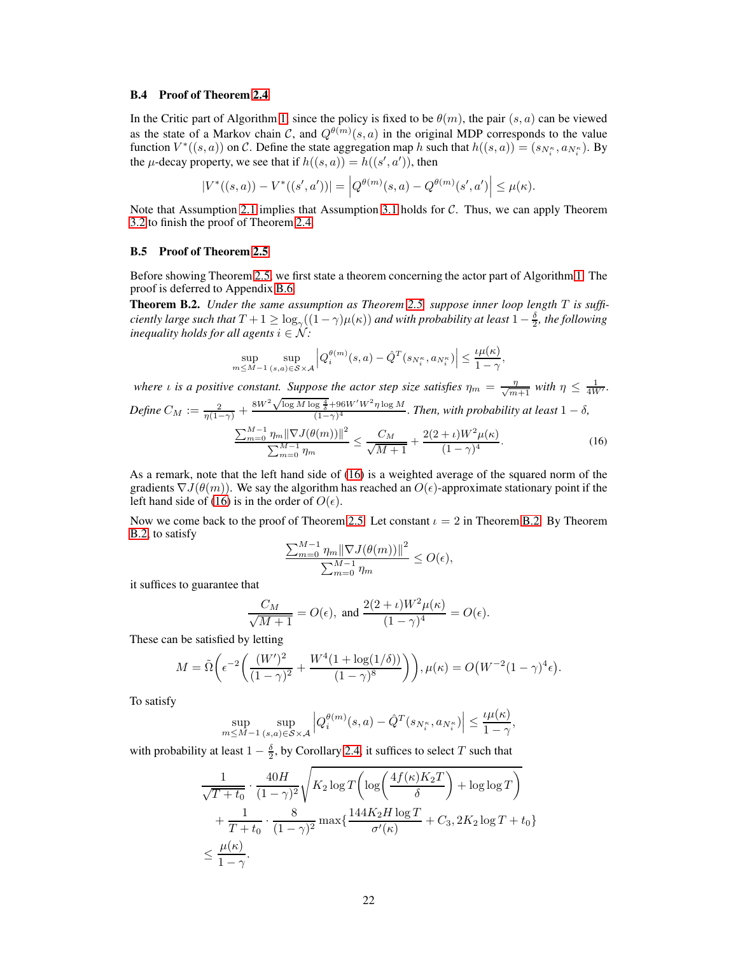## <span id="page-21-1"></span>B.4 Proof of Theorem [2.4](#page-6-1)

In the Critic part of Algorithm [1,](#page-5-2) since the policy is fixed to be  $\theta(m)$ , the pair  $(s, a)$  can be viewed as the state of a Markov chain C, and  $Q^{\theta(m)}(s, a)$  in the original MDP corresponds to the value function  $V^*((s, a))$  on C. Define the state aggregation map h such that  $h((s, a)) = (s_{N_t^*}, a_{N_t^*})$ . By the  $\mu$ -decay property, we see that if  $h((s, a)) = h((s', a'))$ , then

$$
|V^*((s,a)) - V^*((s',a'))| = \left| Q^{\theta(m)}(s,a) - Q^{\theta(m)}(s',a') \right| \leq \mu(\kappa).
$$

Note that Assumption [2.1](#page-5-3) implies that Assumption [3.1](#page-7-4) holds for C. Thus, we can apply Theorem [3.2](#page-9-1) to finish the proof of Theorem [2.4.](#page-6-1)

## <span id="page-21-2"></span>B.5 Proof of Theorem [2.5](#page-6-0)

Before showing Theorem [2.5,](#page-6-0) we first state a theorem concerning the actor part of Algorithm [1.](#page-5-2) The proof is deferred to Appendix [B.6.](#page-22-0)

<span id="page-21-0"></span>Theorem B.2. *Under the same assumption as Theorem [2.5,](#page-6-0) suppose inner loop length* T *is sufficiently large such that*  $T + 1 \geq \log_{\gamma}((1 - \gamma)\mu(\kappa))$  *and with probability at least*  $1 - \frac{\delta}{2}$ *, the following inequality holds for all agents*  $i \in \mathcal{N}$ *:* 

$$
\sup_{m \le M-1} \sup_{(s,a) \in S \times \mathcal{A}} \left| Q_i^{\theta(m)}(s,a) - \hat{Q}^T(s_{N_i^{\kappa}}, a_{N_i^{\kappa}}) \right| \le \frac{\iota \mu(\kappa)}{1 - \gamma}
$$

*where ι* is a positive constant. Suppose the actor step size satisfies  $\eta_m = \frac{\eta}{\sqrt{m+1}}$  with  $\eta \leq \frac{1}{4W'}$ . Define  $C_M := \frac{2}{\eta(1-\gamma)} +$  $8W^2\sqrt{\log M\log\frac{4}{\delta}}+96W'W^2\eta\log M$  $\frac{1}{(1-\gamma)^4}$  . *Then, with probability at least*  $1-\delta$ ,

$$
\frac{\sum_{m=0}^{M-1} \eta_m \|\nabla J(\theta(m))\|^2}{\sum_{m=0}^{M-1} \eta_m} \le \frac{C_M}{\sqrt{M+1}} + \frac{2(2+\iota)W^2 \mu(\kappa)}{(1-\gamma)^4}.
$$
 (16)

<span id="page-21-3"></span>,

As a remark, note that the left hand side of [\(16\)](#page-21-3) is a weighted average of the squared norm of the gradients  $\nabla J(\theta(m))$ . We say the algorithm has reached an  $O(\epsilon)$ -approximate stationary point if the left hand side of [\(16\)](#page-21-3) is in the order of  $O(\epsilon)$ .

Now we come back to the proof of Theorem [2.5.](#page-6-0) Let constant  $\iota = 2$  in Theorem [B.2.](#page-21-0) By Theorem [B.2,](#page-21-0) to satisfy

$$
\frac{\sum_{m=0}^{M-1} \eta_m \|\nabla J(\theta(m))\|^2}{\sum_{m=0}^{M-1} \eta_m} \le O(\epsilon),
$$

it suffices to guarantee that

$$
\frac{C_M}{\sqrt{M+1}} = O(\epsilon), \text{ and } \frac{2(2+\iota)W^2\mu(\kappa)}{(1-\gamma)^4} = O(\epsilon).
$$

These can be satisfied by letting

$$
M = \tilde{\Omega}\left(\epsilon^{-2}\left(\frac{(W')^2}{(1-\gamma)^2} + \frac{W^4(1+\log(1/\delta))}{(1-\gamma)^8}\right)\right), \mu(\kappa) = O\left(W^{-2}(1-\gamma)^4\epsilon\right).
$$

To satisfy

$$
\sup_{m \le M-1} \sup_{(s,a) \in \mathcal{S} \times \mathcal{A}} \left| Q_i^{\theta(m)}(s,a) - \hat{Q}^T(s_{N_i^{\kappa}}, a_{N_i^{\kappa}}) \right| \le \frac{\iota \mu(\kappa)}{1 - \gamma},
$$

with probability at least  $1 - \frac{\delta}{2}$ , by Corollary [2.4,](#page-6-1) it suffices to select T such that

$$
\frac{1}{\sqrt{T+t_0}} \cdot \frac{40H}{(1-\gamma)^2} \sqrt{K_2 \log T \left( \log \left( \frac{4f(\kappa)K_2T}{\delta} \right) + \log \log T \right)} + \frac{1}{T+t_0} \cdot \frac{8}{(1-\gamma)^2} \max \{ \frac{144K_2H \log T}{\sigma'(\kappa)} + C_3, 2K_2 \log T + t_0 \} \le \frac{\mu(\kappa)}{1-\gamma}.
$$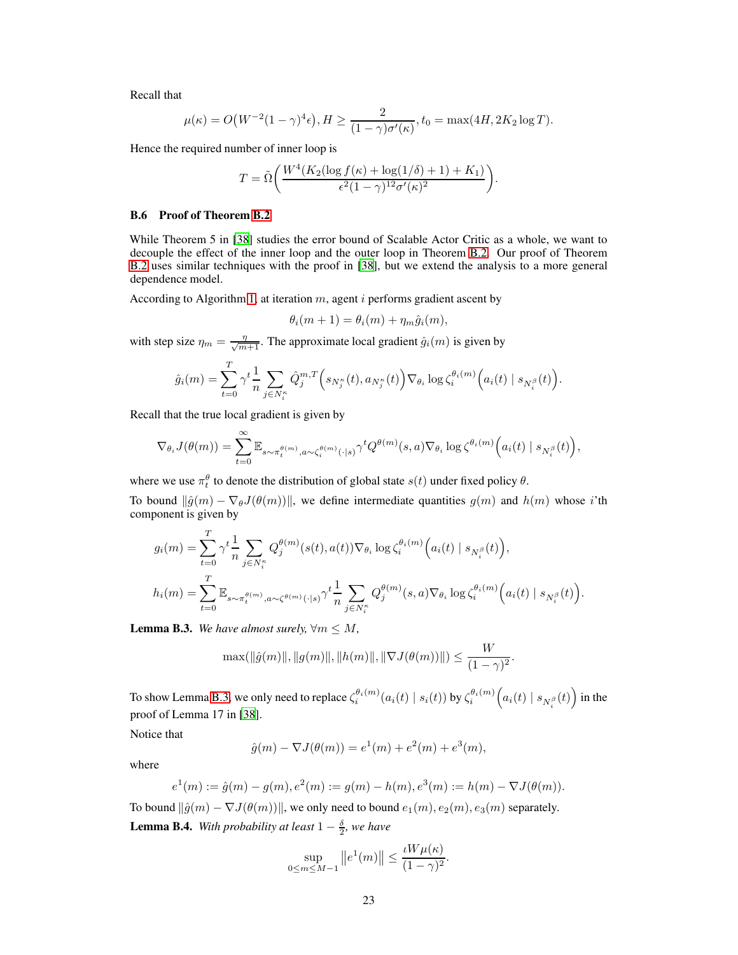Recall that

$$
\mu(\kappa) = O\big(W^{-2}(1-\gamma)^4 \epsilon\big), H \ge \frac{2}{(1-\gamma)\sigma'(\kappa)}, t_0 = \max(4H, 2K_2 \log T).
$$

Hence the required number of inner loop is

$$
T = \tilde{\Omega}\bigg(\frac{W^4(K_2(\log f(\kappa) + \log(1/\delta) + 1) + K_1)}{\epsilon^2(1-\gamma)^{12}\sigma'(\kappa)^2}\bigg).
$$

#### <span id="page-22-0"></span>B.6 Proof of Theorem [B.2](#page-21-0)

While Theorem 5 in [\[38\]](#page-11-4) studies the error bound of Scalable Actor Critic as a whole, we want to decouple the effect of the inner loop and the outer loop in Theorem [B.2.](#page-21-0) Our proof of Theorem [B.2](#page-21-0) uses similar techniques with the proof in [\[38\]](#page-11-4), but we extend the analysis to a more general dependence model.

According to Algorithm [1,](#page-5-2) at iteration  $m$ , agent  $i$  performs gradient ascent by

$$
\theta_i(m+1) = \theta_i(m) + \eta_m \hat{g}_i(m),
$$

with step size  $\eta_m = \frac{\eta}{\sqrt{m+1}}$ . The approximate local gradient  $\hat{g}_i(m)$  is given by

$$
\hat{g}_i(m) = \sum_{t=0}^T \gamma^t \frac{1}{n} \sum_{j \in N_i^{\kappa}} \hat{Q}_j^{m,T} \Big(s_{N_j^{\kappa}}(t), a_{N_j^{\kappa}}(t)\Big) \nabla_{\theta_i} \log \zeta_i^{\theta_i(m)} \Big(a_i(t) \mid s_{N_i^{\beta}}(t)\Big).
$$

Recall that the true local gradient is given by

$$
\nabla_{\theta_i} J(\theta(m)) = \sum_{t=0}^{\infty} \mathbb{E}_{s \sim \pi_t^{\theta(m)}, a \sim \zeta_i^{\theta(m)}(\cdot | s)} \gamma^t Q^{\theta(m)}(s, a) \nabla_{\theta_i} \log \zeta^{\theta_i(m)} \Big( a_i(t) \mid s_{N_i^{\beta}}(t) \Big),
$$

where we use  $\pi_t^{\theta}$  to denote the distribution of global state  $s(t)$  under fixed policy  $\theta$ .

To bound  $\|\hat{g}(m) - \nabla_{\theta}J(\theta(m))\|$ , we define intermediate quantities  $g(m)$  and  $h(m)$  whose i'th component is given by

$$
g_i(m) = \sum_{t=0}^T \gamma^t \frac{1}{n} \sum_{j \in N_i^{\kappa}} Q_j^{\theta(m)}(s(t), a(t)) \nabla_{\theta_i} \log \zeta_i^{\theta_i(m)} \Big( a_i(t) \mid s_{N_i^{\beta}}(t) \Big),
$$
  

$$
h_i(m) = \sum_{t=0}^T \mathbb{E}_{s \sim \pi_i^{\theta(m)}, a \sim \zeta^{\theta(m)}(\cdot | s)} \gamma^t \frac{1}{n} \sum_{j \in N_i^{\kappa}} Q_j^{\theta(m)}(s, a) \nabla_{\theta_i} \log \zeta_i^{\theta_i(m)} \Big( a_i(t) \mid s_{N_i^{\beta}}(t) \Big).
$$

<span id="page-22-1"></span>**Lemma B.3.** We have almost surely,  $\forall m \leq M$ ,

$$
\max(||\hat{g}(m)||, ||g(m)||, ||h(m)||, ||\nabla J(\theta(m))||) \le \frac{W}{(1 - \gamma)^2}.
$$

To show Lemma [B.3,](#page-22-1) we only need to replace  $\zeta_i^{\theta_i(m)}(a_i(t) \mid s_i(t))$  by  $\zeta_i^{\theta_i(m)}\Big(a_i(t) \mid s_{N_i^\beta}(t)\Big)$  in the proof of Lemma 17 in [\[38\]](#page-11-4).

Notice that

$$
\hat{g}(m) - \nabla J(\theta(m)) = e^1(m) + e^2(m) + e^3(m),
$$

where

$$
e^1(m) := \hat{g}(m) - g(m), e^2(m) := g(m) - h(m), e^3(m) := h(m) - \nabla J(\theta(m)).
$$

<span id="page-22-2"></span>To bound  $\|\hat{g}(m) - \nabla J(\theta(m))\|$ , we only need to bound  $e_1(m), e_2(m), e_3(m)$  separately. **Lemma B.4.** With probability at least  $1 - \frac{\delta}{2}$ , we have

$$
\sup_{0 \le m \le M-1} ||e^1(m)|| \le \frac{\iota W \mu(\kappa)}{(1-\gamma)^2}.
$$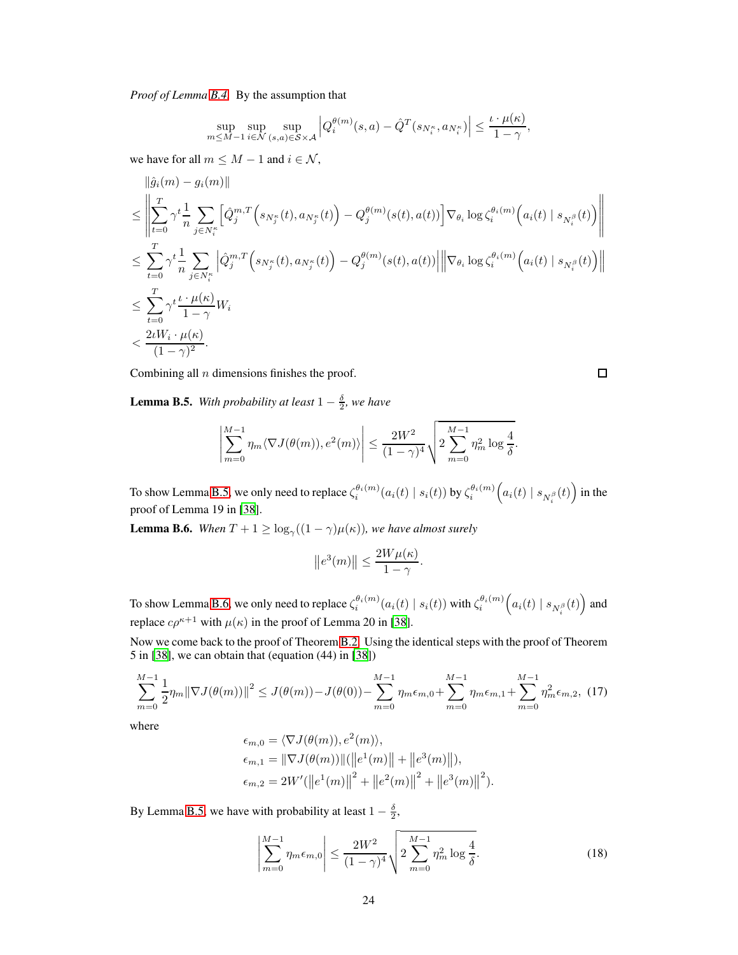*Proof of Lemma [B.4.](#page-22-2)* By the assumption that

$$
\sup_{m \le M-1} \sup_{i \in \mathcal{N}} \sup_{(s,a) \in \mathcal{S} \times \mathcal{A}} \left| Q_i^{\theta(m)}(s,a) - \hat{Q}^T(s_{N_i^{\kappa}}, a_{N_i^{\kappa}}) \right| \le \frac{\iota \cdot \mu(\kappa)}{1 - \gamma},
$$

we have for all  $m \leq M - 1$  and  $i \in \mathcal{N}$ ,

$$
\begin{split} &\|\hat{g}_i(m)-g_i(m)\|\\ &\leq \left\|\sum_{t=0}^T \gamma^t \frac{1}{n} \sum_{j\in N_i^\kappa} \Big[\hat{Q}_j^{m,T}\Big(s_{N_j^\kappa}(t),a_{N_j^\kappa}(t)\Big)-Q_j^{\theta(m)}(s(t),a(t))\Big]\nabla_{\theta_i}\log\zeta_i^{\theta_i(m)}\Big(a_i(t)\mid s_{N_i^\beta}(t)\Big)\right\|\\ &\leq \sum_{t=0}^T \gamma^t \frac{1}{n} \sum_{j\in N_i^\kappa} \Big|\hat{Q}_j^{m,T}\Big(s_{N_j^\kappa}(t),a_{N_j^\kappa}(t)\Big)-Q_j^{\theta(m)}(s(t),a(t))\Big|\Big\|\nabla_{\theta_i}\log\zeta_i^{\theta_i(m)}\Big(a_i(t)\mid s_{N_i^\beta}(t)\Big)\Big\|\\ &\leq \sum_{t=0}^T \gamma^t \frac{t\cdot\mu(\kappa)}{1-\gamma}W_i\\ &<\frac{2\iota W_i\cdot\mu(\kappa)}{(1-\gamma)^2}. \end{split}
$$

Combining all  $n$  dimensions finishes the proof.

 $\Box$ 

<span id="page-23-0"></span>**Lemma B.5.** With probability at least  $1 - \frac{\delta}{2}$ , we have

$$
\left| \sum_{m=0}^{M-1} \eta_m \langle \nabla J(\theta(m)), e^2(m) \rangle \right| \le \frac{2W^2}{(1-\gamma)^4} \sqrt{2 \sum_{m=0}^{M-1} \eta_m^2 \log \frac{4}{\delta}}.
$$

To show Lemma [B.5,](#page-23-0) we only need to replace  $\zeta_i^{\theta_i(m)}(a_i(t) \mid s_i(t))$  by  $\zeta_i^{\theta_i(m)}\Big(a_i(t) \mid s_{N_i^\beta}(t)\Big)$  in the proof of Lemma 19 in [\[38\]](#page-11-4).

<span id="page-23-1"></span>**Lemma B.6.** When  $T + 1 \ge \log_{\gamma}((1 - \gamma)\mu(\kappa))$ , we have almost surely

<span id="page-23-3"></span>
$$
\|e^3(m)\| \le \frac{2W\mu(\kappa)}{1-\gamma}.
$$

To show Lemma [B.6,](#page-23-1) we only need to replace  $\zeta_i^{\theta_i(m)}(a_i(t) \mid s_i(t))$  with  $\zeta_i^{\theta_i(m)}\Big(a_i(t) \mid s_{N_i^\beta}(t)\Big)$  and replace  $c\rho^{\kappa+1}$  with  $\mu(\kappa)$  in the proof of Lemma 20 in [\[38](#page-11-4)].

Now we come back to the proof of Theorem [B.2.](#page-21-0) Using the identical steps with the proof of Theorem 5 in [\[38\]](#page-11-4), we can obtain that (equation (44) in [\[38](#page-11-4)])

$$
\sum_{m=0}^{M-1} \frac{1}{2} \eta_m \|\nabla J(\theta(m))\|^2 \le J(\theta(m)) - J(\theta(0)) - \sum_{m=0}^{M-1} \eta_m \epsilon_{m,0} + \sum_{m=0}^{M-1} \eta_m \epsilon_{m,1} + \sum_{m=0}^{M-1} \eta_m^2 \epsilon_{m,2},
$$
 (17)

where

$$
\epsilon_{m,0} = \langle \nabla J(\theta(m)), e^2(m) \rangle, \n\epsilon_{m,1} = \|\nabla J(\theta(m))\| (\|e^1(m)\| + \|e^3(m)\|), \n\epsilon_{m,2} = 2W' (\|e^1(m)\|^2 + \|e^2(m)\|^2 + \|e^3(m)\|^2).
$$

By Lemma [B.5,](#page-23-0) we have with probability at least  $1 - \frac{\delta}{2}$ ,

<span id="page-23-2"></span>
$$
\left| \sum_{m=0}^{M-1} \eta_m \epsilon_{m,0} \right| \le \frac{2W^2}{(1-\gamma)^4} \sqrt{2 \sum_{m=0}^{M-1} \eta_m^2 \log \frac{4}{\delta}}.
$$
 (18)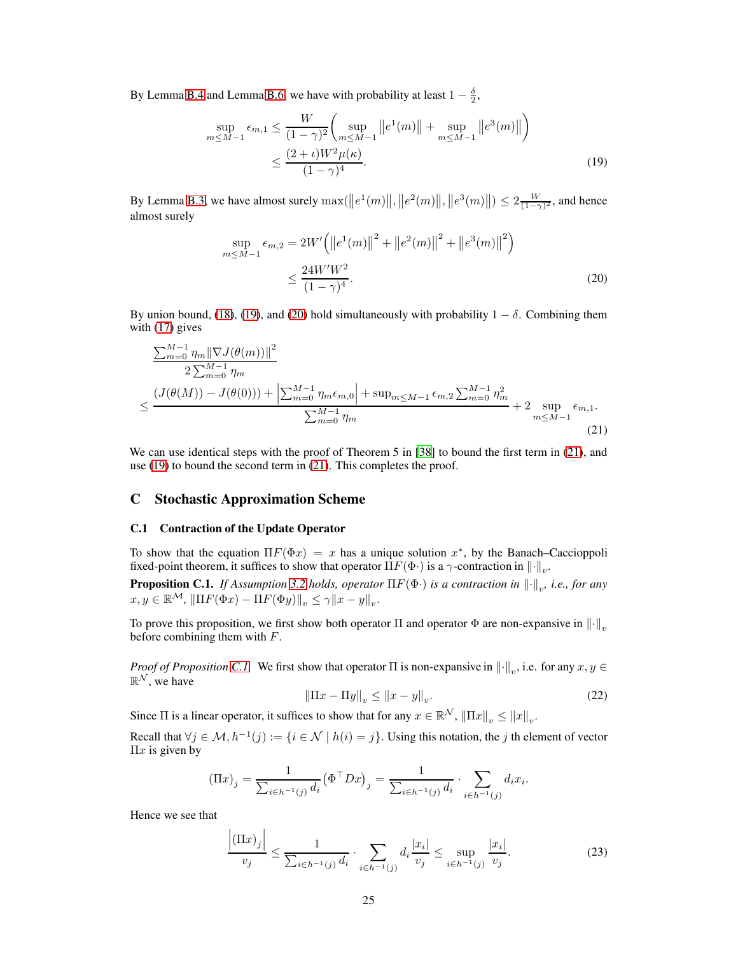By Lemma [B.4](#page-22-2) and Lemma [B.6,](#page-23-1) we have with probability at least  $1 - \frac{\delta}{2}$ ,

$$
\sup_{m \le M-1} \epsilon_{m,1} \le \frac{W}{(1-\gamma)^2} \bigg( \sup_{m \le M-1} \|e^1(m)\| + \sup_{m \le M-1} \|e^3(m)\|\bigg) \n\le \frac{(2+\iota)W^2\mu(\kappa)}{(1-\gamma)^4}.
$$
\n(19)

By Lemma [B.3,](#page-22-1) we have almost surely  $\max(||e^1(m)||, ||e^2(m)||, ||e^3(m)||) \leq 2\frac{W}{(1-\gamma)^2}$ , and hence almost surely

<span id="page-24-3"></span><span id="page-24-2"></span>
$$
\sup_{m \le M-1} \epsilon_{m,2} = 2W' \left( \left\| e^{1}(m) \right\|^{2} + \left\| e^{2}(m) \right\|^{2} + \left\| e^{3}(m) \right\|^{2} \right)
$$

$$
\le \frac{24W'W^{2}}{(1-\gamma)^{4}}.
$$
(20)

By union bound, [\(18\)](#page-23-2), [\(19\)](#page-24-2), and [\(20\)](#page-24-3) hold simultaneously with probability  $1 - \delta$ . Combining them with [\(17\)](#page-23-3) gives

$$
\frac{\sum_{m=0}^{M-1} \eta_m \|\nabla J(\theta(m))\|^2}{2 \sum_{m=0}^{M-1} \eta_m} \le \frac{\left(J(\theta(M)) - J(\theta(0))\right) + \left|\sum_{m=0}^{M-1} \eta_m \epsilon_{m,0}\right| + \sup_{m \le M-1} \epsilon_{m,2} \sum_{m=0}^{M-1} \eta_m^2}{\sum_{m=0}^{M-1} \eta_m} + 2 \sup_{m \le M-1} \epsilon_{m,1}.
$$
\n(21)

We can use identical steps with the proof of Theorem 5 in [\[38\]](#page-11-4) to bound the first term in [\(21\)](#page-24-4), and use [\(19\)](#page-24-2) to bound the second term in [\(21\)](#page-24-4). This completes the proof.

# <span id="page-24-1"></span>C Stochastic Approximation Scheme

## C.1 Contraction of the Update Operator

<span id="page-24-0"></span>To show that the equation  $\Pi F(\Phi x) = x$  has a unique solution  $x^*$ , by the Banach–Caccioppoli fixed-point theorem, it suffices to show that operator  $\Pi F(\Phi)$  is a  $\gamma$ -contraction in  $\lVert \cdot \rVert_v$ .

**Proposition C.1.** *If Assumption [3.2](#page-7-3) holds, operator*  $\Pi F(\Phi)$  *is a contraction in*  $\|\cdot\|_v$ *, i.e., for any*  $x, y \in \mathbb{R}^{\mathcal{M}}, \|\Pi F(\Phi x) - \Pi F(\Phi y)\|_{v} \leq \gamma \|x - y\|_{v}.$ 

To prove this proposition, we first show both operator Π and operator  $\Phi$  are non-expansive in  $\|\cdot\|_n$ before combining them with  $F$ .

<span id="page-24-6"></span>*Proof of Proposition [C.1.](#page-24-0)* We first show that operator  $\Pi$  is non-expansive in  $\|\cdot\|_v$ , i.e. for any  $x, y \in$  $\mathbb{R}^{\mathcal{N}},$  we have

<span id="page-24-4"></span>
$$
\|\Pi x - \Pi y\|_v \le \|x - y\|_v. \tag{22}
$$

Since  $\Pi$  is a linear operator, it suffices to show that for any  $x \in \mathbb{R}^N$ ,  $\|\Pi x\|_v \le \|x\|_v$ .

Recall that  $\forall j \in \mathcal{M}, h^{-1}(j) := \{i \in \mathcal{N} \mid h(i) = j\}$ . Using this notation, the j th element of vector  $\Pi x$  is given by

$$
(\Pi x)_j = \frac{1}{\sum_{i \in h^{-1}(j)} d_i} (\Phi^{\top} D x)_j = \frac{1}{\sum_{i \in h^{-1}(j)} d_i} \cdot \sum_{i \in h^{-1}(j)} d_i x_i.
$$

Hence we see that

<span id="page-24-5"></span>
$$
\frac{\left|(\Pi x)_j\right|}{v_j} \le \frac{1}{\sum_{i \in h^{-1}(j)} d_i} \cdot \sum_{i \in h^{-1}(j)} d_i \frac{|x_i|}{v_j} \le \sup_{i \in h^{-1}(j)} \frac{|x_i|}{v_j}.
$$
\n(23)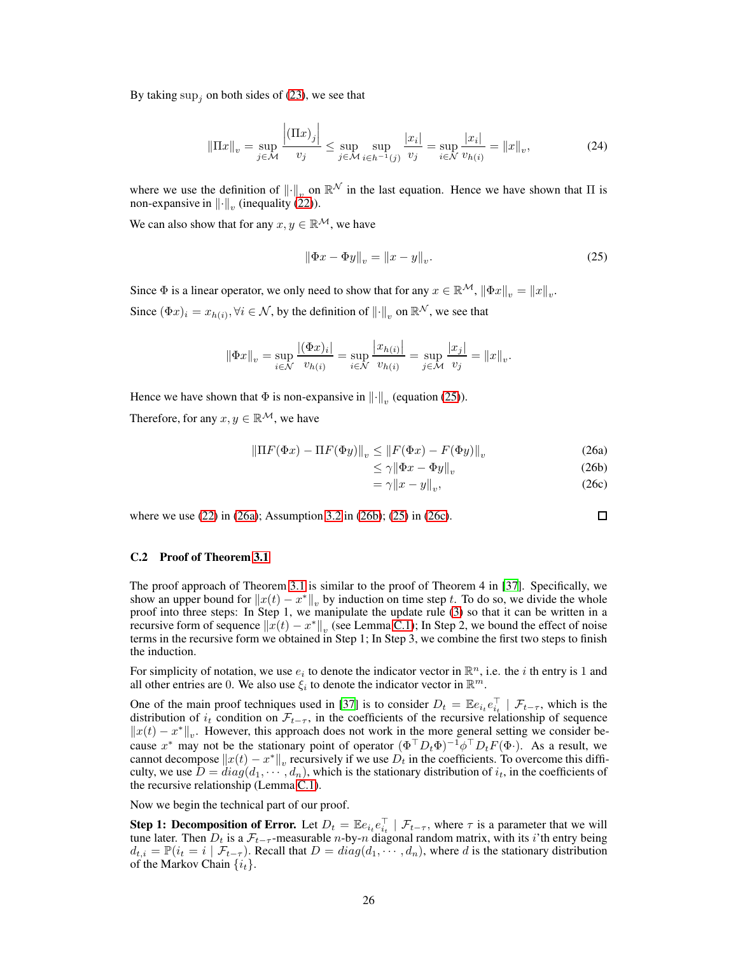By taking  $\sup_i$  on both sides of [\(23\)](#page-24-5), we see that

$$
\|\Pi x\|_{v} = \sup_{j \in \mathcal{M}} \frac{\left|(\Pi x)_{j}\right|}{v_{j}} \le \sup_{j \in \mathcal{M}} \sup_{i \in h^{-1}(j)} \frac{|x_{i}|}{v_{j}} = \sup_{i \in \mathcal{N}} \frac{|x_{i}|}{v_{h(i)}} = \|x\|_{v},\tag{24}
$$

where we use the definition of  $\|\cdot\|_v$  on  $\mathbb{R}^{\mathcal{N}}$  in the last equation. Hence we have shown that  $\Pi$  is non-expansive in  $\left\|\cdot\right\|_v$  (inequality [\(22\)](#page-24-6)).

We can also show that for any  $x, y \in \mathbb{R}^{\mathcal{M}}$ , we have

<span id="page-25-1"></span>
$$
\|\Phi x - \Phi y\|_{v} = \|x - y\|_{v}.
$$
\n(25)

Since  $\Phi$  is a linear operator, we only need to show that for any  $x \in \mathbb{R}^{\mathcal{M}}$ ,  $\|\Phi x\|_{v} = \|x\|_{v}$ . Since  $(\Phi x)_i = x_{h(i)}, \forall i \in \mathcal{N}$ , by the definition of  $\|\cdot\|_v$  on  $\mathbb{R}^{\mathcal{N}}$ , we see that

$$
\|\Phi x\|_{v} = \sup_{i \in \mathcal{N}} \frac{|(\Phi x)_{i}|}{v_{h(i)}} = \sup_{i \in \mathcal{N}} \frac{|x_{h(i)}|}{v_{h(i)}} = \sup_{j \in \mathcal{M}} \frac{|x_{j}|}{v_{j}} = \|x\|_{v}.
$$

Hence we have shown that  $\Phi$  is non-expansive in  $\left\|\cdot\right\|_v$  (equation [\(25\)](#page-25-1)).

Therefore, for any  $x, y \in \mathbb{R}^{\mathcal{M}}$ , we have

$$
\left\|\Pi F(\Phi x) - \Pi F(\Phi y)\right\|_{v} \le \left\|F(\Phi x) - F(\Phi y)\right\|_{v} \tag{26a}
$$

$$
\leq \gamma \|\Phi x - \Phi y\|_{v} \tag{26b}
$$

$$
=\gamma \|x - y\|_v,\tag{26c}
$$

 $\Box$ 

where we use [\(22\)](#page-24-6) in [\(26a\)](#page-34-2); Assumption [3.2](#page-7-3) in [\(26b\)](#page-34-3); [\(25\)](#page-25-1) in [\(26c\)](#page-34-4).

## <span id="page-25-0"></span>C.2 Proof of Theorem [3.1](#page-8-0)

The proof approach of Theorem [3.1](#page-8-0) is similar to the proof of Theorem 4 in [\[37\]](#page-11-12). Specifically, we show an upper bound for  $||x(t) - x^*||_v$  by induction on time step t. To do so, we divide the whole proof into three steps: In Step 1, we manipulate the update rule [\(3\)](#page-7-2) so that it can be written in a recursive form of sequence  $||x(t) - x^*||_v$  (see Lemma [C.1\)](#page-27-0); In Step 2, we bound the effect of noise terms in the recursive form we obtained in Step 1; In Step 3, we combine the first two steps to finish the induction.

For simplicity of notation, we use  $e_i$  to denote the indicator vector in  $\mathbb{R}^n$ , i.e. the *i* th entry is 1 and all other entries are 0. We also use  $\xi_i$  to denote the indicator vector in  $\mathbb{R}^m$ .

One of the main proof techniques used in [\[37\]](#page-11-12) is to consider  $D_t = \mathbb{E} e_{i_t} e_{i_t}^{\top} | \mathcal{F}_{t-\tau}$ , which is the distribution of  $i_t$  condition on  $\mathcal{F}_{t-\tau}$ , in the coefficients of the recursive relationship of sequence  $||x(t) - x^*||_v$ . However, this approach does not work in the more general setting we consider because  $x^*$  may not be the stationary point of operator  $(\Phi^\top D_t \Phi)^{-1} \phi^\top D_t F(\Phi)$ . As a result, we cannot decompose  $||x(t) - x^*||_v$  recursively if we use  $D_t$  in the coefficients. To overcome this difficulty, we use  $D = diag(d_1, \dots, d_n)$ , which is the stationary distribution of  $i_t$ , in the coefficients of the recursive relationship (Lemma [C.1\)](#page-27-0).

Now we begin the technical part of our proof.

**Step 1: Decomposition of Error.** Let  $D_t = \mathbb{E} e_{i_t} e_{i_t}^\top \mid \mathcal{F}_{t-\tau}$ , where  $\tau$  is a parameter that we will tune later. Then  $D_t$  is a  $\mathcal{F}_{t-\tau}$ -measurable n-by-n diagonal random matrix, with its i'th entry being  $d_{t,i} = \mathbb{P}(i_t = i \mid \mathcal{F}_{t-\tau})$ . Recall that  $D = diag(d_1, \dots, d_n)$ , where d is the stationary distribution of the Markov Chain  $\{i_t\}$ .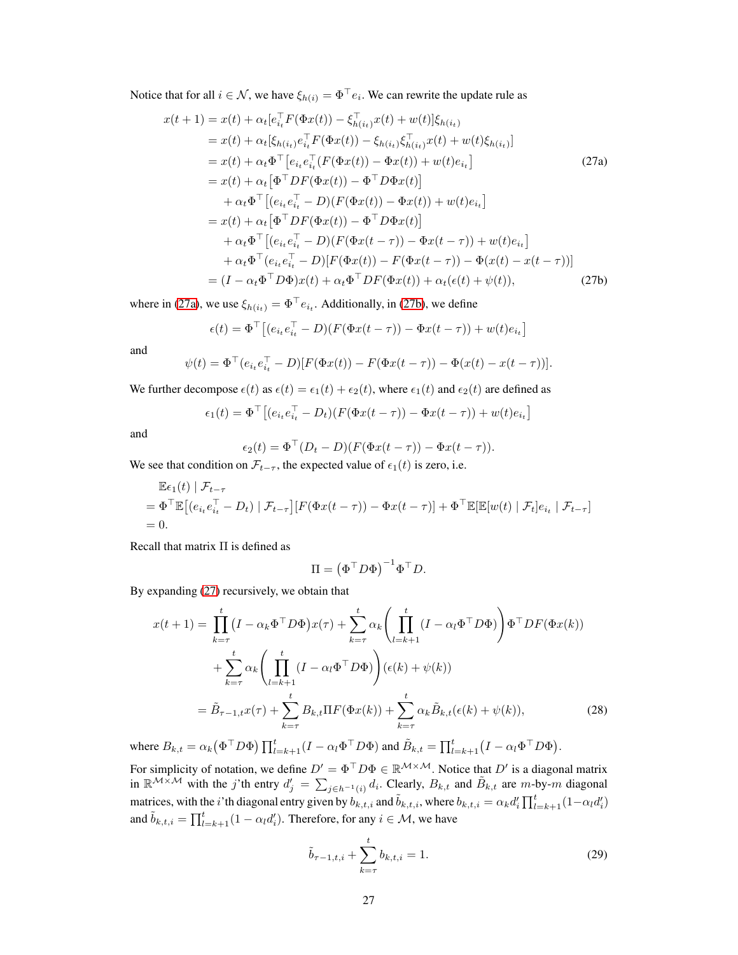Notice that for all  $i \in \mathcal{N}$ , we have  $\xi_{h(i)} = \Phi^{\dagger} e_i$ . We can rewrite the update rule as

<span id="page-26-0"></span>
$$
x(t+1) = x(t) + \alpha_t[e_{i_t}^{\top}F(\Phi x(t)) - \xi_{h(i_t)}^{\top}x(t) + w(t)]\xi_{h(i_t)}
$$
  
\n
$$
= x(t) + \alpha_t[\xi_{h(i_t)}e_{i_t}^{\top}F(\Phi x(t)) - \xi_{h(i_t)}\xi_{h(i_t)}^{\top}x(t) + w(t)\xi_{h(i_t)}]
$$
  
\n
$$
= x(t) + \alpha_t\Phi^{\top}[e_{i_t}e_{i_t}^{\top}(F(\Phi x(t)) - \Phi x(t)) + w(t)e_{i_t}]
$$
  
\n
$$
= x(t) + \alpha_t[\Phi^{\top}DF(\Phi x(t)) - \Phi^{\top}D\Phi x(t)]
$$
  
\n
$$
+ \alpha_t\Phi^{\top}[(e_{i_t}e_{i_t}^{\top} - D)(F(\Phi x(t)) - \Phi x(t)) + w(t)e_{i_t}]
$$
  
\n
$$
= x(t) + \alpha_t[\Phi^{\top}DF(\Phi x(t)) - \Phi^{\top}D\Phi x(t)]
$$
  
\n
$$
+ \alpha_t\Phi^{\top}[(e_{i_t}e_{i_t}^{\top} - D)(F(\Phi x(t - \tau)) - \Phi x(t - \tau)) + w(t)e_{i_t}]
$$
  
\n
$$
+ \alpha_t\Phi^{\top}(e_{i_t}e_{i_t}^{\top} - D)[F(\Phi x(t)) - F(\Phi x(t - \tau)) - \Phi(x(t) - x(t - \tau))]
$$
  
\n
$$
= (I - \alpha_t\Phi^{\top}D\Phi)x(t) + \alpha_t\Phi^{\top}DF(\Phi x(t)) + \alpha_t(\epsilon(t) + \psi(t)),
$$
\n(27b)

where in [\(27a\)](#page-34-2), we use  $\xi_{h(i_t)} = \Phi^{\dagger} e_{i_t}$ . Additionally, in [\(27b\)](#page-34-3), we define

$$
\epsilon(t) = \Phi^{\top} \left[ (e_{i_t} e_{i_t}^{\top} - D)(F(\Phi x(t - \tau)) - \Phi x(t - \tau)) + w(t) e_{i_t} \right]
$$

and

$$
\psi(t) = \Phi^{\top} (e_{i_t} e_{i_t}^{\top} - D) [F(\Phi x(t)) - F(\Phi x(t - \tau)) - \Phi(x(t) - x(t - \tau))].
$$

We further decompose  $\epsilon(t)$  as  $\epsilon(t) = \epsilon_1(t) + \epsilon_2(t)$ , where  $\epsilon_1(t)$  and  $\epsilon_2(t)$  are defined as

$$
\epsilon_1(t) = \Phi^{\top} \left[ (e_{i_t} e_{i_t}^{\top} - D_t) (F(\Phi x(t-\tau)) - \Phi x(t-\tau)) + w(t) e_{i_t} \right]
$$

and

$$
\epsilon_2(t) = \Phi^{\top}(D_t - D)(F(\Phi x(t - \tau)) - \Phi x(t - \tau)).
$$

We see that condition on  $\mathcal{F}_{t-\tau}$ , the expected value of  $\epsilon_1(t)$  is zero, i.e.

$$
\mathbb{E}\epsilon_1(t) | \mathcal{F}_{t-\tau}
$$
  
=  $\Phi^{\top} \mathbb{E}[(e_{i_t}e_{i_t}^{\top} - D_t) | \mathcal{F}_{t-\tau}] [F(\Phi x(t-\tau)) - \Phi x(t-\tau)] + \Phi^{\top} \mathbb{E}[\mathbb{E}[w(t) | \mathcal{F}_t]e_{i_t} | \mathcal{F}_{t-\tau}]$   
= 0.

Recall that matrix Π is defined as

<span id="page-26-1"></span>
$$
\Pi = \left(\Phi^{\top} D \Phi\right)^{-1} \Phi^{\top} D.
$$

By expanding [\(27\)](#page-26-0) recursively, we obtain that

$$
x(t+1) = \prod_{k=\tau}^{t} (I - \alpha_k \Phi^{\top} D\Phi) x(\tau) + \sum_{k=\tau}^{t} \alpha_k \left( \prod_{l=k+1}^{t} (I - \alpha_l \Phi^{\top} D\Phi) \right) \Phi^{\top} DF(\Phi x(k))
$$
  
+ 
$$
\sum_{k=\tau}^{t} \alpha_k \left( \prod_{l=k+1}^{t} (I - \alpha_l \Phi^{\top} D\Phi) \right) (\epsilon(k) + \psi(k))
$$
  
= 
$$
\tilde{B}_{\tau-1,t} x(\tau) + \sum_{k=\tau}^{t} B_{k,t} \Pi F(\Phi x(k)) + \sum_{k=\tau}^{t} \alpha_k \tilde{B}_{k,t} (\epsilon(k) + \psi(k)),
$$
 (28)

where  $B_{k,t} = \alpha_k (\Phi^{\top} D \Phi) \prod_{l=k+1}^t (I - \alpha_l \Phi^{\top} D \Phi)$  and  $\tilde{B}_{k,t} = \prod_{l=k+1}^t (I - \alpha_l \Phi^{\top} D \Phi)$ .

For simplicity of notation, we define  $D' = \Phi^{\top} D \Phi \in \mathbb{R}^{\mathcal{M} \times \mathcal{M}}$ . Notice that  $D'$  is a diagonal matrix in  $\mathbb{R}^{\mathcal{M}\times\mathcal{M}}$  with the j'th entry  $d'_j = \sum_{j\in h^{-1}(i)} d_i$ . Clearly,  $B_{k,t}$  and  $\tilde{B}_{k,t}$  are  $m$ -by-m diagonal matrices, with the *i*'th diagonal entry given by  $b_{k,t,i}$  and  $\tilde{b}_{k,t,i}$ , where  $b_{k,t,i} = \alpha_k d'_i \prod_{l=k+1}^t (1-\alpha_l d'_i)$ and  $\tilde{b}_{k,t,i} = \prod_{l=k+1}^{t} (1 - \alpha_l d_i')$ . Therefore, for any  $i \in \mathcal{M}$ , we have

<span id="page-26-2"></span>
$$
\tilde{b}_{\tau-1,t,i} + \sum_{k=\tau}^{t} b_{k,t,i} = 1.
$$
\n(29)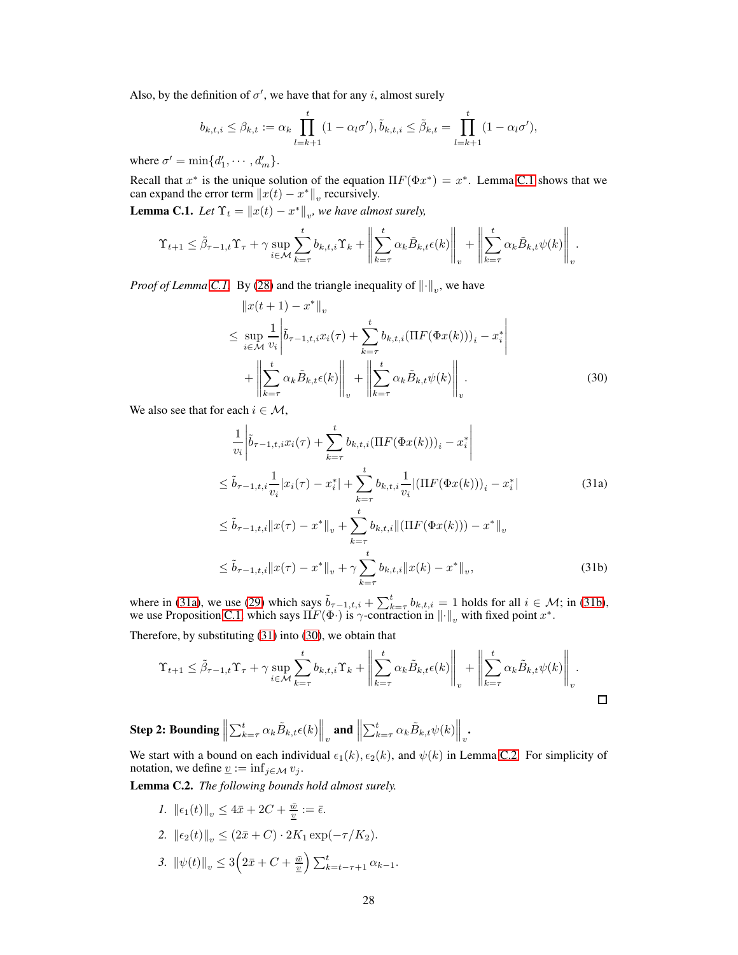Also, by the definition of  $\sigma'$ , we have that for any *i*, almost surely

$$
b_{k,t,i} \leq \beta_{k,t} := \alpha_k \prod_{l=k+1}^t (1 - \alpha_l \sigma'), \tilde{b}_{k,t,i} \leq \tilde{\beta}_{k,t} = \prod_{l=k+1}^t (1 - \alpha_l \sigma'),
$$

where  $\sigma' = \min\{d'_1, \cdots, d'_m\}.$ 

<span id="page-27-0"></span>Recall that  $x^*$  is the unique solution of the equation  $\Pi F(\Phi x^*) = x^*$ . Lemma [C.1](#page-27-0) shows that we can expand the error term  $||x(t) - x^*||_v$  recursively.

**Lemma C.1.** *Let*  $\Upsilon_t = ||x(t) - x^*||_v$ , we have almost surely,

$$
\Upsilon_{t+1} \leq \tilde{\beta}_{\tau-1,t}\Upsilon_{\tau} + \gamma \sup_{i \in \mathcal{M}} \sum_{k=\tau}^{t} b_{k,t,i}\Upsilon_k + \left\| \sum_{k=\tau}^{t} \alpha_k \tilde{B}_{k,t} \epsilon(k) \right\|_{v} + \left\| \sum_{k=\tau}^{t} \alpha_k \tilde{B}_{k,t} \psi(k) \right\|_{v}.
$$

*Proof of Lemma [C.1.](#page-27-0)* By [\(28\)](#page-26-1) and the triangle inequality of  $\left\|\cdot\right\|_v$ , we have

<span id="page-27-2"></span>
$$
\|x(t+1) - x^*\|_v
$$
  
\n
$$
\leq \sup_{i \in \mathcal{M}} \frac{1}{v_i} \left| \tilde{b}_{\tau-1,t,i} x_i(\tau) + \sum_{k=\tau}^t b_{k,t,i} (\Pi F(\Phi x(k)))_i - x_i^* \right|
$$
  
\n
$$
+ \left\| \sum_{k=\tau}^t \alpha_k \tilde{B}_{k,t} \epsilon(k) \right\|_v + \left\| \sum_{k=\tau}^t \alpha_k \tilde{B}_{k,t} \psi(k) \right\|_v.
$$
 (30)

We also see that for each  $i \in \mathcal{M}$ ,

<span id="page-27-1"></span>
$$
\frac{1}{v_i} \left| \tilde{b}_{\tau-1,t,i} x_i(\tau) + \sum_{k=\tau}^t b_{k,t,i} (\Pi F(\Phi x(k)))_i - x_i^* \right|
$$
\n
$$
\leq \tilde{b}_{\tau-1,t,i} \frac{1}{v_i} |x_i(\tau) - x_i^*| + \sum_{k=\tau}^t b_{k,t,i} \frac{1}{v_i} |(\Pi F(\Phi x(k)))_i - x_i^*|
$$
\n
$$
\leq \tilde{b}_{\tau-1,t,i} \|x(\tau) - x^* \|_v + \sum_{k=\tau}^t b_{k,t,i} \|(\Pi F(\Phi x(k))) - x^* \|_v
$$
\n
$$
\leq \tilde{b}_{\tau-1,t,i} \|x(\tau) - x^* \|_v + \gamma \sum_{k=\tau}^t b_{k,t,i} \|x(k) - x^* \|_v,
$$
\n(31b)

where in [\(31a\)](#page-34-2), we use [\(29\)](#page-26-2) which says  $\tilde{b}_{\tau-1,t,i} + \sum_{k=\tau}^{t} b_{k,t,i} = 1$  holds for all  $i \in \mathcal{M}$ ; in [\(31b\)](#page-34-3), we use Proposition [C.1,](#page-24-0) which says  $\Pi F(\Phi)$  is  $\gamma$ -contraction in  $\|\cdot\|_v$  with fixed point  $x^*$ .

Therefore, by substituting [\(31\)](#page-27-1) into [\(30\)](#page-27-2), we obtain that

$$
\Upsilon_{t+1} \leq \tilde{\beta}_{\tau-1,t} \Upsilon_{\tau} + \gamma \sup_{i \in \mathcal{M}} \sum_{k=\tau}^{t} b_{k,t,i} \Upsilon_k + \left\| \sum_{k=\tau}^{t} \alpha_k \tilde{B}_{k,t} \epsilon(k) \right\|_{v} + \left\| \sum_{k=\tau}^{t} \alpha_k \tilde{B}_{k,t} \psi(k) \right\|_{v}.
$$

Step 2: Bounding  $\Big\|$  $\sum_{k=\tau}^{t} \alpha_k \tilde{B}_{k,t} \epsilon(k) \Big\|_v$  and  $\Big\|$  $\sum_{k=\tau}^{t} \alpha_k \tilde{B}_{k,t} \psi(k) \Big\|_{v}.$ 

We start with a bound on each individual  $\epsilon_1(k)$ ,  $\epsilon_2(k)$ , and  $\psi(k)$  in Lemma [C.2.](#page-27-3) For simplicity of notation, we define  $\underline{v} := \inf_{j \in \mathcal{M}} v_j$ .

<span id="page-27-3"></span>Lemma C.2. *The following bounds hold almost surely.*

*1.*  $\|\epsilon_1(t)\|_v \leq 4\bar{x} + 2C + \frac{\bar{w}}{v} := \bar{\epsilon}.$ 2.  $\|\epsilon_2(t)\|_{v} \leq (2\bar{x} + C) \cdot 2K_1 \exp(-\tau/K_2).$ 3.  $\|\psi(t)\|_v \leq 3\left(2\bar{x} + C + \frac{\bar{w}}{2}\right)\sum_{k=t-\tau+1}^t \alpha_{k-1}.$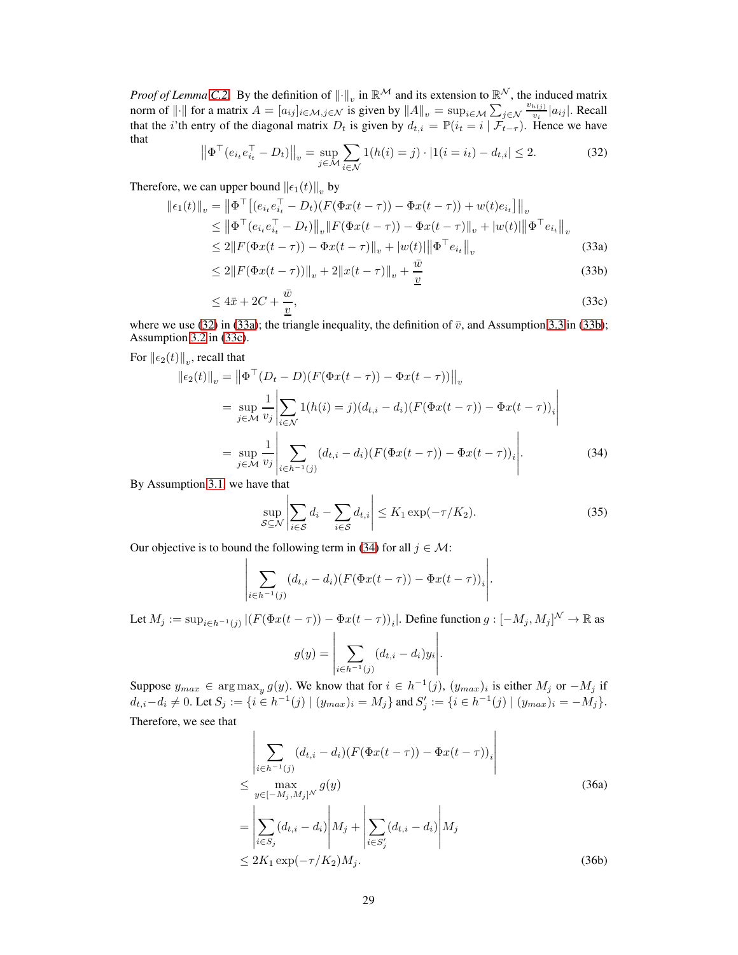<span id="page-28-0"></span>*Proof of Lemma [C.2.](#page-27-3)* By the definition of  $\|\cdot\|_v$  in  $\mathbb{R}^{\mathcal{M}}$  and its extension to  $\mathbb{R}^{\mathcal{N}}$ , the induced matrix norm of  $\|\cdot\|$  for a matrix  $A = [a_{ij}]_{i \in \mathcal{M}, j \in \mathcal{N}}$  is given by  $\|A\|_{v} = \sup_{i \in \mathcal{M}} \sum_{j \in \mathcal{N}}$  $v_{h(j)}$  $\frac{h(j)}{v_i} |a_{ij}|$ . Recall that the *i*'th entry of the diagonal matrix  $D_t$  is given by  $d_{t,i} = \mathbb{P}(i_t = i | \mathcal{F}_{t-\tau})$ . Hence we have that

$$
\left\| \Phi^{\top} (e_{i_t} e_{i_t}^{\top} - D_t) \right\|_v = \sup_{j \in \mathcal{M}} \sum_{i \in \mathcal{N}} 1(h(i) = j) \cdot |1(i = i_t) - d_{t,i}| \le 2. \tag{32}
$$

Therefore, we can upper bound  $\left\|\epsilon_1(t)\right\|_v$  by

$$
\|\epsilon_1(t)\|_{v} = \left\|\Phi^{\top}\left[(e_{i_t}e_{i_t}^{\top} - D_t)(F(\Phi x(t-\tau)) - \Phi x(t-\tau)) + w(t)e_{i_t}\right]\right\|_{v}
$$
  
\n
$$
\leq \left\|\Phi^{\top}(e_{i_t}e_{i_t}^{\top} - D_t)\right\|_{v} \|F(\Phi x(t-\tau)) - \Phi x(t-\tau)\|_{v} + |w(t)| \|\Phi^{\top}e_{i_t}\|_{v}
$$
  
\n
$$
\leq 2\|F(\Phi x(t-\tau)) - \Phi x(t-\tau)\|_{v} + |w(t)| \|\Phi^{\top}e_{i_t}\|_{v}
$$
\n(33a)

$$
\leq 2\|F(\Phi x(t-\tau))\|_{v} + 2\|x(t-\tau)\|_{v} + \frac{\bar{w}}{\underline{v}} \tag{33b}
$$

$$
\leq 4\bar{x} + 2C + \frac{\bar{w}}{2},\tag{33c}
$$

where we use [\(32\)](#page-28-0) in [\(33a\)](#page-34-2); the triangle inequality, the definition of  $\bar{v}$ , and Assumption [3.3](#page-8-2) in [\(33b\)](#page-34-3); Assumption [3.2](#page-7-3) in [\(33c\)](#page-34-4).

For  $\left\Vert \epsilon_{2}(t)\right\Vert _{v}$ , recall that

$$
\|\epsilon_2(t)\|_{v} = \left\|\Phi^{\top}(D_t - D)(F(\Phi x(t-\tau)) - \Phi x(t-\tau))\right\|_{v}
$$
  
\n
$$
= \sup_{j \in \mathcal{M}} \frac{1}{v_j} \left| \sum_{i \in \mathcal{N}} 1(h(i) = j)(d_{t,i} - d_i)(F(\Phi x(t-\tau)) - \Phi x(t-\tau))_{i} \right|
$$
  
\n
$$
= \sup_{j \in \mathcal{M}} \frac{1}{v_j} \left| \sum_{i \in h^{-1}(j)} (d_{t,i} - d_i)(F(\Phi x(t-\tau)) - \Phi x(t-\tau))_{i} \right|.
$$
 (34)

By Assumption [3.1,](#page-7-4) we have that

<span id="page-28-2"></span><span id="page-28-1"></span>
$$
\sup_{S \subseteq \mathcal{N}} \left| \sum_{i \in S} d_i - \sum_{i \in S} d_{t,i} \right| \le K_1 \exp(-\tau/K_2). \tag{35}
$$

Our objective is to bound the following term in [\(34\)](#page-28-1) for all  $j \in \mathcal{M}$ :

$$
\left|\sum_{i\in h^{-1}(j)}(d_{t,i}-d_i)(F(\Phi x(t-\tau))-\Phi x(t-\tau))_i\right|.
$$

Let  $M_j := \sup_{i \in h^{-1}(j)} |(F(\Phi x(t-\tau)) - \Phi x(t-\tau))_i|$ . Define function  $g : [-M_j, M_j]^{\mathcal{N}} \to \mathbb{R}$  as

$$
g(y) = \left| \sum_{i \in h^{-1}(j)} (d_{t,i} - d_i) y_i \right|.
$$

Suppose  $y_{max} \in \arg \max_y g(y)$ . We know that for  $i \in h^{-1}(j)$ ,  $(y_{max})_i$  is either  $M_j$  or  $-M_j$  if  $d_{t,i}-d_i \neq 0$ . Let  $S_j := \{i \in h^{-1}(j) \mid (y_{max})_i = M_j\}$  and  $S'_j := \{i \in h^{-1}(j) \mid (y_{max})_i = -M_j\}$ . Therefore, we see that

<span id="page-28-3"></span>
$$
\left| \sum_{i \in h^{-1}(j)} (d_{t,i} - d_i) (F(\Phi x(t - \tau)) - \Phi x(t - \tau))_i \right|
$$
\n
$$
\leq \max_{y \in [-M_j, M_j]^N} g(y)
$$
\n
$$
= \left| \sum_{i \in S_j} (d_{t,i} - d_i) \middle| M_j + \left| \sum_{i \in S'_j} (d_{t,i} - d_i) \middle| M_j \right| \right|
$$
\n
$$
\leq 2K_1 \exp(-\tau/K_2) M_j.
$$
\n(36b)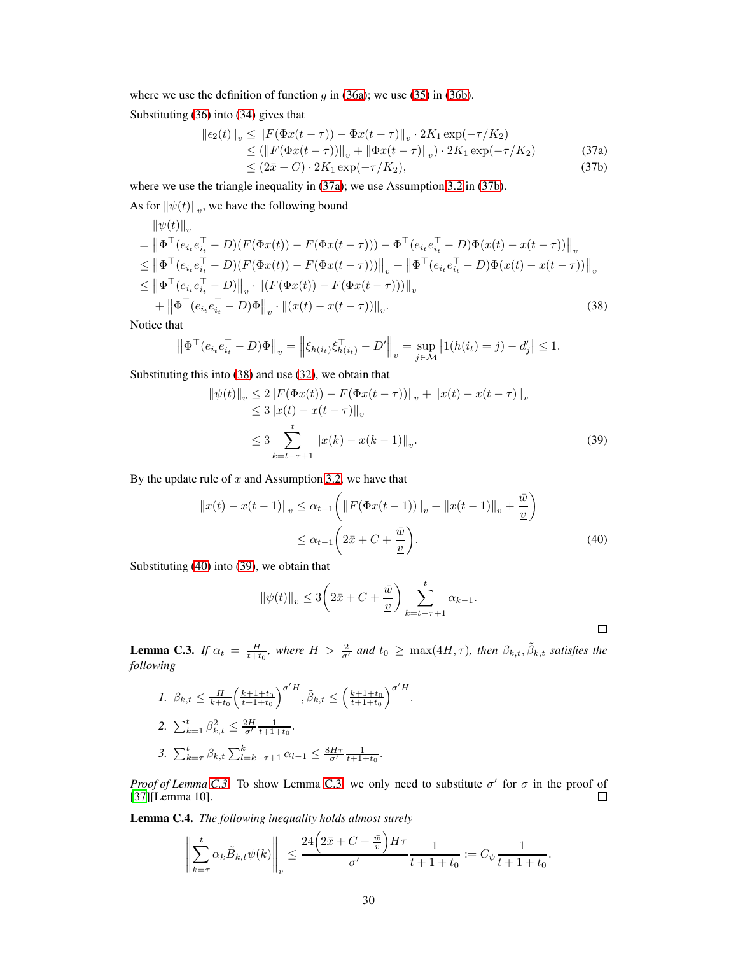where we use the definition of function  $g$  in [\(36a\)](#page-34-2); we use [\(35\)](#page-28-2) in [\(36b\)](#page-34-3).

Substituting [\(36\)](#page-28-3) into [\(34\)](#page-28-1) gives that

$$
\begin{aligned} ||\epsilon_2(t)||_v &\le ||F(\Phi x(t-\tau)) - \Phi x(t-\tau)||_v \cdot 2K_1 \exp(-\tau/K_2) \\ &\le (||F(\Phi x(t-\tau))||_v + ||\Phi x(t-\tau)||_v) \cdot 2K_1 \exp(-\tau/K_2) \\ &\le (2\bar{x} + C) \cdot 2K_1 \exp(-\tau/K_2), \end{aligned} \tag{37b}
$$

where we use the triangle inequality in [\(37a\)](#page-34-2); we use Assumption [3.2](#page-7-3) in [\(37b\)](#page-34-3).

As for  $\left\|\psi(t)\right\|_v$ , we have the following bound

$$
\begin{split} &\|\psi(t)\|_{v} \\ &= \left\|\Phi^{\top}(e_{i_{t}}e_{i_{t}}^{\top}-D)(F(\Phi x(t))-F(\Phi x(t-\tau)))-\Phi^{\top}(e_{i_{t}}e_{i_{t}}^{\top}-D)\Phi(x(t)-x(t-\tau))\right\|_{v} \\ &\leq \left\|\Phi^{\top}(e_{i_{t}}e_{i_{t}}^{\top}-D)(F(\Phi x(t))-F(\Phi x(t-\tau)))\right\|_{v} + \left\|\Phi^{\top}(e_{i_{t}}e_{i_{t}}^{\top}-D)\Phi(x(t)-x(t-\tau))\right\|_{v} \\ &\leq \left\|\Phi^{\top}(e_{i_{t}}e_{i_{t}}^{\top}-D)\right\|_{v} \cdot \left\|(F(\Phi x(t))-F(\Phi x(t-\tau)))\right\|_{v} \\ &\quad + \left\|\Phi^{\top}(e_{i_{t}}e_{i_{t}}^{\top}-D)\Phi\right\|_{v} \cdot \left\|(x(t)-x(t-\tau))\right\|_{v} . \end{split} \tag{38}
$$

Notice that

$$
\left\| \Phi^{\top} (e_{i_t} e_{i_t}^{\top} - D) \Phi \right\|_v = \left\| \xi_{h(i_t)} \xi_{h(i_t)}^{\top} - D' \right\|_v = \sup_{j \in \mathcal{M}} \left| 1(h(i_t) = j) - d'_j \right| \le 1.
$$

Substituting this into [\(38\)](#page-29-0) and use [\(32\)](#page-28-0), we obtain that

<span id="page-29-0"></span>
$$
\begin{aligned} \|\psi(t)\|_{v} &\le 2\|F(\Phi x(t)) - F(\Phi x(t-\tau))\|_{v} + \|x(t) - x(t-\tau)\|_{v} \\ &\le 3\|x(t) - x(t-\tau)\|_{v} \\ &\le 3\sum_{k=t-\tau+1}^{t} \|x(k) - x(k-1)\|_{v} . \end{aligned} \tag{39}
$$

By the update rule of  $x$  and Assumption [3.2,](#page-7-3) we have that

$$
||x(t) - x(t-1)||_{v} \leq \alpha_{t-1} \left( ||F(\Phi x(t-1))||_{v} + ||x(t-1)||_{v} + \frac{\bar{w}}{\underline{v}} \right)
$$
  
 
$$
\leq \alpha_{t-1} \left( 2\bar{x} + C + \frac{\bar{w}}{\underline{v}} \right).
$$
 (40)

<span id="page-29-2"></span><span id="page-29-1"></span>.

Substituting [\(40\)](#page-29-1) into [\(39\)](#page-29-2), we obtain that

$$
\|\psi(t)\|_{v} \leq 3\left(2\bar{x} + C + \frac{\bar{w}}{\underline{v}}\right) \sum_{k=t-\tau+1}^{t} \alpha_{k-1}.
$$

<span id="page-29-3"></span>**Lemma C.3.** *If*  $\alpha_t = \frac{H}{t+t_0}$ , where  $H > \frac{2}{\sigma'}$  and  $t_0 \ge \max(4H, \tau)$ , then  $\beta_{k,t}$ ,  $\tilde{\beta}_{k,t}$  satisfies the *following*

1. 
$$
\beta_{k,t} \leq \frac{H}{k+t_0} \left(\frac{k+1+t_0}{t+1+t_0}\right)^{\sigma'H}, \tilde{\beta}_{k,t} \leq \left(\frac{k+1+t_0}{t+1+t_0}\right)^{\sigma'H}.
$$
  
\n2.  $\sum_{k=1}^t \beta_{k,t}^2 \leq \frac{2H}{\sigma'} \frac{1}{t+1+t_0}.$   
\n3.  $\sum_{k=\tau}^t \beta_{k,t} \sum_{l=k-\tau+1}^k \alpha_{l-1} \leq \frac{8H\tau}{\sigma'} \frac{1}{t+1+t_0}.$ 

*Proof of Lemma [C.3.](#page-29-3)* To show Lemma [C.3,](#page-29-3) we only need to substitute  $\sigma'$  for  $\sigma$  in the proof of [\[37](#page-11-12)][Lemma 10].

<span id="page-29-4"></span>Lemma C.4. *The following inequality holds almost surely*

$$
\left\|\sum_{k=\tau}^t \alpha_k \tilde{B}_{k,t} \psi(k)\right\|_v \le \frac{24\left(2\bar{x}+C+\frac{\bar{w}}{\underline{v}}\right)H\tau}{\sigma'}\frac{1}{t+1+t_0}:=C_{\psi}\frac{1}{t+1+t_0}.
$$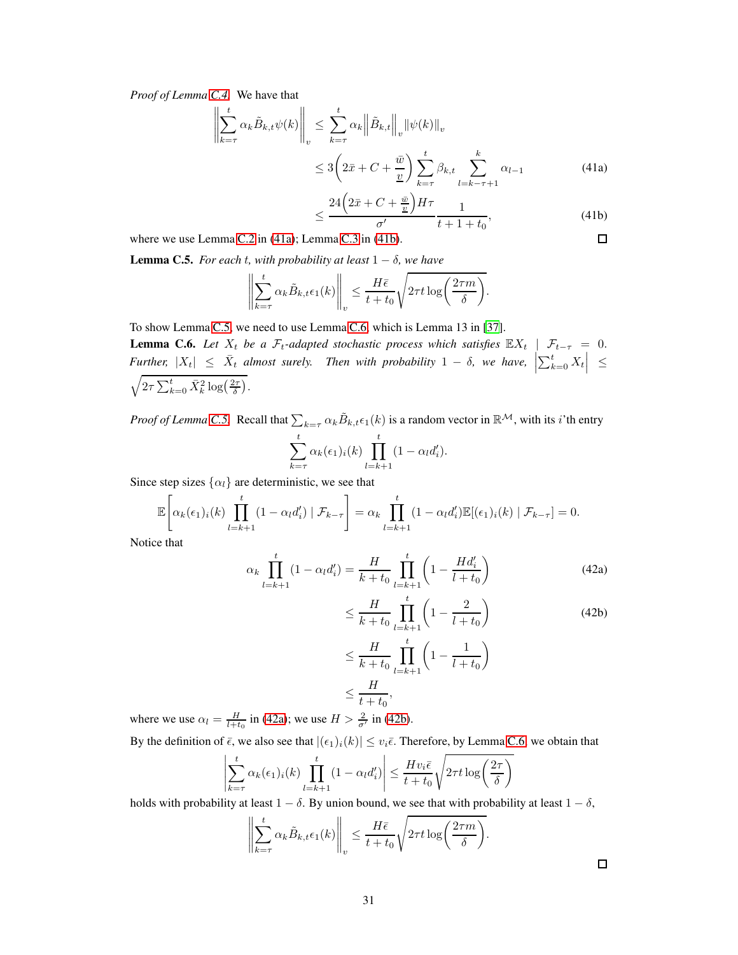*Proof of Lemma [C.4.](#page-29-4)* We have that

$$
\left\| \sum_{k=\tau}^{t} \alpha_k \tilde{B}_{k,t} \psi(k) \right\|_{v} \leq \sum_{k=\tau}^{t} \alpha_k \left\| \tilde{B}_{k,t} \right\|_{v} \left\| \psi(k) \right\|_{v}
$$
  

$$
\leq 3 \left( 2\bar{x} + C + \frac{\bar{w}}{\underline{v}} \right) \sum_{k=\tau}^{t} \beta_{k,t} \sum_{l=k-\tau+1}^{k} \alpha_{l-1}
$$
 (41a)

$$
\leq \frac{24\left(2\bar{x} + C + \frac{\bar{w}}{2}\right)H\tau}{\sigma'} \frac{1}{t + 1 + t_0},\tag{41b}
$$

 $\Box$ 

<span id="page-30-0"></span>where we use Lemma [C.2](#page-27-3) in [\(41a\)](#page-34-2); Lemma [C.3](#page-29-3) in [\(41b\)](#page-34-3).

**Lemma C.5.** *For each t, with probability at least*  $1 - \delta$ *, we have* 

$$
\left\| \sum_{k=\tau}^{t} \alpha_k \tilde{B}_{k,t} \epsilon_1(k) \right\|_v \le \frac{H\bar{\epsilon}}{t+t_0} \sqrt{2\tau t \log\left(\frac{2\tau m}{\delta}\right)}.
$$

<span id="page-30-1"></span>To show Lemma [C.5,](#page-30-0) we need to use Lemma [C.6,](#page-30-1) which is Lemma 13 in [\[37](#page-11-12)]. **Lemma C.6.** Let  $X_t$  be a  $\mathcal{F}_t$ -adapted stochastic process which satisfies  $\mathbb{E}[X_t] \mid \mathcal{F}_{t-\tau} = 0$ .  $Further, |X_t| \leq \bar{X}_t$  almost surely. Then with probability  $1 - \delta$ , we have,  $\left| \sum_{k=0}^t X_t \right| \leq$  $\sqrt{2\tau\sum_{k=0}^t\bar{X}_k^2\log\left(\frac{2\tau}{\delta}\right)}$ .

*Proof of Lemma [C.5.](#page-30-0)* Recall that  $\sum_{k=\tau} \alpha_k \tilde{B}_{k,t} \epsilon_1(k)$  is a random vector in  $\mathbb{R}^{\mathcal{M}}$ , with its *i*'th entry

$$
\sum_{k=\tau}^{t} \alpha_k(\epsilon_1)_i(k) \prod_{l=k+1}^{t} (1 - \alpha_l d'_i).
$$

Since step sizes  $\{\alpha_l\}$  are deterministic, we see that

$$
\mathbb{E}\left[\alpha_k(\epsilon_1)_i(k)\prod_{l=k+1}^t(1-\alpha_l d_i')\mid \mathcal{F}_{k-\tau}\right] = \alpha_k \prod_{l=k+1}^t(1-\alpha_l d_i')\mathbb{E}[(\epsilon_1)_i(k)\mid \mathcal{F}_{k-\tau}] = 0.
$$

Notice that

$$
\alpha_k \prod_{l=k+1}^t (1 - \alpha_l d'_i) = \frac{H}{k + t_0} \prod_{l=k+1}^t \left( 1 - \frac{H d'_i}{l + t_0} \right)
$$
(42a)

$$
\leq \frac{H}{k+t_0} \prod_{l=k+1}^{t} \left(1 - \frac{2}{l+t_0}\right)
$$
\n
$$
\leq \frac{H}{k+t_0} \prod_{l=k+1}^{t} \left(1 - \frac{1}{l+t_0}\right)
$$
\n
$$
\leq H
$$
\n(42b)

 $\frac{1}{t+t_0},\qquad$ where we use  $\alpha_l = \frac{H}{l+t_0}$  in [\(42a\)](#page-34-2); we use  $H > \frac{2}{\sigma'}$  in [\(42b\)](#page-34-3).

By the definition of  $\bar{\epsilon}$ , we also see that  $|(\epsilon_1)_i(k)| \leq v_i \bar{\epsilon}$ . Therefore, by Lemma [C.6,](#page-30-1) we obtain that

≤

$$
\left| \sum_{k=\tau}^{t} \alpha_k(\epsilon_1)_i(k) \prod_{l=k+1}^{t} (1 - \alpha_l d_i') \right| \le \frac{H v_i \bar{\epsilon}}{t + t_0} \sqrt{2\tau t \log \left( \frac{2\tau}{\delta} \right)}
$$

<span id="page-30-2"></span>holds with probability at least  $1 - \delta$ . By union bound, we see that with probability at least  $1 - \delta$ ,

$$
\left\| \sum_{k=\tau}^{t} \alpha_k \tilde{B}_{k,t} \epsilon_1(k) \right\|_v \le \frac{H\bar{\epsilon}}{t+t_0} \sqrt{2\tau t \log\left(\frac{2\tau m}{\delta}\right)}.
$$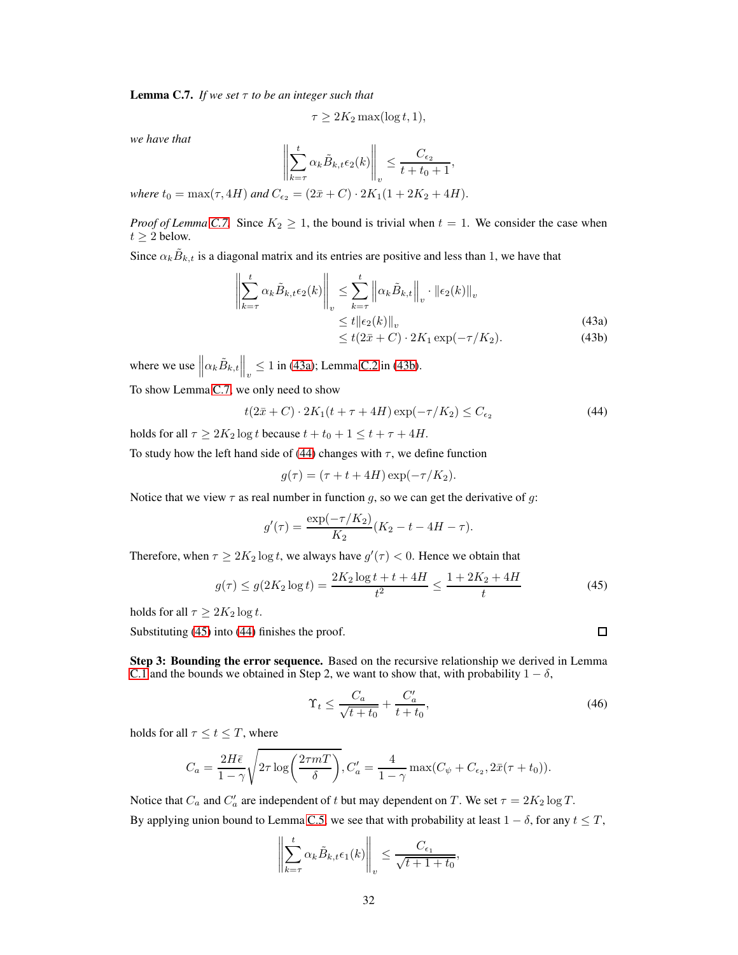**Lemma C.7.** *If we set*  $\tau$  *to be an integer such that* 

$$
\tau \ge 2K_2 \max(\log t, 1),
$$

*we have that*

$$
\left\| \sum_{k=\tau}^{t} \alpha_k \tilde{B}_{k,t} \epsilon_2(k) \right\|_v \leq \frac{C_{\epsilon_2}}{t+t_0+1},
$$

*where*  $t_0 = \max(\tau, 4H)$  *and*  $C_{\epsilon_2} = (2\bar{x} + C) \cdot 2K_1(1 + 2K_2 + 4H)$ .

*Proof of Lemma [C.7.](#page-30-2)* Since  $K_2 \geq 1$ , the bound is trivial when  $t = 1$ . We consider the case when  $t \geq 2$  below.

Since  $\alpha_k \tilde{B}_{k,t}$  is a diagonal matrix and its entries are positive and less than 1, we have that

$$
\left\| \sum_{k=\tau}^{t} \alpha_k \tilde{B}_{k,t} \epsilon_2(k) \right\|_v \leq \sum_{k=\tau}^{t} \left\| \alpha_k \tilde{B}_{k,t} \right\|_v \cdot \left\| \epsilon_2(k) \right\|_v
$$
\n
$$
\leq t \left\| \epsilon_2(k) \right\|_v \tag{43a}
$$

<span id="page-31-0"></span>
$$
\leq t(2\bar{x} + C) \cdot 2K_1 \exp(-\tau/K_2). \tag{43b}
$$

where we use  $\left\|\alpha_k \tilde{B}_{k,t}\right\|_v \le 1$  in [\(43a\)](#page-34-2); Lemma [C.2](#page-27-3) in [\(43b\)](#page-34-3).

To show Lemma [C.7,](#page-30-2) we only need to show

$$
t(2\bar{x} + C) \cdot 2K_1(t + \tau + 4H) \exp(-\tau/K_2) \le C_{\epsilon_2}
$$
\n
$$
\tag{44}
$$

holds for all  $\tau \geq 2K_2 \log t$  because  $t + t_0 + 1 \leq t + \tau + 4H$ .

To study how the left hand side of [\(44\)](#page-31-0) changes with  $\tau$ , we define function

$$
g(\tau) = (\tau + t + 4H) \exp(-\tau/K_2).
$$

Notice that we view  $\tau$  as real number in function g, so we can get the derivative of g:

$$
g'(\tau) = \frac{\exp(-\tau/K_2)}{K_2} (K_2 - t - 4H - \tau).
$$

Therefore, when  $\tau \ge 2K_2 \log t$ , we always have  $g'(\tau) < 0$ . Hence we obtain that

$$
g(\tau) \le g(2K_2 \log t) = \frac{2K_2 \log t + t + 4H}{t^2} \le \frac{1 + 2K_2 + 4H}{t}
$$
(45)

holds for all  $\tau \geq 2K_2 \log t$ .

Substituting [\(45\)](#page-31-1) into [\(44\)](#page-31-0) finishes the proof.

Step 3: Bounding the error sequence. Based on the recursive relationship we derived in Lemma [C.1](#page-27-0) and the bounds we obtained in Step 2, we want to show that, with probability  $1 - \delta$ ,

$$
\Upsilon_t \le \frac{C_a}{\sqrt{t+t_0}} + \frac{C'_a}{t+t_0},\tag{46}
$$

holds for all  $\tau \leq t \leq T$ , where

$$
C_a = \frac{2H\bar{\epsilon}}{1-\gamma}\sqrt{2\tau \log\left(\frac{2\tau mT}{\delta}\right)}, C'_a = \frac{4}{1-\gamma} \max(C_\psi + C_{\epsilon_2}, 2\bar{x}(\tau + t_0)).
$$

Notice that  $C_a$  and  $C'_a$  are independent of t but may dependent on T. We set  $\tau = 2K_2 \log T$ . By applying union bound to Lemma [C.5,](#page-30-0) we see that with probability at least  $1 - \delta$ , for any  $t \leq T$ ,

$$
\left\| \sum_{k=\tau}^{t} \alpha_k \tilde{B}_{k,t} \epsilon_1(k) \right\|_v \leq \frac{C_{\epsilon_1}}{\sqrt{t+1+t_0}},
$$

<span id="page-31-2"></span><span id="page-31-1"></span> $\Box$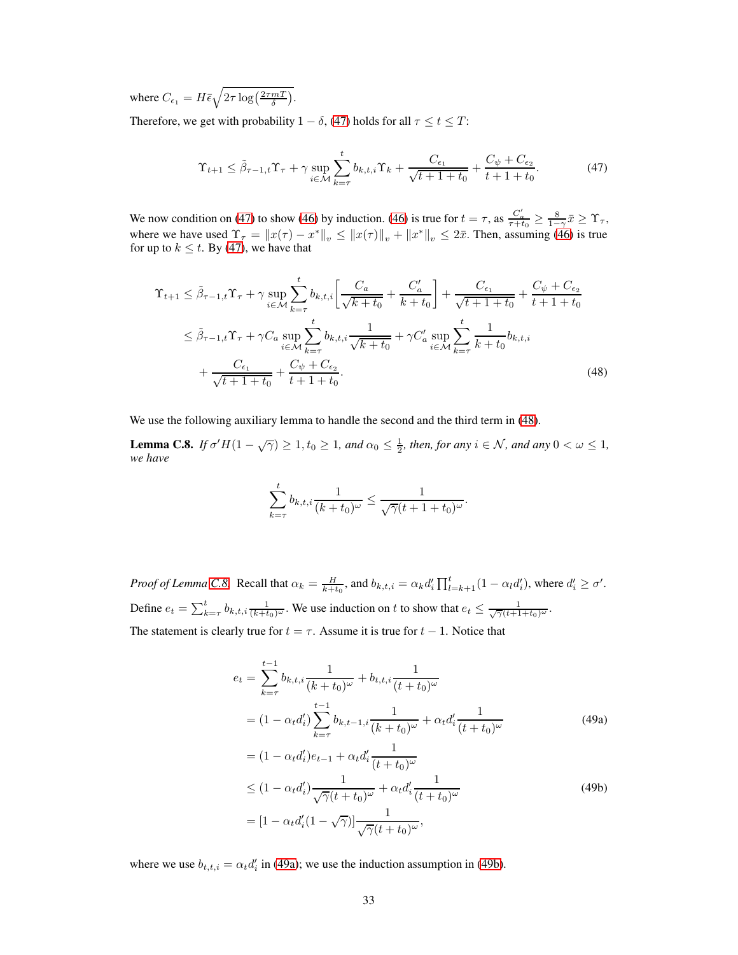where  $C_{\epsilon_1} = H \bar{\epsilon} \sqrt{2\tau \log\left(\frac{2\tau mT}{\delta}\right)}$ .

Therefore, we get with probability  $1 - \delta$ , [\(47\)](#page-32-0) holds for all  $\tau \le t \le T$ :

<span id="page-32-0"></span>
$$
\Upsilon_{t+1} \le \tilde{\beta}_{\tau-1,t} \Upsilon_{\tau} + \gamma \sup_{i \in \mathcal{M}} \sum_{k=\tau}^{t} b_{k,t,i} \Upsilon_k + \frac{C_{\epsilon_1}}{\sqrt{t+1+t_0}} + \frac{C_{\psi} + C_{\epsilon_2}}{t+1+t_0}.
$$
 (47)

We now condition on [\(47\)](#page-32-0) to show [\(46\)](#page-31-2) by induction. [\(46\)](#page-31-2) is true for  $t = \tau$ , as  $\frac{C_a'}{\tau + t_0} \ge \frac{8}{1-\gamma} \bar{x} \ge \Upsilon_{\tau}$ , where we have used  $\Upsilon_{\tau} = ||x(\tau) - x^*||_v \le ||x(\tau)||_v + ||x^*||_v \le 2\bar{x}$ . Then, assuming [\(46\)](#page-31-2) is true for up to  $k \le t$ . By [\(47\)](#page-32-0), we have that

$$
\begin{split} \Upsilon_{t+1} &\leq \tilde{\beta}_{\tau-1,t} \Upsilon_{\tau} + \gamma \sup_{i \in \mathcal{M}} \sum_{k=\tau}^{t} b_{k,t,i} \left[ \frac{C_a}{\sqrt{k+t_0}} + \frac{C_a'}{k+t_0} \right] + \frac{C_{\epsilon_1}}{\sqrt{t+1+t_0}} + \frac{C_{\psi} + C_{\epsilon_2}}{t+1+t_0} \\ &\leq \tilde{\beta}_{\tau-1,t} \Upsilon_{\tau} + \gamma C_a \sup_{i \in \mathcal{M}} \sum_{k=\tau}^{t} b_{k,t,i} \frac{1}{\sqrt{k+t_0}} + \gamma C_a' \sup_{i \in \mathcal{M}} \sum_{k=\tau}^{t} \frac{1}{k+t_0} b_{k,t,i} \\ &+ \frac{C_{\epsilon_1}}{\sqrt{t+1+t_0}} + \frac{C_{\psi} + C_{\epsilon_2}}{t+1+t_0}. \end{split} \tag{48}
$$

<span id="page-32-2"></span>We use the following auxiliary lemma to handle the second and the third term in [\(48\)](#page-32-1).

**Lemma C.8.** *If*  $\sigma' H(1 - \sqrt{\gamma}) \ge 1$ ,  $t_0 \ge 1$ , and  $\alpha_0 \le \frac{1}{2}$ , then, for any  $i \in \mathcal{N}$ , and any  $0 < \omega \le 1$ , *we have*

<span id="page-32-1"></span>
$$
\sum_{k=\tau}^{t} b_{k,t,i} \frac{1}{(k+t_0)^{\omega}} \leq \frac{1}{\sqrt{\gamma}(t+1+t_0)^{\omega}}.
$$

*Proof of Lemma [C.8.](#page-32-2)* Recall that  $\alpha_k = \frac{H}{k+t_0}$ , and  $b_{k,t,i} = \alpha_k d_i' \prod_{l=k+1}^t (1 - \alpha_l d_i')$ , where  $d_i' \ge \sigma'$ . Define  $e_t = \sum_{k=\tau}^t b_{k,t,i} \frac{1}{(k+t_0)^{\omega}}$ . We use induction on t to show that  $e_t \leq \frac{1}{\sqrt{\gamma}(t+1+t_0)^{\omega}}$ . The statement is clearly true for  $t = \tau$ . Assume it is true for  $t - 1$ . Notice that

$$
e_{t} = \sum_{k=\tau}^{t-1} b_{k,t,i} \frac{1}{(k+t_{0})^{\omega}} + b_{t,t,i} \frac{1}{(t+t_{0})^{\omega}}
$$
  
=  $(1 - \alpha_{t} d'_{i}) \sum_{k=\tau}^{t-1} b_{k,t-1,i} \frac{1}{(k+t_{0})^{\omega}} + \alpha_{t} d'_{i} \frac{1}{(t+t_{0})^{\omega}}$   
=  $(1 - \alpha_{t} d'_{i}) e_{t-1} + \alpha_{t} d'_{i} \frac{1}{(t+t_{0})^{\omega}}$  (49a)

$$
\leq (1 - \alpha_t d_i') \frac{1}{\sqrt{\gamma}(t + t_0)^{\omega}} + \alpha_t d_i' \frac{1}{(t + t_0)^{\omega}}
$$
\n
$$
= [1 - \alpha_t d_i' (1 - \sqrt{\gamma})] \frac{1}{\sqrt{\gamma}(t + t_0)^{\omega}},
$$
\n(49b)

where we use  $b_{t,t,i} = \alpha_t d_i'$  in [\(49a\)](#page-34-2); we use the induction assumption in [\(49b\)](#page-34-3).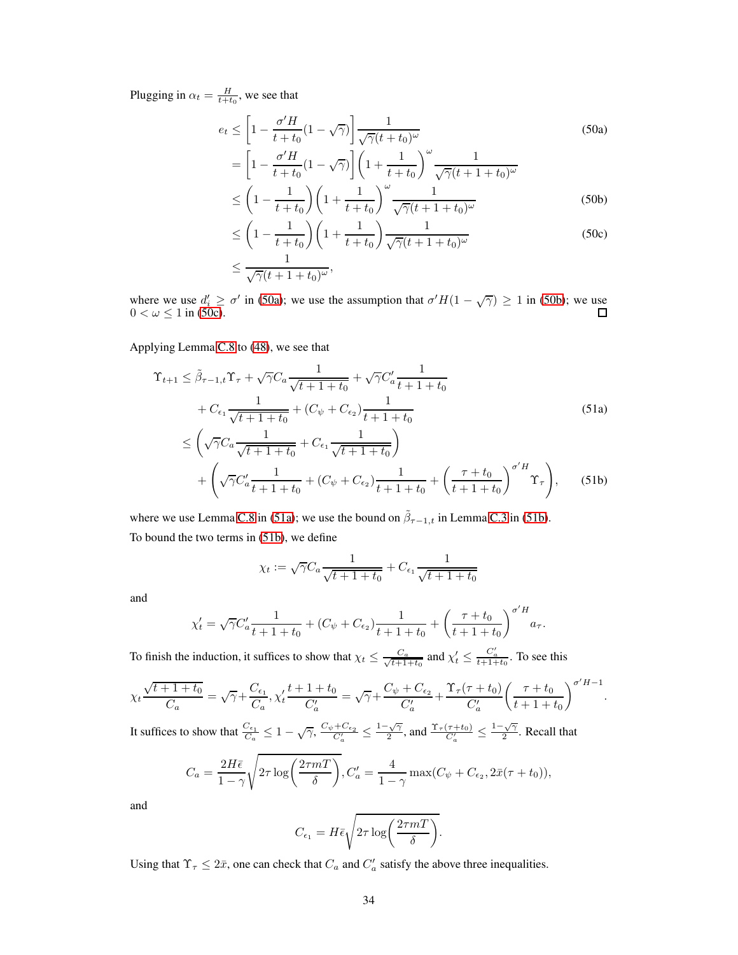Plugging in  $\alpha_t = \frac{H}{t+t_0}$ , we see that

$$
e_t \le \left[1 - \frac{\sigma'H}{t+t_0}(1-\sqrt{\gamma})\right] \frac{1}{\sqrt{\gamma}(t+t_0)^{\omega}}
$$
(50a)  

$$
\left[1 - \frac{\sigma'H}{t+1}\right] \left(1 - \frac{1}{\sqrt{\gamma}(1-\frac{1}{t_0})}\right)^{\omega}
$$

$$
= \left[1 - \frac{\sigma'H}{t+t_0}(1-\sqrt{\gamma})\right] \left(1 + \frac{1}{t+t_0}\right)^{\omega} \frac{1}{\sqrt{\gamma}(t+1+t_0)^{\omega}}
$$
  

$$
\leq \left(1 - \frac{1}{t+t_0}\right) \left(1 + \frac{1}{t+t_0}\right)^{\omega} \frac{1}{\sqrt{\gamma}(t+1+t_0)^{\omega}}
$$
(50b)

$$
\leq \left(1 - \frac{1}{t + t_0}\right) \left(1 + \frac{1}{t + t_0}\right) \frac{\sqrt{\gamma}(t + 1 + t_0)^{\omega}}{\sqrt{\gamma}(t + 1 + t_0)^{\omega}}
$$
\n
$$
\leq \left(1 - \frac{1}{t + t_0}\right) \left(1 + \frac{1}{t + t_0}\right) \frac{1}{\sqrt{\gamma}(t + 1 + t_0)^{\omega}}
$$
\n(50c)

$$
\leq \left(1 - \frac{1}{t + t_0}\right) \left(1 + \frac{1}{t + t_0}\right) \frac{1}{\sqrt{\gamma}(t + 1 + t_0)^{\omega}}
$$
(50c)

$$
\leq \frac{1}{\sqrt{\gamma}(t+1+t_0)^{\omega}},
$$

where we use  $d'_i \ge \sigma'$  in [\(50a\)](#page-34-2); we use the assumption that  $\sigma' H(1 - \sqrt{\gamma}) \ge 1$  in [\(50b\)](#page-34-3); we use  $0 < \omega \leq 1$  in [\(50c\)](#page-34-4).

# Applying Lemma [C.8](#page-32-2) to [\(48\)](#page-32-1), we see that

$$
\begin{split} \Upsilon_{t+1} &\leq \tilde{\beta}_{\tau-1,t} \Upsilon_{\tau} + \sqrt{\gamma} C_a \frac{1}{\sqrt{t+1+t_0}} + \sqrt{\gamma} C_a' \frac{1}{t+1+t_0} \\ &+ C_{\epsilon_1} \frac{1}{\sqrt{t+1+t_0}} + (C_{\psi} + C_{\epsilon_2}) \frac{1}{t+1+t_0} \\ &\leq \left(\sqrt{\gamma} C_a \frac{1}{\sqrt{t+1+t_0}} + C_{\epsilon_1} \frac{1}{\sqrt{t+1+t_0}}\right) \end{split} \tag{51a}
$$

$$
+\left(\sqrt{\gamma}C_{a}^{\prime}\frac{1}{t+1+t_{0}}+(C_{\psi}+C_{\epsilon_{2}})\frac{1}{t+1+t_{0}}+\left(\frac{\tau+t_{0}}{t+1+t_{0}}\right)^{\sigma^{\prime}H}\Upsilon_{\tau}\right),\qquad(51b)
$$

where we use Lemma [C.8](#page-32-2) in [\(51a\)](#page-34-2); we use the bound on  $\tilde{\beta}_{\tau-1,t}$  in Lemma [C.3](#page-29-3) in [\(51b\)](#page-34-3). To bound the two terms in [\(51b\)](#page-34-3), we define

$$
\chi_t := \sqrt{\gamma} C_a \frac{1}{\sqrt{t+1} + t_0} + C_{\epsilon_1} \frac{1}{\sqrt{t+1} + t_0}
$$

and

$$
\chi'_{t} = \sqrt{\gamma}C'_{a} \frac{1}{t+1+t_{0}} + (C_{\psi} + C_{\epsilon_{2}}) \frac{1}{t+1+t_{0}} + \left(\frac{\tau+t_{0}}{t+1+t_{0}}\right)^{\sigma' H} a_{\tau}.
$$

To finish the induction, it suffices to show that  $\chi_t \leq \frac{C_a}{\sqrt{t+1}}$  $\frac{C_a}{t+1+t_0}$  and  $\chi'_t \leq \frac{C'_a}{t+1+t_0}$ . To see this

$$
\chi_t \frac{\sqrt{t+1+t_0}}{C_a} = \sqrt{\gamma} + \frac{C_{\epsilon_1}}{C_a}, \chi'_t \frac{t+1+t_0}{C_a'} = \sqrt{\gamma} + \frac{C_{\psi} + C_{\epsilon_2}}{C_a'} + \frac{\Upsilon_{\tau}(\tau + t_0)}{C_a'} \left(\frac{\tau + t_0}{t+1+t_0}\right)^{\sigma' H - 1}.
$$
\nIt suffices to show that  $\frac{C_{\epsilon_1}}{C_{\epsilon_2}} < 1$  and  $\frac{C_{\psi} + C_{\epsilon_2}}{C_{\epsilon_2}} < 1 - \sqrt{\gamma}$  and  $\Upsilon_{\tau}(\tau + t_0) < 1 - \sqrt{\gamma}$ 

It suffices to show that  $\frac{C_{\epsilon_1}}{C_a} \leq 1 - \sqrt{\gamma}, \frac{C_{\psi} + C_{\epsilon_2}}{C_a'} \leq \frac{1 - \sqrt{\gamma}}{2}$  $\frac{\sqrt{\gamma}}{2}$ , and  $\frac{\Upsilon_{\tau}(\tau+t_0)}{C_a'} \leq \frac{1-\sqrt{\gamma}}{2}$  $\frac{\sqrt{\gamma}}{2}$ . Recall that

$$
C_a = \frac{2H\bar{\epsilon}}{1-\gamma} \sqrt{2\tau \log\left(\frac{2\tau mT}{\delta}\right)}, C'_a = \frac{4}{1-\gamma} \max(C_\psi + C_{\epsilon_2}, 2\bar{x}(\tau + t_0)),
$$

and

$$
C_{\epsilon_1} = H\bar{\epsilon}\sqrt{2\tau \log\left(\frac{2\tau mT}{\delta}\right)}.
$$

Using that  $\Upsilon_{\tau} \leq 2\bar{x}$ , one can check that  $C_a$  and  $C'_a$  satisfy the above three inequalities.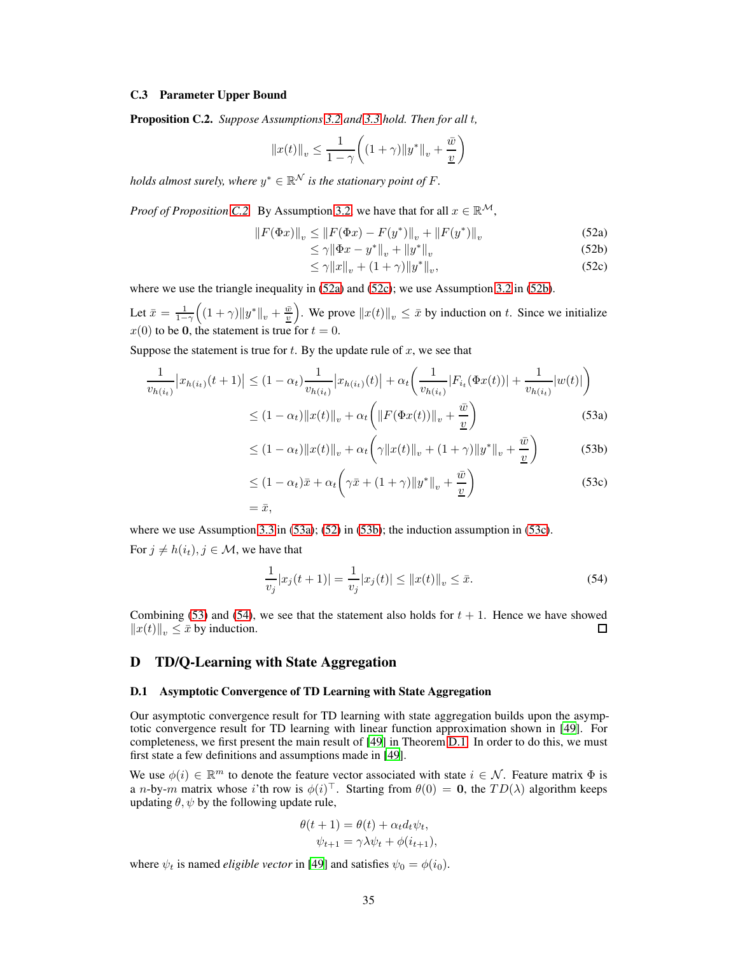## <span id="page-34-1"></span><span id="page-34-0"></span>C.3 Parameter Upper Bound

Proposition C.2. *Suppose Assumptions [3.2](#page-7-3) and [3.3](#page-8-2) hold. Then for all* t*,*

$$
||x(t)||_{v} \le \frac{1}{1-\gamma} \bigg( (1+\gamma)||y^*||_{v} + \frac{\bar{w}}{\underline{v}} \bigg)
$$

*holds almost surely, where*  $y^* \in \mathbb{R}^{\mathcal{N}}$  *is the stationary point of F*.

*Proof of Proposition [C.2.](#page-34-0)* By Assumption [3.2,](#page-7-3) we have that for all  $x \in \mathbb{R}^{\mathcal{M}}$ ,

$$
||F(\Phi x)||_{v} \le ||F(\Phi x) - F(y^*)||_{v} + ||F(y^*)||_{v}
$$
\n(52a)

$$
\leq \gamma \|\Phi x - y^*\|_v + \|y^*\|_v \tag{52b}
$$

<span id="page-34-6"></span><span id="page-34-5"></span><span id="page-34-3"></span><span id="page-34-2"></span>
$$
\leq \gamma \|x\|_{v} + (1+\gamma)\|y^*\|_{v},\tag{52c}
$$

where we use the triangle inequality in  $(52a)$  and  $(52c)$ ; we use Assumption [3.2](#page-7-3) in  $(52b)$ .

Let  $\bar{x} = \frac{1}{1-\gamma}$  $((1 + \gamma) \|y^*\|_v + \frac{\bar{w}}{2})$ . We prove  $||x(t)||_v \leq \bar{x}$  by induction on t. Since we initialize  $x(0)$  to be 0, the statement is true for  $t = 0$ .

Suppose the statement is true for  $t$ . By the update rule of  $x$ , we see that

$$
\frac{1}{v_{h(i_t)}}|x_{h(i_t)}(t+1)| \le (1 - \alpha_t) \frac{1}{v_{h(i_t)}}|x_{h(i_t)}(t)| + \alpha_t \left(\frac{1}{v_{h(i_t)}}|F_{i_t}(\Phi x(t))| + \frac{1}{v_{h(i_t)}}|w(t)|\right)
$$
  

$$
\le (1 - \alpha_t) \|x(t)\|_v + \alpha_t \left(\|F(\Phi x(t))\|_v + \frac{\bar{w}}{\underline{v}}\right)
$$
(53a)

$$
\leq (1 - \alpha_t) \|x(t)\|_{v} + \alpha_t \left( \gamma \|x(t)\|_{v} + (1 + \gamma) \|y^*\|_{v} + \frac{\bar{w}}{\underline{v}} \right) \tag{53b}
$$

<span id="page-34-4"></span>
$$
\leq (1 - \alpha_t)\bar{x} + \alpha_t \left( \gamma \bar{x} + (1 + \gamma) \|y^*\|_v + \frac{\bar{w}}{\underline{v}} \right)
$$
(53c)  
=  $\bar{x}$ ,

where we use Assumption [3.3](#page-8-2) in [\(53a\)](#page-34-2); [\(52\)](#page-34-5) in [\(53b\)](#page-34-3); the induction assumption in [\(53c\)](#page-34-4).

For  $j \neq h(i_t), j \in \mathcal{M}$ , we have that

<span id="page-34-7"></span>
$$
\frac{1}{v_j}|x_j(t+1)| = \frac{1}{v_j}|x_j(t)| \le ||x(t)||_v \le \bar{x}.
$$
\n(54)

Combining [\(53\)](#page-34-6) and [\(54\)](#page-34-7), we see that the statement also holds for  $t + 1$ . Hence we have showed  $||x(t)||_v \leq \bar{x}$  by induction.  $\Box$ 

# D TD/Q-Learning with State Aggregation

#### D.1 Asymptotic Convergence of TD Learning with State Aggregation

Our asymptotic convergence result for TD learning with state aggregation builds upon the asymptotic convergence result for TD learning with linear function approximation shown in [\[49\]](#page-12-12). For completeness, we first present the main result of [\[49](#page-12-12)] in Theorem [D.1.](#page-35-0) In order to do this, we must first state a few definitions and assumptions made in [\[49\]](#page-12-12).

We use  $\phi(i) \in \mathbb{R}^m$  to denote the feature vector associated with state  $i \in \mathcal{N}$ . Feature matrix  $\Phi$  is a *n*-by-*m* matrix whose *i*'th row is  $\phi(i)^\top$ . Starting from  $\theta(0) = 0$ , the  $TD(\lambda)$  algorithm keeps updating  $\theta$ ,  $\psi$  by the following update rule,

$$
\theta(t+1) = \theta(t) + \alpha_t d_t \psi_t,
$$
  

$$
\psi_{t+1} = \gamma \lambda \psi_t + \phi(i_{t+1}),
$$

where  $\psi_t$  is named *eligible vector* in [\[49\]](#page-12-12) and satisfies  $\psi_0 = \phi(i_0)$ .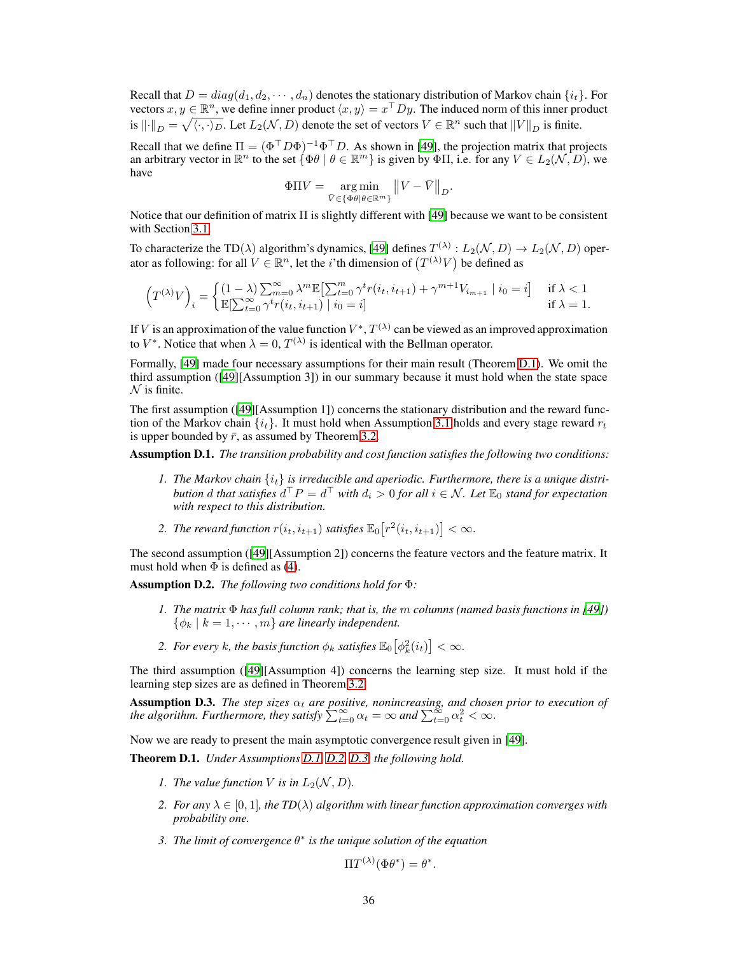Recall that  $D = diag(d_1, d_2, \dots, d_n)$  denotes the stationary distribution of Markov chain  $\{i_t\}$ . For vectors  $x, y \in \mathbb{R}^n$ , we define inner product  $\langle x, y \rangle = x^\top D y$ . The induced norm of this inner product is  $\|\cdot\|_D = \sqrt{\langle \cdot, \cdot \rangle_D}$ . Let  $L_2(\mathcal{N}, D)$  denote the set of vectors  $V \in \mathbb{R}^n$  such that  $||V||_D$  is finite.

Recall that we define  $\Pi = (\Phi^{\top} D \Phi)^{-1} \Phi^{\top} D$ . As shown in [\[49\]](#page-12-12), the projection matrix that projects an arbitrary vector in  $\mathbb{R}^n$  to the set  $\{\Phi \theta \mid \theta \in \mathbb{R}^m\}$  is given by  $\Phi \Pi$ , i.e. for any  $V \in L_2(\mathcal{N}, D)$ , we have

$$
\Phi \Pi V = \underset{\bar{V} \in \{\Phi \theta | \theta \in \mathbb{R}^m\}}{\arg \min} \left\| V - \bar{V} \right\|_D.
$$

Notice that our definition of matrix Π is slightly different with [\[49](#page-12-12)] because we want to be consistent with Section [3.1.](#page-7-0)

To characterize the TD( $\lambda$ ) algorithm's dynamics, [\[49\]](#page-12-12) defines  $T^{(\lambda)}: L_2(\mathcal{N}, D) \to L_2(\mathcal{N}, D)$  operator as following: for all  $V \in \mathbb{R}^n$ , let the *i*'th dimension of  $(T^{(\lambda)}V)$  be defined as

$$
\left(T^{(\lambda)}V\right)_i=\begin{cases} (1-\lambda)\sum_{m=0}^\infty \lambda^m\mathbb{E}\bigl[\sum_{t=0}^m \gamma^t r(i_t,i_{t+1})+\gamma^{m+1}V_{i_{m+1}}\mid i_0=i\bigr] & \text{ if }\lambda<1\\ \mathbb{E}[\sum_{t=0}^\infty \gamma^t r(i_t,i_{t+1})\mid i_0=i]\quad& \text{ if }\lambda=1. \end{cases}
$$

If V is an approximation of the value function  $V^*, T^{(\lambda)}$  can be viewed as an improved approximation to  $V^*$ . Notice that when  $\lambda = 0$ ,  $T^{(\lambda)}$  is identical with the Bellman operator.

Formally, [\[49](#page-12-12)] made four necessary assumptions for their main result (Theorem [D.1\)](#page-35-0). We omit the third assumption ([\[49\]](#page-12-12)[Assumption 3]) in our summary because it must hold when the state space  $N$  is finite.

The first assumption ([\[49\]](#page-12-12)[Assumption 1]) concerns the stationary distribution and the reward function of the Markov chain  $\{i_t\}$ . It must hold when Assumption [3.1](#page-7-4) holds and every stage reward  $r_t$ is upper bounded by  $\bar{r}$ , as assumed by Theorem [3.2.](#page-9-1)

<span id="page-35-1"></span>Assumption D.1. *The transition probability and cost function satisfies the following two conditions:*

- 1. The Markov chain  $\{i_t\}$  is irreducible and aperiodic. Furthermore, there is a unique distri*bution* d *that satisfies*  $d^{\top}P = d^{\top}$  *with*  $d_i > 0$  *for all*  $i \in \mathcal{N}$ *. Let*  $\mathbb{E}_0$  *stand for expectation with respect to this distribution.*
- 2. The reward function  $r(i_t, i_{t+1})$  satisfies  $\mathbb{E}_0\big[r^2(i_t, i_{t+1})\big] < \infty$ .

The second assumption ([\[49](#page-12-12)][Assumption 2]) concerns the feature vectors and the feature matrix. It must hold when  $\Phi$  is defined as [\(4\)](#page-7-5).

<span id="page-35-2"></span>Assumption D.2. *The following two conditions hold for* Φ*:*

- *1. The matrix* Φ *has full column rank; that is, the* m *columns (named basis functions in [\[49\]](#page-12-12))*  $\{\phi_k \mid k = 1, \cdots, m\}$  *are linearly independent.*
- 2. For every k, the basis function  $\phi_k$  satisfies  $\mathbb{E}_0\big[\phi_k^2(i_t)\big] < \infty$ .

The third assumption ([\[49\]](#page-12-12)[Assumption 4]) concerns the learning step size. It must hold if the learning step sizes are as defined in Theorem [3.2.](#page-9-1)

<span id="page-35-3"></span>**Assumption D.3.** *The step sizes*  $\alpha_t$  *are positive, nonincreasing, and chosen prior to execution of the algorithm. Furthermore, they satisfy*  $\sum_{t=0}^{\infty} \alpha_t = \infty$  *and*  $\sum_{t=0}^{\infty} \alpha_t^2 < \infty$ *.* 

<span id="page-35-0"></span>Now we are ready to present the main asymptotic convergence result given in [\[49](#page-12-12)].

Theorem D.1. *Under Assumptions [D.1,](#page-35-1) [D.2,](#page-35-2) [D.3,](#page-35-3) the following hold.*

- *1. The value function V is in*  $L_2(N, D)$ *.*
- *2. For any*  $\lambda \in [0, 1]$ *, the TD*( $\lambda$ ) *algorithm with linear function approximation converges with probability one.*
- *3. The limit of convergence* θ ∗ *is the unique solution of the equation*

$$
\Pi T^{(\lambda)}(\Phi \theta^*) = \theta^*
$$

.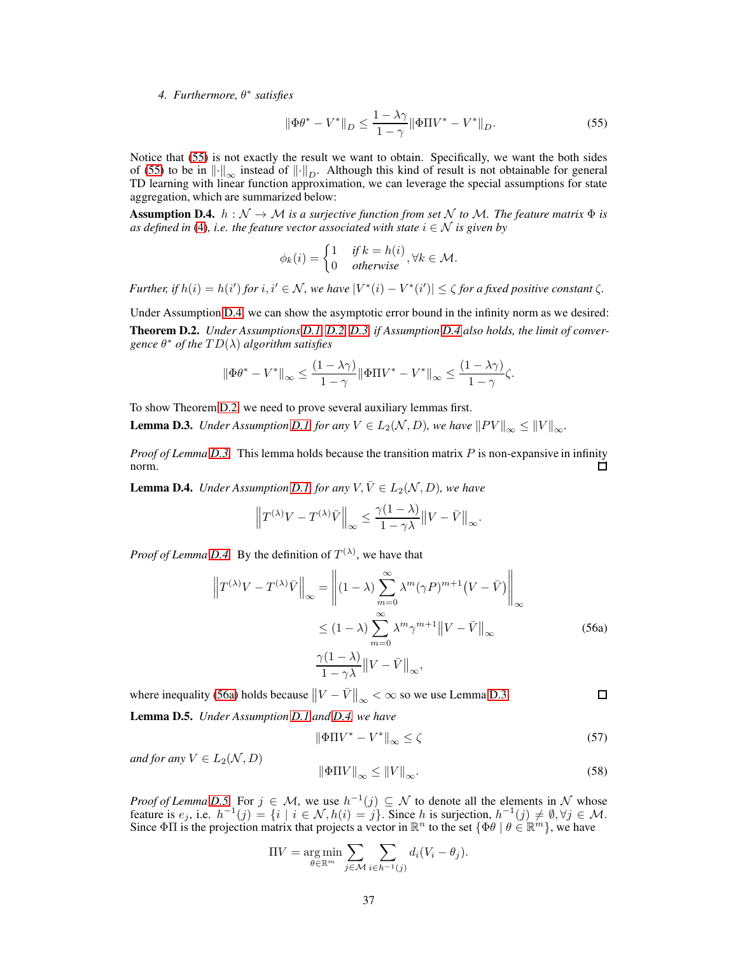*4. Furthermore,* θ ∗ *satisfies*

<span id="page-36-0"></span>
$$
\|\Phi\theta^* - V^*\|_D \le \frac{1 - \lambda\gamma}{1 - \gamma} \|\Phi\Pi V^* - V^*\|_D.
$$
 (55)

Notice that [\(55\)](#page-36-0) is not exactly the result we want to obtain. Specifically, we want the both sides of [\(55\)](#page-36-0) to be in  $\|\cdot\|_{\infty}$  instead of  $\|\cdot\|_{D}$ . Although this kind of result is not obtainable for general TD learning with linear function approximation, we can leverage the special assumptions for state aggregation, which are summarized below:

<span id="page-36-1"></span>**Assumption D.4.**  $h : \mathcal{N} \to \mathcal{M}$  *is a surjective function from set*  $\mathcal{N}$  *to*  $\mathcal{M}$ *. The feature matrix*  $\Phi$  *is as defined in* [\(4\)](#page-7-5)*, i.e. the feature vector associated with state*  $i \in \mathcal{N}$  *is given by* 

$$
\phi_k(i) = \begin{cases} 1 & \text{if } k = h(i) \\ 0 & \text{otherwise} \end{cases}, \forall k \in \mathcal{M}.
$$

*Further, if*  $h(i) = h(i')$  *for*  $i, i' \in \mathcal{N}$ *, we have*  $|V^*(i) - V^*(i')| \leq \zeta$  *for a fixed positive constant*  $\zeta$ *.* 

<span id="page-36-2"></span>Under Assumption [D.4,](#page-36-1) we can show the asymptotic error bound in the infinity norm as we desired: Theorem D.2. *Under Assumptions [D.1,](#page-35-1) [D.2,](#page-35-2) [D.3,](#page-35-3) if Assumption [D.4](#page-36-1) also holds, the limit of convergence* θ <sup>∗</sup> *of the* T D(λ) *algorithm satisfies*

$$
\|\Phi\theta^* - V^*\|_{\infty} \le \frac{(1-\lambda\gamma)}{1-\gamma} \|\Phi\Pi V^* - V^*\|_{\infty} \le \frac{(1-\lambda\gamma)}{1-\gamma} \zeta.
$$

<span id="page-36-3"></span>To show Theorem [D.2,](#page-36-2) we need to prove several auxiliary lemmas first.

**Lemma D.3.** *Under Assumption [D.1,](#page-35-1) for any*  $V \in L_2(\mathcal{N}, D)$ *, we have*  $||PV||_{\infty} \le ||V||_{\infty}$ *.* 

*Proof of Lemma [D.3.](#page-36-3)* This lemma holds because the transition matrix P is non-expansive in infinity norm.  $\mathbf{1}$ 

<span id="page-36-4"></span>**Lemma D.4.** *Under Assumption [D.1,](#page-35-1) for any*  $V, \overline{V} \in L_2(\mathcal{N}, D)$ *, we have* 

$$
\left\|T^{(\lambda)}V-T^{(\lambda)}\bar{V}\right\|_{\infty} \leq \frac{\gamma(1-\lambda)}{1-\gamma\lambda} \left\|V-\bar{V}\right\|_{\infty}.
$$

*Proof of Lemma [D.4.](#page-36-4)* By the definition of  $T^{(\lambda)}$ , we have that

$$
\left\|T^{(\lambda)}V - T^{(\lambda)}\bar{V}\right\|_{\infty} = \left\|(1-\lambda)\sum_{m=0}^{\infty} \lambda^m (\gamma P)^{m+1} (V - \bar{V})\right\|_{\infty}
$$
  

$$
\leq (1-\lambda)\sum_{m=0}^{\infty} \lambda^m \gamma^{m+1} \|V - \bar{V}\|_{\infty}
$$
  

$$
\frac{\gamma(1-\lambda)}{1-\gamma\lambda} \|V - \bar{V}\|_{\infty},
$$
 (56a)

where inequality [\(56a\)](#page-42-0) holds because  $||V - \bar{V}||_{\infty} < \infty$  so we use Lemma [D.3.](#page-36-3)  $\Box$ 

<span id="page-36-5"></span>Lemma D.5. *Under Assumption [D.1](#page-35-1) and [D.4,](#page-36-1) we have*

<span id="page-36-7"></span><span id="page-36-6"></span>
$$
\|\Phi \Pi V^* - V^*\|_{\infty} \le \zeta \tag{57}
$$

*and for any*  $V \in L_2(\mathcal{N}, D)$ 

$$
\|\Phi \Pi V\|_{\infty} \le \|V\|_{\infty}.\tag{58}
$$

*Proof of Lemma [D.5.](#page-36-5)* For  $j \in M$ , we use  $h^{-1}(j) \subseteq N$  to denote all the elements in N whose feature is  $e_j$ , i.e.  $h^{-1}(j) = \{i \mid i \in \mathcal{N}, h(i) = j\}$ . Since h is surjection,  $h^{-1}(j) \neq \emptyset, \forall j \in \mathcal{M}$ .<br>Since  $\Phi \Pi$  is the projection matrix that projects a vector in  $\mathbb{R}^n$  to the set  $\{\Phi \theta \mid \theta \in \mathbb{R}^m\}$ , we ha

$$
\Pi V = \argmin_{\theta \in \mathbb{R}^m} \sum_{j \in \mathcal{M}} \sum_{i \in h^{-1}(j)} d_i (V_i - \theta_j).
$$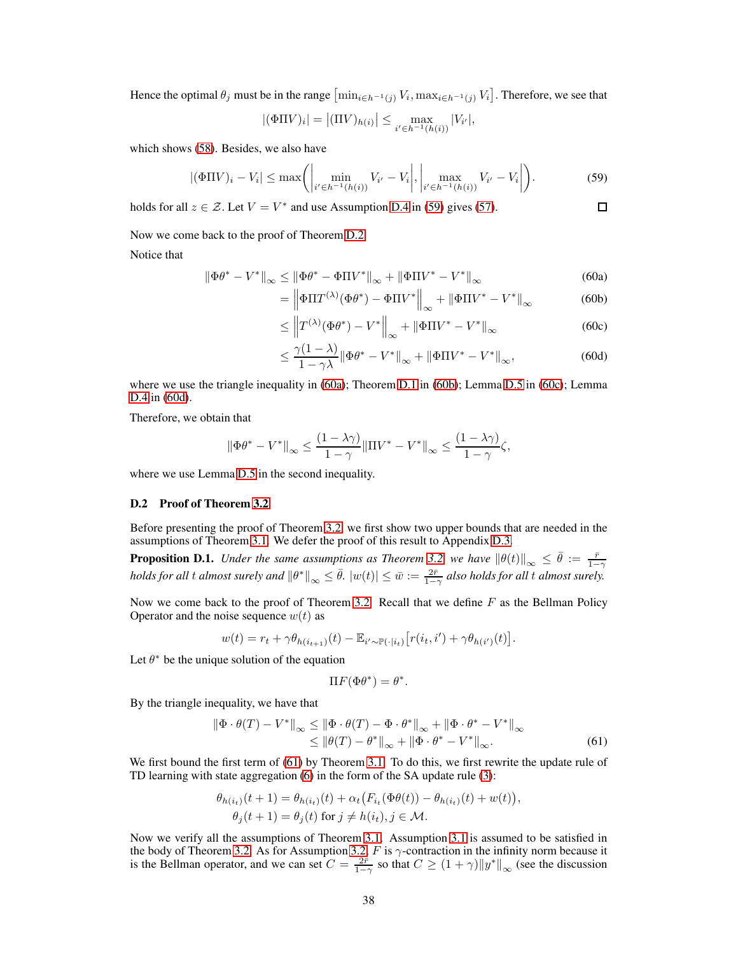Hence the optimal  $\theta_j$  must be in the range  $\left[\min_{i \in h^{-1}(j)} V_i, \max_{i \in h^{-1}(j)} V_i\right]$ . Therefore, we see that

<span id="page-37-1"></span>
$$
|(\Phi \Pi V)_i| = |(\Pi V)_{h(i)}| \le \max_{i' \in h^{-1}(h(i))} |V_{i'}|,
$$

which shows [\(58\)](#page-36-6). Besides, we also have

$$
|(\Phi \Pi V)_i - V_i| \le \max \left( \left| \min_{i' \in h^{-1}(h(i))} V_{i'} - V_i \right|, \left| \max_{i' \in h^{-1}(h(i))} V_{i'} - V_i \right| \right). \tag{59}
$$

holds for all  $z \in \mathcal{Z}$ . Let  $V = V^*$  and use Assumption [D.4](#page-36-1) in [\(59\)](#page-37-1) gives [\(57\)](#page-36-7).

Now we come back to the proof of Theorem [D.2.](#page-36-2)

Notice that

$$
\|\Phi\theta^* - V^*\|_{\infty} \le \|\Phi\theta^* - \Phi\Pi V^*\|_{\infty} + \|\Phi\Pi V^* - V^*\|_{\infty}
$$
\n(60a)

$$
= \left\| \Phi \Pi T^{(\lambda)} (\Phi \theta^*) - \Phi \Pi V^* \right\|_{\infty} + \left\| \Phi \Pi V^* - V^* \right\|_{\infty} \tag{60b}
$$

<span id="page-37-3"></span><span id="page-37-2"></span> $\Box$ 

$$
\leq \left\| T^{(\lambda)}(\Phi \theta^*) - V^* \right\|_{\infty} + \left\| \Phi \Pi V^* - V^* \right\|_{\infty} \tag{60c}
$$

$$
\leq \frac{\gamma(1-\lambda)}{1-\gamma\lambda} \|\Phi\theta^* - V^*\|_{\infty} + \|\Phi\Pi V^* - V^*\|_{\infty},\tag{60d}
$$

where we use the triangle inequality in [\(60a\)](#page-42-0); Theorem [D.1](#page-35-0) in [\(60b\)](#page-42-1); Lemma [D.5](#page-36-5) in [\(60c\)](#page-37-2); Lemma [D.4](#page-36-4) in [\(60d\)](#page-37-3).

Therefore, we obtain that

$$
\|\Phi \theta^* - V^*\|_\infty \leq \frac{(1-\lambda \gamma)}{1-\gamma} \| \Pi V^* - V^*\|_\infty \leq \frac{(1-\lambda \gamma)}{1-\gamma} \zeta,
$$

<span id="page-37-0"></span>where we use Lemma [D.5](#page-36-5) in the second inequality.

#### D.2 Proof of Theorem [3.2](#page-9-1)

<span id="page-37-5"></span>Before presenting the proof of Theorem [3.2,](#page-9-1) we first show two upper bounds that are needed in the assumptions of Theorem [3.1.](#page-8-0) We defer the proof of this result to Appendix [D.3.](#page-38-0)

**Proposition D.1.** *Under the same assumptions as Theorem [3.2,](#page-9-1) we have*  $\|\theta(t)\|_{\infty} \leq \bar{\theta} := \frac{\bar{r}}{1-\gamma}$  $holds for all t \ almost \ surely \ and \  $\|\theta^*\|_\infty \leq \bar{\theta}.\ |w(t)| \leq \bar{w} := \frac{2\bar{r}}{1-\gamma}$  also holds for all  $t$  almost surely.$ 

Now we come back to the proof of Theorem [3.2.](#page-9-1) Recall that we define  $F$  as the Bellman Policy Operator and the noise sequence  $w(t)$  as

$$
w(t) = r_t + \gamma \theta_{h(i_{t+1})}(t) - \mathbb{E}_{i' \sim \mathbb{P}(\cdot|i_t)} [r(i_t, i') + \gamma \theta_{h(i')}(t)].
$$

Let  $\theta^*$  be the unique solution of the equation

<span id="page-37-4"></span>
$$
\Pi F(\Phi \theta^*) = \theta^*.
$$

By the triangle inequality, we have that

$$
\|\Phi \cdot \theta(T) - V^*\|_{\infty} \le \|\Phi \cdot \theta(T) - \Phi \cdot \theta^*\|_{\infty} + \|\Phi \cdot \theta^* - V^*\|_{\infty}
$$
  

$$
\le \|\theta(T) - \theta^*\|_{\infty} + \|\Phi \cdot \theta^* - V^*\|_{\infty}.
$$
 (61)

We first bound the first term of [\(61\)](#page-37-4) by Theorem [3.1.](#page-8-0) To do this, we first rewrite the update rule of TD learning with state aggregation [\(6\)](#page-8-4) in the form of the SA update rule [\(3\)](#page-7-2):

$$
\theta_{h(i_t)}(t+1) = \theta_{h(i_t)}(t) + \alpha_t \big( F_{i_t}(\Phi \theta(t)) - \theta_{h(i_t)}(t) + w(t) \big),
$$
  
\n
$$
\theta_j(t+1) = \theta_j(t) \text{ for } j \neq h(i_t), j \in \mathcal{M}.
$$

Now we verify all the assumptions of Theorem [3.1.](#page-8-0) Assumption [3.1](#page-7-4) is assumed to be satisfied in the body of Theorem [3.2.](#page-9-1) As for Assumption [3.2,](#page-7-3) F is  $\gamma$ -contraction in the infinity norm because it is the Bellman operator, and we can set  $C = \frac{2\bar{r}}{1-\gamma}$  so that  $C \ge (1+\gamma) \|y^*\|_{\infty}$  (see the discussion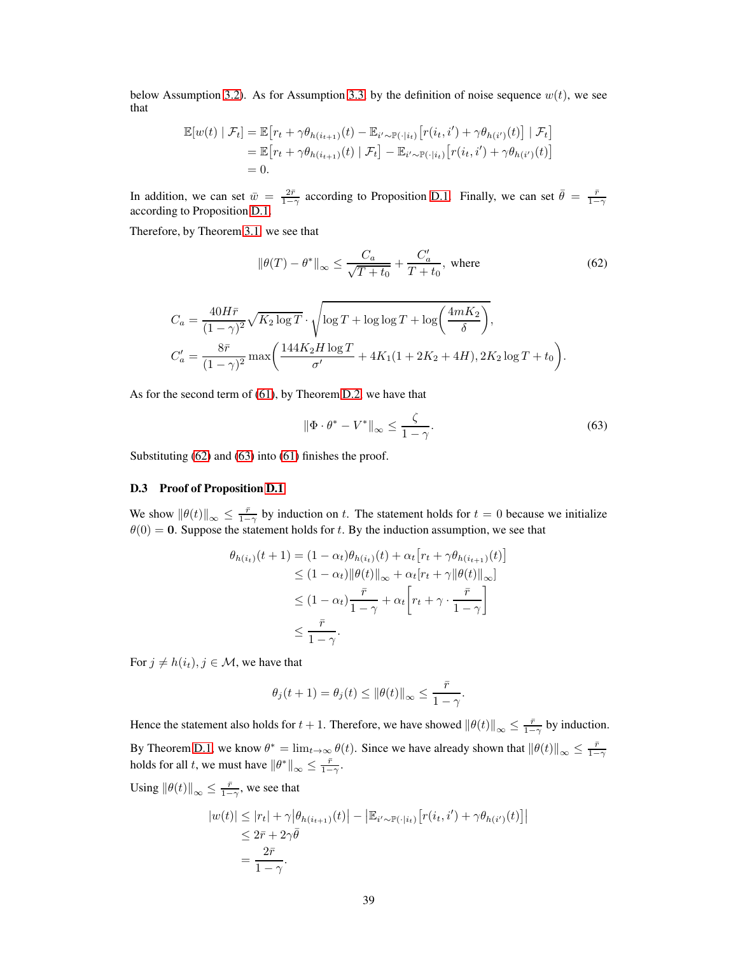below Assumption [3.2\)](#page-7-3). As for Assumption [3.3,](#page-8-2) by the definition of noise sequence  $w(t)$ , we see that

$$
\mathbb{E}[w(t) | \mathcal{F}_t] = \mathbb{E}\big[r_t + \gamma \theta_{h(i_{t+1})}(t) - \mathbb{E}_{i' \sim \mathbb{P}(\cdot|i_t)}\big[r(i_t, i') + \gamma \theta_{h(i')}(t)\big] | \mathcal{F}_t\big]
$$
  
=  $\mathbb{E}\big[r_t + \gamma \theta_{h(i_{t+1})}(t) | \mathcal{F}_t\big] - \mathbb{E}_{i' \sim \mathbb{P}(\cdot|i_t)}\big[r(i_t, i') + \gamma \theta_{h(i')}(t)\big]$   
= 0.

In addition, we can set  $\bar{w} = \frac{2\bar{r}}{1-\gamma}$  according to Proposition [D.1.](#page-37-5) Finally, we can set  $\bar{\theta} = \frac{\bar{r}}{1-\gamma}$ according to Proposition [D.1.](#page-37-5)

Therefore, by Theorem [3.1,](#page-8-0) we see that

<span id="page-38-1"></span>
$$
\|\theta(T) - \theta^*\|_{\infty} \le \frac{C_a}{\sqrt{T + t_0}} + \frac{C_a'}{T + t_0}, \text{ where}
$$
\n(62)

$$
C_a = \frac{40H\bar{r}}{(1-\gamma)^2} \sqrt{K_2 \log T} \cdot \sqrt{\log T + \log \log T + \log \left(\frac{4mK_2}{\delta}\right)},
$$
  
\n
$$
C'_a = \frac{8\bar{r}}{(1-\gamma)^2} \max \left(\frac{144K_2H \log T}{\sigma'} + 4K_1(1+2K_2+4H), 2K_2 \log T + t_0\right).
$$

As for the second term of [\(61\)](#page-37-4), by Theorem [D.2,](#page-36-2) we have that

<span id="page-38-2"></span>
$$
\|\Phi \cdot \theta^* - V^*\|_{\infty} \le \frac{\zeta}{1 - \gamma}.\tag{63}
$$

<span id="page-38-0"></span>Substituting [\(62\)](#page-38-1) and [\(63\)](#page-38-2) into [\(61\)](#page-37-4) finishes the proof.

#### D.3 Proof of Proposition [D.1](#page-37-5)

We show  $\|\theta(t)\|_{\infty} \leq \frac{\bar{r}}{1-\gamma}$  by induction on t. The statement holds for  $t = 0$  because we initialize  $\theta(0) = 0$ . Suppose the statement holds for t. By the induction assumption, we see that

$$
\theta_{h(i_t)}(t+1) = (1 - \alpha_t)\theta_{h(i_t)}(t) + \alpha_t [r_t + \gamma \theta_{h(i_{t+1})}(t)]
$$
  
\n
$$
\leq (1 - \alpha_t) \|\theta(t)\|_{\infty} + \alpha_t [r_t + \gamma \|\theta(t)\|_{\infty}]
$$
  
\n
$$
\leq (1 - \alpha_t) \frac{\bar{r}}{1 - \gamma} + \alpha_t \left[r_t + \gamma \cdot \frac{\bar{r}}{1 - \gamma}\right]
$$
  
\n
$$
\leq \frac{\bar{r}}{1 - \gamma}.
$$

For  $j \neq h(i_t), j \in \mathcal{M}$ , we have that

$$
\theta_j(t+1) = \theta_j(t) \le \|\theta(t)\|_{\infty} \le \frac{\bar{r}}{1-\gamma}.
$$

Hence the statement also holds for  $t + 1$ . Therefore, we have showed  $\|\theta(t)\|_{\infty} \le \frac{\bar{r}}{1-\gamma}$  by induction. By Theorem [D.1,](#page-35-0) we know  $\theta^* = \lim_{t \to \infty} \theta(t)$ . Since we have already shown that  $\|\theta(t)\|_{\infty} \le \frac{\bar{r}}{1-\gamma}$  holds for all t, we must have  $\|\theta^*\|_{\infty} \le \frac{\bar{r}}{1-\gamma}$ .

Using  $\|\theta(t)\|_{\infty} \le \frac{\bar{r}}{1-\gamma}$ , we see that

$$
|w(t)| \leq |r_t| + \gamma |\theta_{h(i_{t+1})}(t)| - |\mathbb{E}_{i' \sim \mathbb{P}(\cdot|i_t)} [r(i_t, i') + \gamma \theta_{h(i')}(t)]|
$$
  

$$
\leq 2\overline{r} + 2\gamma \overline{\theta}
$$
  

$$
= \frac{2\overline{r}}{1 - \gamma}.
$$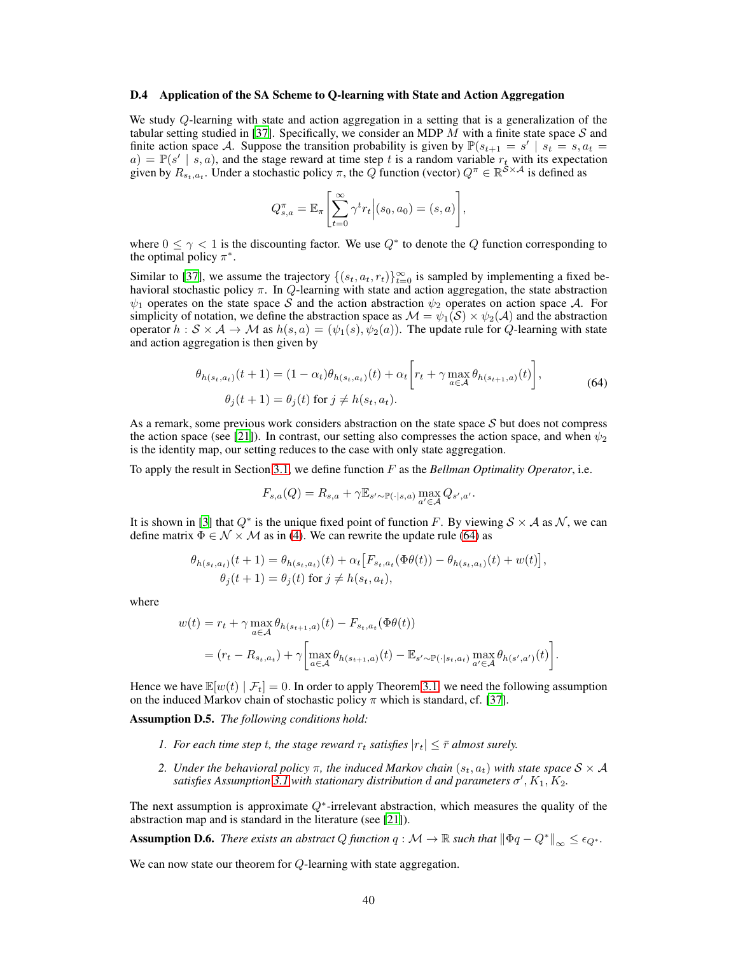#### <span id="page-39-0"></span>D.4 Application of the SA Scheme to Q-learning with State and Action Aggregation

We study Q-learning with state and action aggregation in a setting that is a generalization of the tabular setting studied in [\[37\]](#page-11-12). Specifically, we consider an MDP  $M$  with a finite state space  $S$  and finite action space A. Suppose the transition probability is given by  $\mathbb{P}(s_{t+1} = s' | s_t = s, a_t = a) = \mathbb{P}(s' | s, a)$ , and the stage reward at time step t is a random variable  $r_t$  with its expectation given by  $R_{s_t,a_t}$ . Under a stochastic policy  $\pi$ , the  $Q$  function (vector)  $Q^{\pi} \in \mathbb{R}^{\mathcal{S} \times \mathcal{A}}$  is defined as

$$
Q_{s,a}^{\pi} = \mathbb{E}_{\pi} \left[ \sum_{t=0}^{\infty} \gamma^t r_t \Big| (s_0, a_0) = (s, a) \right],
$$

where  $0 \le \gamma < 1$  is the discounting factor. We use  $Q^*$  to denote the Q function corresponding to the optimal policy  $\pi^*$ .

Similar to [\[37\]](#page-11-12), we assume the trajectory  $\{(s_t, a_t, r_t)\}_{t=0}^{\infty}$  is sampled by implementing a fixed behavioral stochastic policy  $\pi$ . In  $Q$ -learning with state and action aggregation, the state abstraction  $\psi_1$  operates on the state space S and the action abstraction  $\psi_2$  operates on action space A. For simplicity of notation, we define the abstraction space as  $\mathcal{M} = \psi_1(\mathcal{S}) \times \psi_2(\mathcal{A})$  and the abstraction operator  $h : S \times A \rightarrow M$  as  $h(s, a) = (\psi_1(s), \psi_2(a))$ . The update rule for Q-learning with state and action aggregation is then given by

<span id="page-39-1"></span>
$$
\theta_{h(s_t, a_t)}(t+1) = (1 - \alpha_t)\theta_{h(s_t, a_t)}(t) + \alpha_t \left[ r_t + \gamma \max_{a \in \mathcal{A}} \theta_{h(s_{t+1}, a)}(t) \right],
$$
\n
$$
\theta_j(t+1) = \theta_j(t) \text{ for } j \neq h(s_t, a_t).
$$
\n(64)

As a remark, some previous work considers abstraction on the state space  $S$  but does not compress the action space (see [\[21](#page-10-18)]). In contrast, our setting also compresses the action space, and when  $\psi_2$ is the identity map, our setting reduces to the case with only state aggregation.

To apply the result in Section [3.1,](#page-7-0) we define function F as the *Bellman Optimality Operator*, i.e.

$$
F_{s,a}(Q) = R_{s,a} + \gamma \mathbb{E}_{s' \sim \mathbb{P}(\cdot | s,a)} \max_{a' \in \mathcal{A}} Q_{s',a'}.
$$

It is shown in [\[3](#page-9-5)] that  $Q^*$  is the unique fixed point of function F. By viewing  $S \times A$  as N, we can define matrix  $\Phi \in \mathcal{N} \times \mathcal{M}$  as in [\(4\)](#page-7-5). We can rewrite the update rule [\(64\)](#page-39-1) as

$$
\theta_{h(s_t, a_t)}(t+1) = \theta_{h(s_t, a_t)}(t) + \alpha_t [F_{s_t, a_t}(\Phi \theta(t)) - \theta_{h(s_t, a_t)}(t) + w(t)],
$$
  

$$
\theta_j(t+1) = \theta_j(t) \text{ for } j \neq h(s_t, a_t),
$$

where

$$
w(t) = r_t + \gamma \max_{a \in \mathcal{A}} \theta_{h(s_{t+1},a)}(t) - F_{s_t,a_t}(\Phi \theta(t))
$$
  
= 
$$
(r_t - R_{s_t,a_t}) + \gamma \left[ \max_{a \in \mathcal{A}} \theta_{h(s_{t+1},a)}(t) - \mathbb{E}_{s' \sim \mathbb{P}(\cdot|s_t,a_t)} \max_{a' \in \mathcal{A}} \theta_{h(s',a')}(t) \right].
$$

<span id="page-39-2"></span>Hence we have  $\mathbb{E}[w(t) | \mathcal{F}_t] = 0$ . In order to apply Theorem [3.1,](#page-8-0) we need the following assumption on the induced Markov chain of stochastic policy  $\pi$  which is standard, cf. [\[37\]](#page-11-12).

Assumption D.5. *The following conditions hold:*

- *1. For each time step t, the stage reward*  $r_t$  *satisfies*  $|r_t| \leq \bar{r}$  *almost surely.*
- *2. Under the behavioral policy*  $\pi$ , the induced Markov chain  $(s_t, a_t)$  with state space  $S \times A$ satisfies Assumption [3.1](#page-7-4) with stationary distribution  $d$  and parameters  $\sigma', K_1, K_2$ .

The next assumption is approximate  $Q^*$ -irrelevant abstraction, which measures the quality of the abstraction map and is standard in the literature (see [\[21](#page-10-18)]).

<span id="page-39-3"></span>**Assumption D.6.** *There exists an abstract*  $Q$  *function*  $q : \mathcal{M} \to \mathbb{R}$  *such that*  $\|\Phi q - Q^*\|_{\infty} \leq \epsilon_{Q^*}$ *.* 

<span id="page-39-4"></span>We can now state our theorem for Q-learning with state aggregation.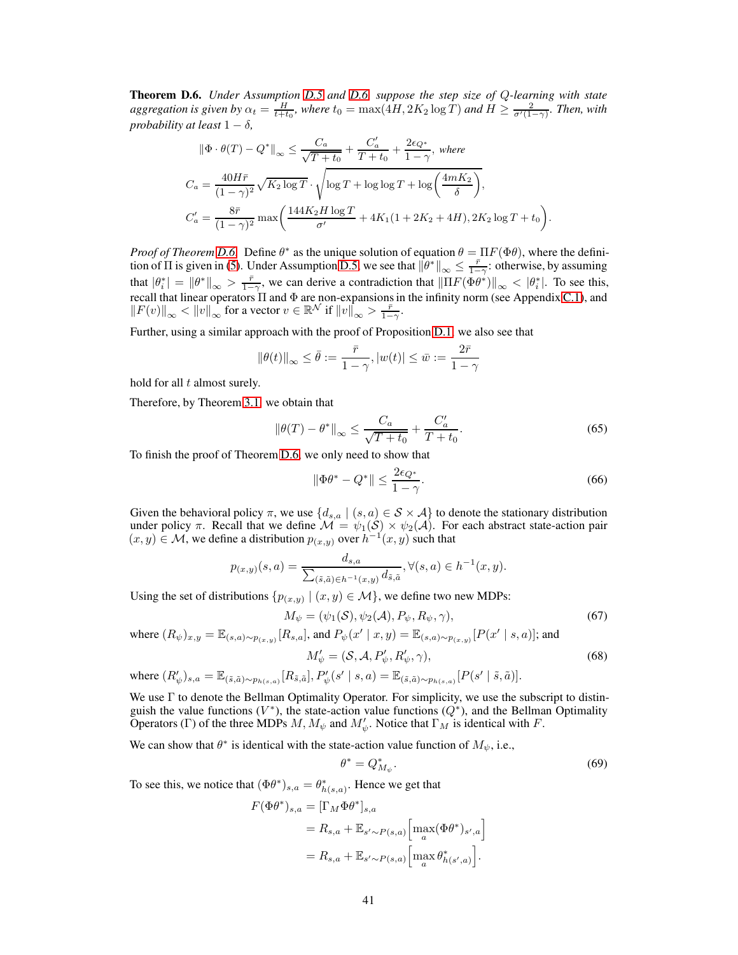Theorem D.6. *Under Assumption [D.5](#page-39-2) and [D.6,](#page-39-3) suppose the step size of* Q*-learning with state aggregation is given by*  $\alpha_t = \frac{H}{t+t_0}$ , where  $t_0 = \max(4H, 2K_2 \log T)$  and  $H \ge \frac{2}{\sigma'(1-\gamma)}$ . Then, with *probability at least*  $1 - \delta$ ,

$$
\|\Phi \cdot \theta(T) - Q^*\|_{\infty} \le \frac{C_a}{\sqrt{T+t_0}} + \frac{C'_a}{T+t_0} + \frac{2\epsilon_{Q^*}}{1-\gamma}, \text{ where}
$$
  

$$
C_a = \frac{40H\bar{r}}{(1-\gamma)^2} \sqrt{K_2 \log T} \cdot \sqrt{\log T + \log \log T + \log \left(\frac{4mK_2}{\delta}\right)},
$$
  

$$
C'_a = \frac{8\bar{r}}{(1-\gamma)^2} \max \left(\frac{144K_2H \log T}{\sigma'} + 4K_1(1+2K_2+4H), 2K_2 \log T + t_0\right).
$$

*Proof of Theorem [D.6.](#page-39-4)* Define  $\theta^*$  as the unique solution of equation  $\theta = \Pi F(\Phi \theta)$ , where the definition of  $\Pi$  is given in [\(5\)](#page-8-5). Under Assumption [D.5,](#page-39-2) we see that  $\left\|\theta^*\right\|_{\infty} \leq \frac{\bar{r}}{1-\gamma}$ : otherwise, by assuming that  $|\theta_i^*| = ||\theta^*||_{\infty} > \frac{\bar{r}}{1-\gamma}$ , we can derive a contradiction that  $\left\| \Pi F(\Phi \theta^*) \right\|_{\infty} < |\theta_i^*|$ . To see this, recall that linear operators  $\Pi$  and  $\Phi$  are non-expansions in the infinity norm (see Appendix [C.1\)](#page-24-1), and  $||F(v)||_{\infty} < ||v||_{\infty}$  for a vector  $v \in \mathbb{R}^{\mathcal{N}}$  if  $||v||_{\infty} > \frac{\bar{r}}{1-\gamma}$ .

Further, using a similar approach with the proof of Proposition [D.1,](#page-37-5) we also see that

$$
\|\theta(t)\|_\infty\leq \bar{\theta}:=\frac{\bar{r}}{1-\gamma}, |w(t)|\leq \bar{w}:=\frac{2\bar{r}}{1-\gamma}
$$

hold for all  $t$  almost surely.

Therefore, by Theorem [3.1,](#page-8-0) we obtain that

$$
\|\theta(T) - \theta^*\|_{\infty} \le \frac{C_a}{\sqrt{T + t_0}} + \frac{C'_a}{T + t_0}.
$$
\n(65)

To finish the proof of Theorem [D.6,](#page-39-4) we only need to show that

$$
\|\Phi\theta^* - Q^*\| \le \frac{2\epsilon_{Q^*}}{1-\gamma}.\tag{66}
$$

Given the behavioral policy  $\pi$ , we use  $\{d_{s,a} \mid (s,a) \in S \times A\}$  to denote the stationary distribution under policy  $\pi$ . Recall that we define  $\mathcal{M} = \psi_1(\mathcal{S}) \times \psi_2(\mathcal{A})$ . For each abstract state-action pair  $(x, y) \in \mathcal{M}$ , we define a distribution  $p_{(x,y)}$  over  $h^{-1}(x, y)$  such that

$$
p_{(x,y)}(s,a) = \frac{d_{s,a}}{\sum_{(\tilde{s},\tilde{a}) \in h^{-1}(x,y)} d_{\tilde{s},\tilde{a}}}, \forall (s,a) \in h^{-1}(x,y).
$$

Using the set of distributions  $\{p_{(x,y)} | (x,y) \in M\}$ , we define two new MDPs:

$$
M_{\psi} = (\psi_1(\mathcal{S}), \psi_2(\mathcal{A}), P_{\psi}, R_{\psi}, \gamma), \tag{67}
$$

where  $(R_{\psi})_{x,y} = \mathbb{E}_{(s,a)\sim p_{(x,y)}}[R_{s,a}]$ , and  $P_{\psi}(x' \mid x, y) = \mathbb{E}_{(s,a)\sim p_{(x,y)}}[P(x' \mid s,a)]$ ; and

<span id="page-40-1"></span><span id="page-40-0"></span>
$$
M'_{\psi} = (\mathcal{S}, \mathcal{A}, P'_{\psi}, R'_{\psi}, \gamma), \tag{68}
$$

where 
$$
(R'_\psi)_{s,a} = \mathbb{E}_{(\tilde{s}, \tilde{a}) \sim p_{h(s,a)}}[R_{\tilde{s}, \tilde{a}}], P'_\psi(s' \mid s, a) = \mathbb{E}_{(\tilde{s}, \tilde{a}) \sim p_{h(s,a)}}[P(s' \mid \tilde{s}, \tilde{a})].
$$

We use  $\Gamma$  to denote the Bellman Optimality Operator. For simplicity, we use the subscript to distinguish the value functions  $(V^*)$ , the state-action value functions  $(Q^*)$ , and the Bellman Optimality Operators (Γ) of the three MDPs  $M, M_{\psi}$  and  $M'_{\psi}$ . Notice that  $\Gamma_M$  is identical with F.

We can show that  $\theta^*$  is identical with the state-action value function of  $M_{\psi}$ , i.e.,

<span id="page-40-2"></span>
$$
\theta^* = Q^*_{M_{\psi}}.\tag{69}
$$

To see this, we notice that  $(\Phi \theta^*)_{s,a} = \theta^*_{h(s,a)}$ . Hence we get that

$$
F(\Phi \theta^*)_{s,a} = [\Gamma_M \Phi \theta^*]_{s,a}
$$
  
=  $R_{s,a} + \mathbb{E}_{s' \sim P(s,a)} \left[ \max_a (\Phi \theta^*)_{s',a} \right]$   
=  $R_{s,a} + \mathbb{E}_{s' \sim P(s,a)} \left[ \max_a \theta^*_{h(s',a)} \right].$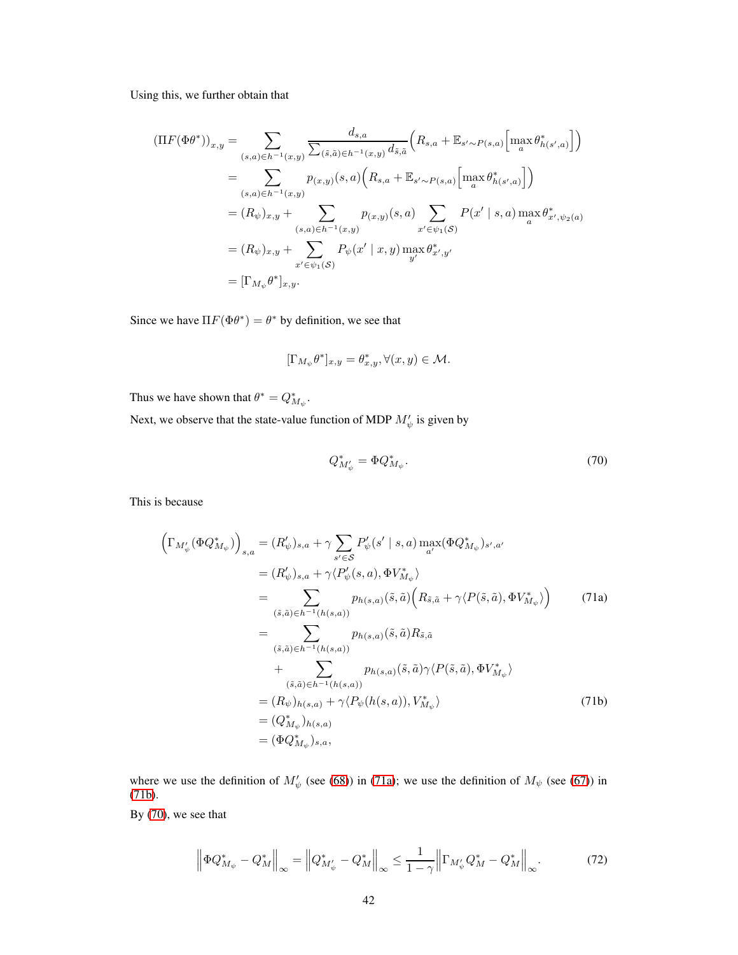Using this, we further obtain that

$$
\begin{split} (\Pi F(\Phi\theta^*))_{x,y} &= \sum_{(s,a)\in h^{-1}(x,y)} \frac{d_{s,a}}{\sum_{(\tilde{s},\tilde{a})\in h^{-1}(x,y)} d_{\tilde{s},\tilde{a}}} \Big( R_{s,a} + \mathbb{E}_{s' \sim P(s,a)} \Big[ \max_a \theta^*_{h(s',a)} \Big] \Big) \\ &= \sum_{(s,a)\in h^{-1}(x,y)} p_{(x,y)}(s,a) \Big( R_{s,a} + \mathbb{E}_{s' \sim P(s,a)} \Big[ \max_a \theta^*_{h(s',a)} \Big] \Big) \\ &= (R_{\psi})_{x,y} + \sum_{(s,a)\in h^{-1}(x,y)} p_{(x,y)}(s,a) \sum_{x' \in \psi_1(\mathcal{S})} P(x' \mid s,a) \max_a \theta^*_{x',\psi_2(a)} \\ &= (R_{\psi})_{x,y} + \sum_{x' \in \psi_1(\mathcal{S})} P_{\psi}(x' \mid x,y) \max_a \theta^*_{x',y'} \\ &= [\Gamma_{M_{\psi}} \theta^*]_{x,y}. \end{split}
$$

Since we have  $\Pi F(\Phi \theta^*) = \theta^*$  by definition, we see that

$$
[\Gamma_{M_{\psi}}\theta^*]_{x,y}=\theta^*_{x,y}, \forall (x,y)\in \mathcal{M}.
$$

Thus we have shown that  $\theta^* = Q^*_{M_{\psi}}$ .

Next, we observe that the state-value function of MDP  $M'_\psi$  is given by

<span id="page-41-0"></span>
$$
Q_{M'_{\psi}}^* = \Phi Q_{M_{\psi}}^*.
$$
\n(70)

This is because

$$
\left(\Gamma_{M'_{\psi}}(\Phi Q_{M_{\psi}}^{*})\right)_{s,a} = (R'_{\psi})_{s,a} + \gamma \sum_{s' \in S} P'_{\psi}(s' \mid s,a) \max_{a'} (\Phi Q_{M_{\psi}}^{*})_{s',a'}
$$
\n
$$
= (R'_{\psi})_{s,a} + \gamma \langle P'_{\psi}(s,a), \Phi V_{M_{\psi}}^{*} \rangle
$$
\n
$$
= \sum_{(\tilde{s},\tilde{a}) \in h^{-1}(h(s,a))} p_{h(s,a)}(\tilde{s},\tilde{a}) \left(R_{\tilde{s},\tilde{a}} + \gamma \langle P(\tilde{s},\tilde{a}), \Phi V_{M_{\psi}}^{*} \rangle\right) \qquad (71a)
$$
\n
$$
= \sum_{(\tilde{s},\tilde{a}) \in h^{-1}(h(s,a))} p_{h(s,a)}(\tilde{s},\tilde{a}) R_{\tilde{s},\tilde{a}}
$$
\n
$$
+ \sum_{(\tilde{s},\tilde{a}) \in h^{-1}(h(s,a))} p_{h(s,a)}(\tilde{s},\tilde{a}) \gamma \langle P(\tilde{s},\tilde{a}), \Phi V_{M_{\psi}}^{*} \rangle
$$
\n
$$
= (R_{\psi})_{h(s,a)} + \gamma \langle P_{\psi}(h(s,a)), V_{M_{\psi}}^{*} \rangle
$$
\n
$$
= (Q_{M_{\psi}}^{*})_{h(s,a)}
$$
\n
$$
= (\Phi Q_{M_{\psi}}^{*})_{s,a}, \qquad (71b)
$$

where we use the definition of  $M'_{\psi}$  (see [\(68\)](#page-40-0)) in [\(71a\)](#page-42-0); we use the definition of  $M_{\psi}$  (see [\(67\)](#page-40-1)) in [\(71b\)](#page-42-1).

By [\(70\)](#page-41-0), we see that

<span id="page-41-1"></span>
$$
\left\| \Phi Q_{M_{\psi}}^{*} - Q_{M}^{*} \right\|_{\infty} = \left\| Q_{M_{\psi}}^{*} - Q_{M}^{*} \right\|_{\infty} \le \frac{1}{1 - \gamma} \left\| \Gamma_{M_{\psi}'} Q_{M}^{*} - Q_{M}^{*} \right\|_{\infty}.
$$
 (72)